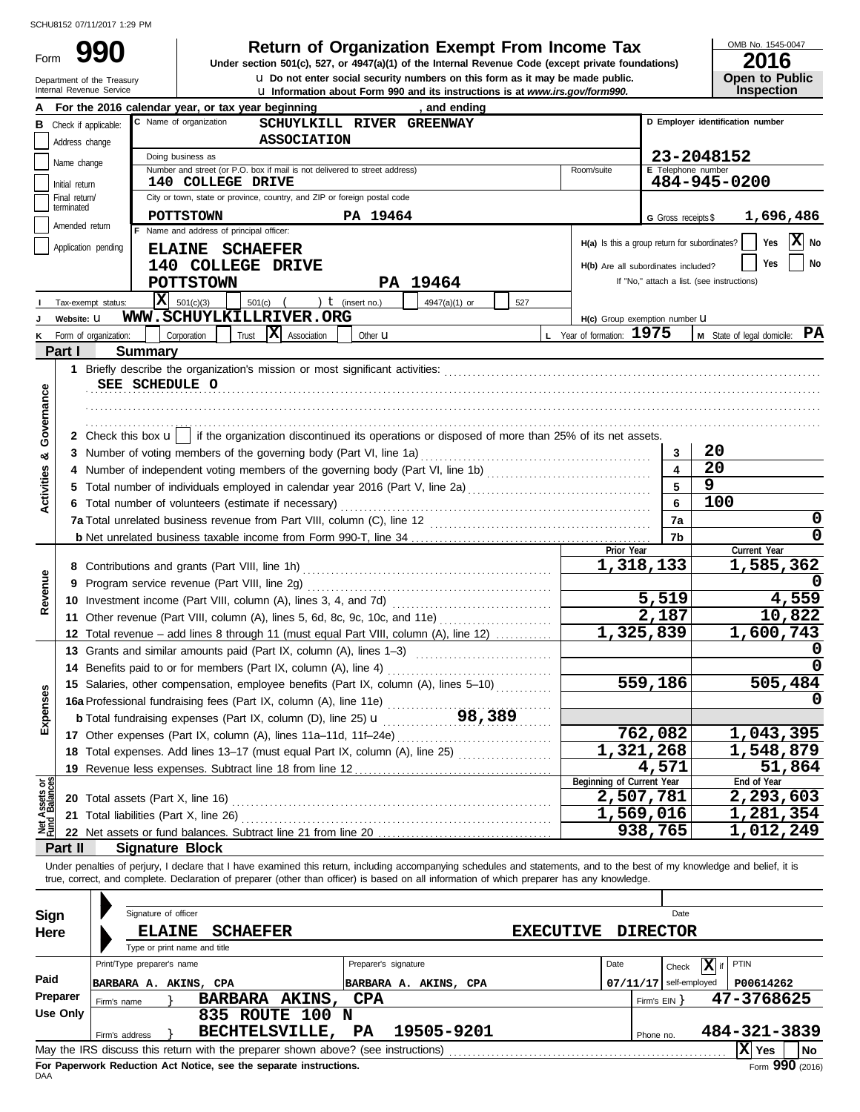Form

Department of the Treasury<br>Internal Revenue Service

# **990 1990 2016 2016 Depending Solution Solution Solution Solution Spanization Exempt From Income Tax 2016**

**u** Information about Form 990 and its instructions is at *www.irs.gov/form990.* **u** Do not enter social security numbers on this form as it may be made public.

# OMB No. 1545-0047

|                   | ZUIV |                       |
|-------------------|------|-----------------------|
|                   |      | <b>Open to Public</b> |
| <b>Inspection</b> |      |                       |

|                                |                                                                                                                                | For the 2016 calendar year, or tax year beginning<br>and ending                                                                                                            |                  |                                               |                         |                                            |  |  |  |  |  |
|--------------------------------|--------------------------------------------------------------------------------------------------------------------------------|----------------------------------------------------------------------------------------------------------------------------------------------------------------------------|------------------|-----------------------------------------------|-------------------------|--------------------------------------------|--|--|--|--|--|
| в                              |                                                                                                                                | C Name of organization<br>SCHUYLKILL RIVER GREENWAY<br>Check if applicable:                                                                                                |                  |                                               |                         | D Employer identification number           |  |  |  |  |  |
|                                | <b>ASSOCIATION</b><br>Address change                                                                                           |                                                                                                                                                                            |                  |                                               |                         |                                            |  |  |  |  |  |
|                                | Name change                                                                                                                    | 23-2048152<br>Doing business as                                                                                                                                            |                  |                                               |                         |                                            |  |  |  |  |  |
|                                | Number and street (or P.O. box if mail is not delivered to street address)<br>E Telephone number<br>Room/suite<br>484-945-0200 |                                                                                                                                                                            |                  |                                               |                         |                                            |  |  |  |  |  |
|                                | Initial return                                                                                                                 | 140 COLLEGE DRIVE<br>City or town, state or province, country, and ZIP or foreign postal code                                                                              |                  |                                               |                         |                                            |  |  |  |  |  |
|                                | Final return/<br>terminated                                                                                                    |                                                                                                                                                                            |                  |                                               |                         |                                            |  |  |  |  |  |
|                                | Amended return                                                                                                                 | <b>POTTSTOWN</b><br>PA 19464                                                                                                                                               |                  |                                               | G Gross receipts \$     | 1,696,486                                  |  |  |  |  |  |
|                                |                                                                                                                                | F Name and address of principal officer:<br>Application pending                                                                                                            |                  | H(a) Is this a group return for subordinates? |                         | X No<br>Yes                                |  |  |  |  |  |
|                                |                                                                                                                                | <b>ELAINE SCHAEFER</b>                                                                                                                                                     |                  |                                               |                         | Yes                                        |  |  |  |  |  |
|                                |                                                                                                                                | 140 COLLEGE DRIVE                                                                                                                                                          |                  | H(b) Are all subordinates included?           |                         | No                                         |  |  |  |  |  |
|                                |                                                                                                                                | PA 19464<br><b>POTTSTOWN</b>                                                                                                                                               |                  |                                               |                         | If "No," attach a list. (see instructions) |  |  |  |  |  |
|                                |                                                                                                                                | $\overline{\mathbf{x}}$<br>501(c)(3)<br>) $t$ (insert no.)<br>501(c)<br>4947(a)(1) or<br>Tax-exempt status:                                                                | 527              |                                               |                         |                                            |  |  |  |  |  |
|                                | Website: U                                                                                                                     | WWW.SCHUYLKILLRIVER.ORG                                                                                                                                                    |                  | H(c) Group exemption number U                 |                         |                                            |  |  |  |  |  |
|                                |                                                                                                                                | ΙX<br>Corporation<br>Trust<br>Association<br>Other <b>u</b><br>Form of organization:                                                                                       |                  | L Year of formation: 1975                     |                         | M State of legal domicile: PA              |  |  |  |  |  |
|                                | Part I                                                                                                                         | <b>Summary</b>                                                                                                                                                             |                  |                                               |                         |                                            |  |  |  |  |  |
|                                |                                                                                                                                |                                                                                                                                                                            |                  |                                               |                         |                                            |  |  |  |  |  |
|                                |                                                                                                                                | SEE SCHEDULE O                                                                                                                                                             |                  |                                               |                         |                                            |  |  |  |  |  |
|                                |                                                                                                                                |                                                                                                                                                                            |                  |                                               |                         |                                            |  |  |  |  |  |
| Governance                     |                                                                                                                                |                                                                                                                                                                            |                  |                                               |                         |                                            |  |  |  |  |  |
|                                |                                                                                                                                | 2 Check this box $\mathbf{u}$   if the organization discontinued its operations or disposed of more than 25% of its net assets.                                            |                  |                                               |                         |                                            |  |  |  |  |  |
| ಯ                              |                                                                                                                                |                                                                                                                                                                            |                  |                                               | 3                       | 20                                         |  |  |  |  |  |
|                                |                                                                                                                                |                                                                                                                                                                            |                  |                                               | $\overline{\mathbf{4}}$ | 20                                         |  |  |  |  |  |
|                                |                                                                                                                                |                                                                                                                                                                            |                  |                                               | 5                       | $\overline{9}$                             |  |  |  |  |  |
| Activities                     |                                                                                                                                | 6 Total number of volunteers (estimate if necessary)                                                                                                                       |                  |                                               | 6                       | 100                                        |  |  |  |  |  |
|                                |                                                                                                                                |                                                                                                                                                                            |                  |                                               | 7a                      | 0                                          |  |  |  |  |  |
|                                |                                                                                                                                |                                                                                                                                                                            |                  |                                               | 7b                      | $\mathbf 0$                                |  |  |  |  |  |
|                                |                                                                                                                                |                                                                                                                                                                            |                  | Prior Year                                    |                         | Current Year                               |  |  |  |  |  |
|                                |                                                                                                                                |                                                                                                                                                                            |                  | 1,318,133                                     |                         | 1,585,362                                  |  |  |  |  |  |
|                                |                                                                                                                                | 9 Program service revenue (Part VIII, line 2g)                                                                                                                             |                  |                                               | 5,519                   | 4,559                                      |  |  |  |  |  |
| Revenue                        |                                                                                                                                | 10 Investment income (Part VIII, column (A), lines 3, 4, and 7d)                                                                                                           |                  |                                               |                         |                                            |  |  |  |  |  |
|                                |                                                                                                                                | 11 Other revenue (Part VIII, column (A), lines 5, 6d, 8c, 9c, 10c, and 11e)                                                                                                |                  |                                               | 2,187                   | 10,822                                     |  |  |  |  |  |
|                                |                                                                                                                                | 12 Total revenue - add lines 8 through 11 (must equal Part VIII, column (A), line 12)                                                                                      |                  | $\overline{1,325,839}$                        |                         | 1,600,743                                  |  |  |  |  |  |
|                                |                                                                                                                                | 13 Grants and similar amounts paid (Part IX, column (A), lines 1-3)                                                                                                        |                  |                                               |                         | 0                                          |  |  |  |  |  |
|                                |                                                                                                                                | 14 Benefits paid to or for members (Part IX, column (A), line 4)                                                                                                           |                  |                                               |                         | 0                                          |  |  |  |  |  |
|                                |                                                                                                                                | 15 Salaries, other compensation, employee benefits (Part IX, column (A), lines 5-10)                                                                                       |                  |                                               | $\overline{559,}186$    | 505,484                                    |  |  |  |  |  |
| kpenses                        |                                                                                                                                |                                                                                                                                                                            |                  |                                               |                         | O                                          |  |  |  |  |  |
|                                |                                                                                                                                |                                                                                                                                                                            |                  |                                               |                         |                                            |  |  |  |  |  |
| ш                              |                                                                                                                                | 17 Other expenses (Part IX, column (A), lines 11a-11d, 11f-24e)                                                                                                            |                  |                                               | 762,082                 | 1,043,395                                  |  |  |  |  |  |
|                                |                                                                                                                                | 18 Total expenses. Add lines 13-17 (must equal Part IX, column (A), line 25)                                                                                               |                  | 1,321,268                                     |                         | 1,548,879                                  |  |  |  |  |  |
|                                |                                                                                                                                | 19 Revenue less expenses. Subtract line 18 from line 12                                                                                                                    |                  |                                               | 4,571                   | 51,864                                     |  |  |  |  |  |
| Net Assets or<br>Fund Balances |                                                                                                                                |                                                                                                                                                                            |                  | Beginning of Current Year                     |                         | End of Year                                |  |  |  |  |  |
|                                |                                                                                                                                | 20 Total assets (Part X, line 16)                                                                                                                                          |                  | 2,507,781                                     |                         | 2,293,603                                  |  |  |  |  |  |
|                                |                                                                                                                                | 21 Total liabilities (Part X, line 26)                                                                                                                                     |                  | 1,569,016                                     |                         | $\overline{1}$ , 281, 354                  |  |  |  |  |  |
|                                |                                                                                                                                | 22 Net assets or fund balances. Subtract line 21 from line 20                                                                                                              |                  |                                               | 938,765                 | 1,012,249                                  |  |  |  |  |  |
|                                | Part II                                                                                                                        | <b>Signature Block</b>                                                                                                                                                     |                  |                                               |                         |                                            |  |  |  |  |  |
|                                |                                                                                                                                | Under penalties of perjury, I declare that I have examined this return, including accompanying schedules and statements, and to the best of my knowledge and belief, it is |                  |                                               |                         |                                            |  |  |  |  |  |
|                                |                                                                                                                                | true, correct, and complete. Declaration of preparer (other than officer) is based on all information of which preparer has any knowledge.                                 |                  |                                               |                         |                                            |  |  |  |  |  |
|                                |                                                                                                                                |                                                                                                                                                                            |                  |                                               |                         |                                            |  |  |  |  |  |
| Sign                           |                                                                                                                                | Signature of officer                                                                                                                                                       |                  |                                               | Date                    |                                            |  |  |  |  |  |
| Here                           |                                                                                                                                | <b>ELAINE</b><br><b>SCHAEFER</b>                                                                                                                                           | <b>EXECUTIVE</b> |                                               | <b>DIRECTOR</b>         |                                            |  |  |  |  |  |
|                                |                                                                                                                                | Type or print name and title                                                                                                                                               |                  |                                               |                         |                                            |  |  |  |  |  |
|                                |                                                                                                                                | Print/Type preparer's name<br>Preparer's signature                                                                                                                         |                  | Date                                          | Check                   | $ \mathbf{X} $ if<br>PTIN                  |  |  |  |  |  |
| Paid                           |                                                                                                                                | BARBARA A. AKINS, CPA<br>BARBARA A. AKINS, CPA                                                                                                                             |                  | 07/11/17                                      | self-employed           | P00614262                                  |  |  |  |  |  |
|                                | Preparer                                                                                                                       | BARBARA AKINS,<br><b>CPA</b><br>Firm's name                                                                                                                                |                  |                                               | Firm's $EIN$ }          | 47-3768625                                 |  |  |  |  |  |
|                                | <b>Use Only</b>                                                                                                                | 835 ROUTE 100 N                                                                                                                                                            |                  |                                               |                         |                                            |  |  |  |  |  |
|                                |                                                                                                                                | 19505-9201<br><b>BECHTELSVILLE,</b><br>PA<br>Firm's address                                                                                                                |                  |                                               | Phone no.               | 484-321-3839                               |  |  |  |  |  |
|                                |                                                                                                                                | May the IRS discuss this return with the preparer shown above? (see instructions)                                                                                          |                  |                                               |                         | $ X $ Yes<br><b>No</b>                     |  |  |  |  |  |

| Sign<br>Here     | Signature of officer<br><b>ELAINE</b><br>Type or print name and title                                                                                                                                          | <b>SCHAEFER</b>                   |                                               | <b>EXECUTIVE</b> | <b>DIRECTOR</b>           | Date         |                            |  |  |  |
|------------------|----------------------------------------------------------------------------------------------------------------------------------------------------------------------------------------------------------------|-----------------------------------|-----------------------------------------------|------------------|---------------------------|--------------|----------------------------|--|--|--|
| Paid<br>Preparer | Print/Type preparer's name<br>BARBARA A. AKINS, CPA                                                                                                                                                            |                                   | Preparer's signature<br>BARBARA A. AKINS, CPA | Date             | $07/11/17$ self-employed  | ιXΙ<br>Check | <b>PTIN</b><br>P00614262   |  |  |  |
| Use Only         | Firm's name<br>Firm's address                                                                                                                                                                                  | BARBARA AKINS,<br>835 ROUTE 100 N | <b>CPA</b><br>BECHTELSVILLE, PA 19505-9201    |                  | Firm's $EIN$<br>Phone no. |              | 47-3768625<br>484-321-3839 |  |  |  |
|                  | ΙxΙ<br><b>No</b><br>May the IRS discuss this return with the preparer shown above? (see instructions)<br>Yes<br>$F_{\text{c}}$ QQ0 (2016)<br>For Panerwork Reduction Act Notice, see the senarate instructions |                                   |                                               |                  |                           |              |                            |  |  |  |

DAA **For Paperwork Reduction Act Notice, see the separate instructions.**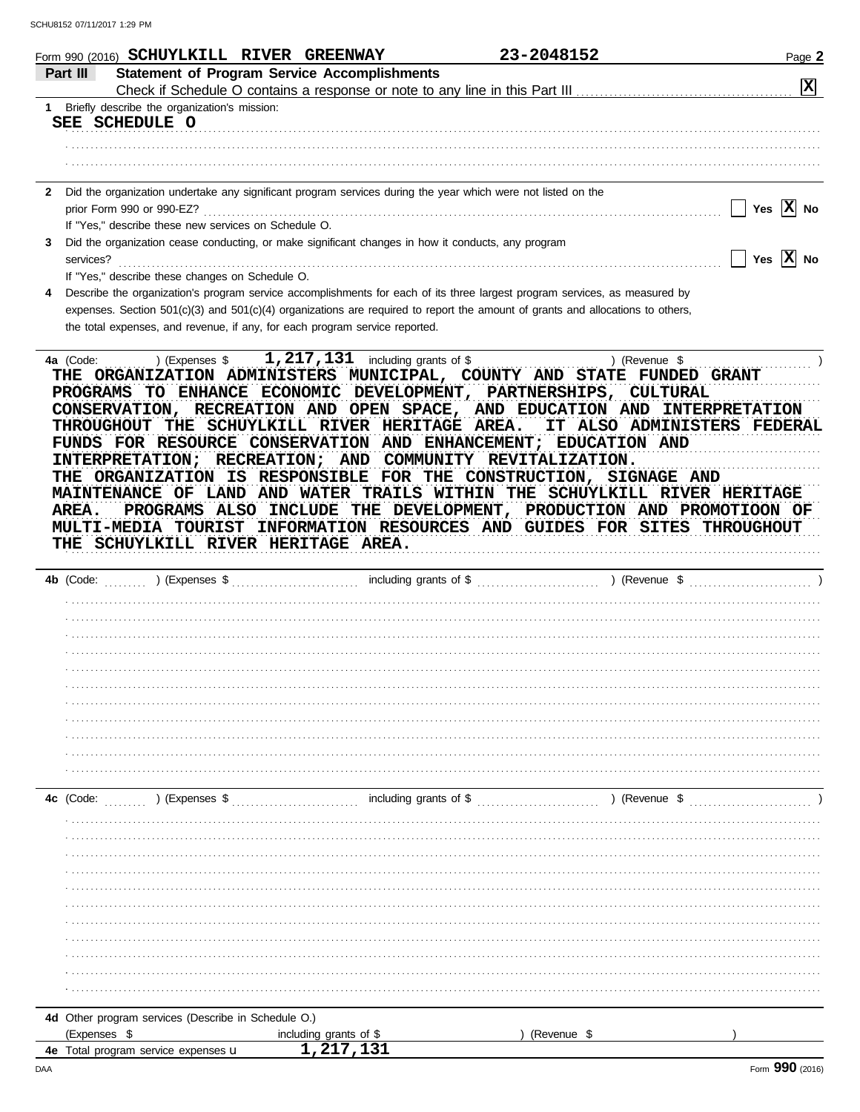|                           | Form 990 (2016) SCHUYLKILL RIVER GREENWAY                                                                      | 23-2048152                                                                                                                                                                                                                                                                                                                                                      | Page 2                                                           |
|---------------------------|----------------------------------------------------------------------------------------------------------------|-----------------------------------------------------------------------------------------------------------------------------------------------------------------------------------------------------------------------------------------------------------------------------------------------------------------------------------------------------------------|------------------------------------------------------------------|
| Part III                  | <b>Statement of Program Service Accomplishments</b>                                                            |                                                                                                                                                                                                                                                                                                                                                                 |                                                                  |
|                           |                                                                                                                |                                                                                                                                                                                                                                                                                                                                                                 | $\overline{\mathbf{x}}$                                          |
|                           | 1 Briefly describe the organization's mission:<br>SEE SCHEDULE O                                               |                                                                                                                                                                                                                                                                                                                                                                 |                                                                  |
|                           |                                                                                                                |                                                                                                                                                                                                                                                                                                                                                                 |                                                                  |
|                           | 2 Did the organization undertake any significant program services during the year which were not listed on the |                                                                                                                                                                                                                                                                                                                                                                 | Yes $ X $ No                                                     |
|                           | If "Yes," describe these new services on Schedule O.                                                           |                                                                                                                                                                                                                                                                                                                                                                 |                                                                  |
| services?                 | Did the organization cease conducting, or make significant changes in how it conducts, any program             |                                                                                                                                                                                                                                                                                                                                                                 | Yes $ \overline{X} $ No                                          |
|                           | If "Yes," describe these changes on Schedule O.                                                                |                                                                                                                                                                                                                                                                                                                                                                 |                                                                  |
|                           |                                                                                                                | Describe the organization's program service accomplishments for each of its three largest program services, as measured by                                                                                                                                                                                                                                      |                                                                  |
|                           |                                                                                                                | expenses. Section 501(c)(3) and 501(c)(4) organizations are required to report the amount of grants and allocations to others,                                                                                                                                                                                                                                  |                                                                  |
|                           | the total expenses, and revenue, if any, for each program service reported.                                    |                                                                                                                                                                                                                                                                                                                                                                 |                                                                  |
|                           | THROUGHOUT THE SCHUYLKILL RIVER HERITAGE AREA.                                                                 | CONSERVATION, RECREATION AND OPEN SPACE, AND EDUCATION AND INTERPRETATION<br>FUNDS FOR RESOURCE CONSERVATION AND ENHANCEMENT; EDUCATION AND                                                                                                                                                                                                                     | PROGRAMS TO ENHANCE ECONOMIC DEVELOPMENT, PARTNERSHIPS, CULTURAL |
|                           | THE SCHUYLKILL RIVER HERITAGE AREA.                                                                            | INTERPRETATION; RECREATION; AND COMMUNITY REVITALIZATION.<br>THE ORGANIZATION IS RESPONSIBLE FOR THE CONSTRUCTION, SIGNAGE AND<br>MAINTENANCE OF LAND AND WATER TRAILS WITHIN THE SCHUYLKILL RIVER HERITAGE<br>PROGRAMS ALSO INCLUDE THE DEVELOPMENT, PRODUCTION AND PROMOTIOON OF<br>MULTI-MEDIA TOURIST INFORMATION RESOURCES AND GUIDES FOR SITES THROUGHOUT | IT ALSO ADMINISTERS FEDERAL                                      |
|                           | ) (Expenses \$                                                                                                 | $\ldots$ including grants of \$ $\ldots$ (Revenue \$ $\ldots$ ) and $\ldots$                                                                                                                                                                                                                                                                                    |                                                                  |
|                           |                                                                                                                |                                                                                                                                                                                                                                                                                                                                                                 |                                                                  |
|                           |                                                                                                                |                                                                                                                                                                                                                                                                                                                                                                 |                                                                  |
|                           |                                                                                                                |                                                                                                                                                                                                                                                                                                                                                                 |                                                                  |
|                           |                                                                                                                |                                                                                                                                                                                                                                                                                                                                                                 |                                                                  |
|                           |                                                                                                                |                                                                                                                                                                                                                                                                                                                                                                 |                                                                  |
|                           |                                                                                                                |                                                                                                                                                                                                                                                                                                                                                                 |                                                                  |
|                           |                                                                                                                |                                                                                                                                                                                                                                                                                                                                                                 |                                                                  |
|                           |                                                                                                                |                                                                                                                                                                                                                                                                                                                                                                 |                                                                  |
| <b>AREA.</b><br>4b (Code: |                                                                                                                |                                                                                                                                                                                                                                                                                                                                                                 |                                                                  |

| 4c (Code:            | ) (Expenses \$                                      | including grants of \$ |             | ) (Revenue \$ |  |
|----------------------|-----------------------------------------------------|------------------------|-------------|---------------|--|
| $\cdots$             |                                                     |                        |             |               |  |
| $\sim$ $\sim$ $\sim$ |                                                     |                        |             |               |  |
|                      |                                                     |                        |             |               |  |
|                      |                                                     |                        |             |               |  |
| 1.1.1.1              |                                                     |                        |             |               |  |
| $\cdots$             |                                                     |                        |             |               |  |
|                      |                                                     |                        |             |               |  |
|                      |                                                     |                        |             |               |  |
|                      |                                                     |                        |             |               |  |
|                      |                                                     |                        |             |               |  |
|                      |                                                     |                        |             |               |  |
|                      | 4d Other program services (Describe in Schedule O.) |                        |             |               |  |
| (Expenses \$         |                                                     | including grants of \$ | (Revenue \$ |               |  |
|                      | 4e Total program service expenses u                 | 1,217,131              |             |               |  |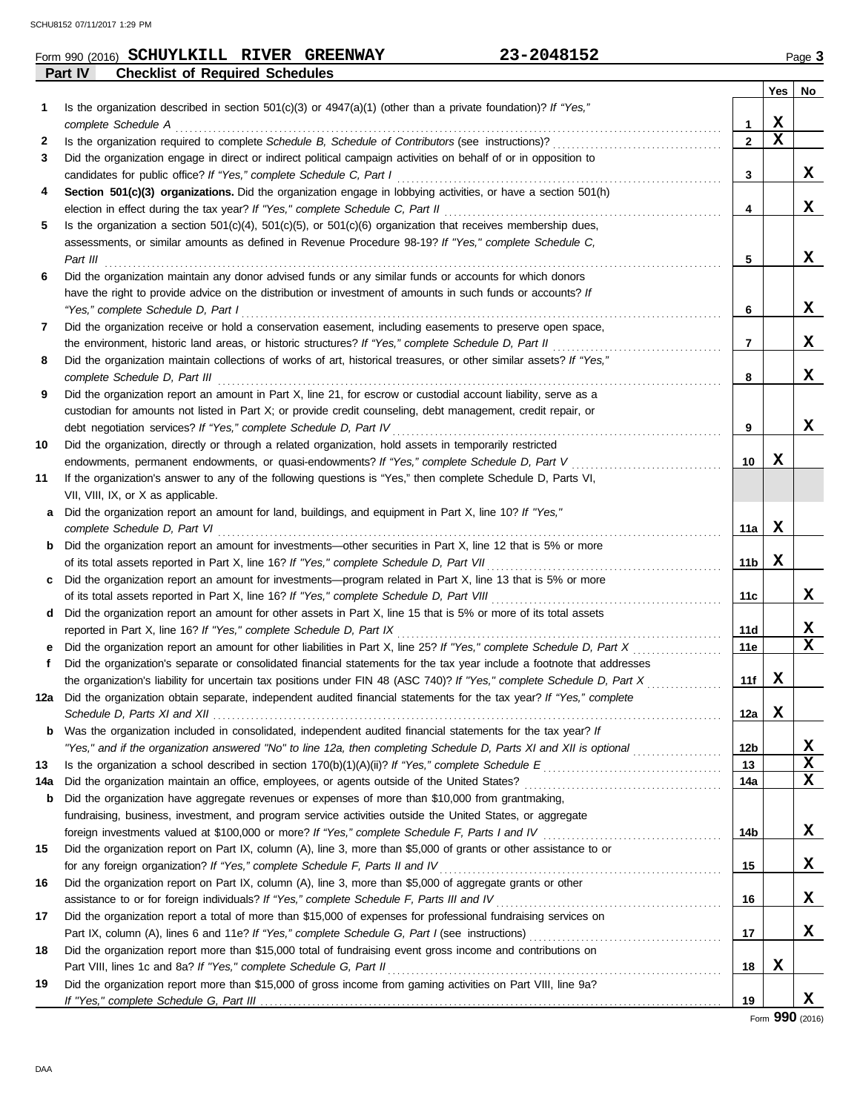|                | Form 990 (2016) SCHUYLKILL RIVER       | <b>GREENWAY</b> | 2048152 | $P$ aqe $\ddot{\phantom{2}}$ |
|----------------|----------------------------------------|-----------------|---------|------------------------------|
| <b>Part IV</b> | <b>Checklist of Required Schedules</b> |                 |         |                              |

|     |                                                                                                                                                    |                 | Yes    | No |
|-----|----------------------------------------------------------------------------------------------------------------------------------------------------|-----------------|--------|----|
| 1   | Is the organization described in section $501(c)(3)$ or $4947(a)(1)$ (other than a private foundation)? If "Yes,"                                  |                 |        |    |
|     | complete Schedule A expression contract a contract of the schedule A experimental contract of A expression contract $\mathcal{A}$                  | 1               | х<br>X |    |
| 2   |                                                                                                                                                    | $\mathbf{2}$    |        |    |
| 3   | Did the organization engage in direct or indirect political campaign activities on behalf of or in opposition to                                   |                 |        |    |
|     | candidates for public office? If "Yes," complete Schedule C, Part I                                                                                | 3               |        | x  |
| 4   | Section 501(c)(3) organizations. Did the organization engage in lobbying activities, or have a section 501(h)                                      |                 |        |    |
|     | election in effect during the tax year? If "Yes," complete Schedule C, Part II                                                                     | 4               |        | x  |
| 5   | Is the organization a section $501(c)(4)$ , $501(c)(5)$ , or $501(c)(6)$ organization that receives membership dues,                               |                 |        |    |
|     | assessments, or similar amounts as defined in Revenue Procedure 98-19? If "Yes," complete Schedule C,                                              |                 |        | x  |
|     |                                                                                                                                                    | 5               |        |    |
| 6   | Did the organization maintain any donor advised funds or any similar funds or accounts for which donors                                            |                 |        |    |
|     | have the right to provide advice on the distribution or investment of amounts in such funds or accounts? If                                        |                 |        | x  |
|     | "Yes," complete Schedule D, Part I                                                                                                                 | 6               |        |    |
| 7   | Did the organization receive or hold a conservation easement, including easements to preserve open space,                                          |                 |        | x  |
|     | the environment, historic land areas, or historic structures? If "Yes," complete Schedule D, Part II                                               | 7               |        |    |
| 8   | Did the organization maintain collections of works of art, historical treasures, or other similar assets? If "Yes,"                                |                 |        | x  |
|     | complete Schedule D, Part III                                                                                                                      | 8               |        |    |
| 9   | Did the organization report an amount in Part X, line 21, for escrow or custodial account liability, serve as a                                    |                 |        |    |
|     | custodian for amounts not listed in Part X; or provide credit counseling, debt management, credit repair, or                                       |                 |        | x  |
|     | debt negotiation services? If "Yes," complete Schedule D, Part IV                                                                                  | 9               |        |    |
| 10  | Did the organization, directly or through a related organization, hold assets in temporarily restricted                                            |                 | х      |    |
|     | endowments, permanent endowments, or quasi-endowments? If "Yes," complete Schedule D, Part V                                                       | 10              |        |    |
| 11  | If the organization's answer to any of the following questions is "Yes," then complete Schedule D, Parts VI,<br>VII, VIII, IX, or X as applicable. |                 |        |    |
| a   | Did the organization report an amount for land, buildings, and equipment in Part X, line 10? If "Yes,"<br>complete Schedule D, Part VI             | 11a             | х      |    |
|     | <b>b</b> Did the organization report an amount for investments—other securities in Part X, line 12 that is 5% or more                              |                 |        |    |
|     |                                                                                                                                                    | 11b             | х      |    |
| C   | Did the organization report an amount for investments—program related in Part X, line 13 that is 5% or more                                        |                 |        |    |
|     |                                                                                                                                                    | 11c             |        | X  |
| d   | Did the organization report an amount for other assets in Part X, line 15 that is 5% or more of its total assets                                   |                 |        |    |
|     | reported in Part X, line 16? If "Yes," complete Schedule D, Part IX                                                                                | 11d             |        | x  |
| е   | Did the organization report an amount for other liabilities in Part X, line 25? If "Yes," complete Schedule D, Part X                              | 11e             |        | X  |
| f   | Did the organization's separate or consolidated financial statements for the tax year include a footnote that addresses                            |                 |        |    |
|     | the organization's liability for uncertain tax positions under FIN 48 (ASC 740)? If "Yes," complete Schedule D, Part X                             | 11f             | X      |    |
|     | 12a Did the organization obtain separate, independent audited financial statements for the tax year? If "Yes," complete                            |                 |        |    |
|     |                                                                                                                                                    | 12a             | X      |    |
| b   | Was the organization included in consolidated, independent audited financial statements for the tax year? If                                       |                 |        |    |
|     | "Yes," and if the organization answered "No" to line 12a, then completing Schedule D, Parts XI and XII is optional                                 | 12 <sub>b</sub> |        | X  |
| 13  |                                                                                                                                                    | 13              |        | X  |
| 14a |                                                                                                                                                    | 14a             |        | X  |
| b   | Did the organization have aggregate revenues or expenses of more than \$10,000 from grantmaking,                                                   |                 |        |    |
|     | fundraising, business, investment, and program service activities outside the United States, or aggregate                                          |                 |        |    |
|     |                                                                                                                                                    | 14b             |        | x  |
| 15  | Did the organization report on Part IX, column (A), line 3, more than \$5,000 of grants or other assistance to or                                  |                 |        |    |
|     | for any foreign organization? If "Yes," complete Schedule F, Parts II and IV                                                                       | 15              |        | x  |
| 16  | Did the organization report on Part IX, column (A), line 3, more than \$5,000 of aggregate grants or other                                         |                 |        |    |
|     | assistance to or for foreign individuals? If "Yes," complete Schedule F, Parts III and IV [[[[[[[[[[[[[[[[[[[                                      | 16              |        | x  |
| 17  | Did the organization report a total of more than \$15,000 of expenses for professional fundraising services on                                     |                 |        |    |
|     |                                                                                                                                                    | 17              |        | x  |
| 18  | Did the organization report more than \$15,000 total of fundraising event gross income and contributions on                                        |                 |        |    |
|     | Part VIII, lines 1c and 8a? If "Yes," complete Schedule G, Part II                                                                                 | 18              | X      |    |
| 19  | Did the organization report more than \$15,000 of gross income from gaming activities on Part VIII, line 9a?                                       |                 |        |    |
|     |                                                                                                                                                    | 19              |        | X. |

Form **990** (2016)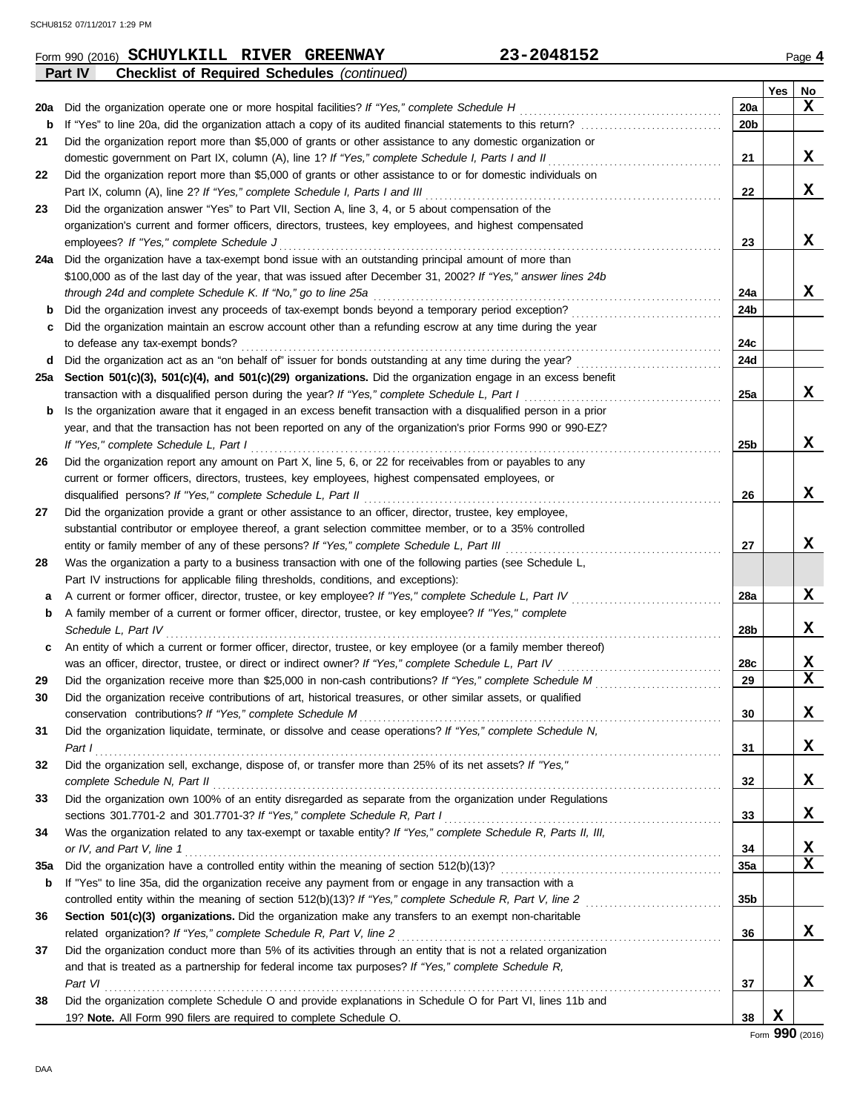|     | 23-2048152<br>Form 990 (2016) SCHUYLKILL RIVER GREENWAY                                                          |                 |     | Page 4                  |
|-----|------------------------------------------------------------------------------------------------------------------|-----------------|-----|-------------------------|
|     | <b>Checklist of Required Schedules (continued)</b><br>Part IV                                                    |                 |     |                         |
|     |                                                                                                                  |                 | Yes | No                      |
| 20a | Did the organization operate one or more hospital facilities? If "Yes," complete Schedule H                      | 20a             |     | X                       |
| b   |                                                                                                                  | 20b             |     |                         |
| 21  | Did the organization report more than \$5,000 of grants or other assistance to any domestic organization or      |                 |     |                         |
|     | domestic government on Part IX, column (A), line 1? If "Yes," complete Schedule I, Parts I and II                | 21              |     | X                       |
| 22  | Did the organization report more than \$5,000 of grants or other assistance to or for domestic individuals on    |                 |     |                         |
|     | Part IX, column (A), line 2? If "Yes," complete Schedule I, Parts I and III                                      | 22              |     | X                       |
| 23  | Did the organization answer "Yes" to Part VII, Section A, line 3, 4, or 5 about compensation of the              |                 |     |                         |
|     | organization's current and former officers, directors, trustees, key employees, and highest compensated          |                 |     |                         |
|     | employees? If "Yes," complete Schedule J                                                                         | 23              |     | X                       |
|     | 24a Did the organization have a tax-exempt bond issue with an outstanding principal amount of more than          |                 |     |                         |
|     | \$100,000 as of the last day of the year, that was issued after December 31, 2002? If "Yes," answer lines 24b    |                 |     |                         |
|     | through 24d and complete Schedule K. If "No," go to line 25a                                                     | 24a             |     | X                       |
| b   | Did the organization invest any proceeds of tax-exempt bonds beyond a temporary period exception?                | 24b             |     |                         |
| С   | Did the organization maintain an escrow account other than a refunding escrow at any time during the year        |                 |     |                         |
|     | to defease any tax-exempt bonds?                                                                                 | 24c             |     |                         |
|     | d Did the organization act as an "on behalf of" issuer for bonds outstanding at any time during the year?        | 24d             |     |                         |
|     | 25a Section 501(c)(3), 501(c)(4), and 501(c)(29) organizations. Did the organization engage in an excess benefit |                 |     |                         |
|     | transaction with a disqualified person during the year? If "Yes," complete Schedule L, Part I                    | 25a             |     | X                       |
| b   | Is the organization aware that it engaged in an excess benefit transaction with a disqualified person in a prior |                 |     |                         |
|     | year, and that the transaction has not been reported on any of the organization's prior Forms 990 or 990-EZ?     |                 |     |                         |
|     | If "Yes," complete Schedule L, Part I                                                                            | 25b             |     | X                       |
| 26  | Did the organization report any amount on Part X, line 5, 6, or 22 for receivables from or payables to any       |                 |     |                         |
|     | current or former officers, directors, trustees, key employees, highest compensated employees, or                |                 |     |                         |
|     | disqualified persons? If "Yes," complete Schedule L, Part II                                                     | 26              |     | X                       |
| 27  | Did the organization provide a grant or other assistance to an officer, director, trustee, key employee,         |                 |     |                         |
|     | substantial contributor or employee thereof, a grant selection committee member, or to a 35% controlled          |                 |     |                         |
|     | entity or family member of any of these persons? If "Yes," complete Schedule L, Part III                         | 27              |     | X                       |
| 28  | Was the organization a party to a business transaction with one of the following parties (see Schedule L,        |                 |     |                         |
|     | Part IV instructions for applicable filing thresholds, conditions, and exceptions):                              |                 |     |                         |
| а   | A current or former officer, director, trustee, or key employee? If "Yes," complete Schedule L, Part IV          | 28a             |     | X                       |
| b   | A family member of a current or former officer, director, trustee, or key employee? If "Yes," complete           |                 |     |                         |
|     | Schedule L, Part IV                                                                                              | 28b             |     | x                       |
| c   | An entity of which a current or former officer, director, trustee, or key employee (or a family member thereof)  |                 |     |                         |
|     | was an officer, director, trustee, or direct or indirect owner? If "Yes," complete Schedule L, Part IV           | 28c             |     | X                       |
| 29  |                                                                                                                  | 29              |     | $\overline{\textbf{x}}$ |
| 30  | Did the organization receive contributions of art, historical treasures, or other similar assets, or qualified   |                 |     |                         |
|     | conservation contributions? If "Yes," complete Schedule M                                                        | 30              |     | X                       |
| 31  | Did the organization liquidate, terminate, or dissolve and cease operations? If "Yes," complete Schedule N,      |                 |     |                         |
|     | Part I                                                                                                           | 31              |     | X                       |
| 32  | Did the organization sell, exchange, dispose of, or transfer more than 25% of its net assets? If "Yes,"          |                 |     |                         |
|     | complete Schedule N, Part II                                                                                     | 32              |     | X                       |
| 33  | Did the organization own 100% of an entity disregarded as separate from the organization under Regulations       |                 |     |                         |
|     | sections 301.7701-2 and 301.7701-3? If "Yes," complete Schedule R, Part I                                        | 33              |     | X                       |
| 34  | Was the organization related to any tax-exempt or taxable entity? If "Yes," complete Schedule R, Parts II, III,  |                 |     |                         |
|     | or IV, and Part V, line 1                                                                                        | 34              |     | X                       |
| 35a | Did the organization have a controlled entity within the meaning of section 512(b)(13)?                          | 35a             |     | X                       |
| b   | If "Yes" to line 35a, did the organization receive any payment from or engage in any transaction with a          |                 |     |                         |
|     |                                                                                                                  | 35 <sub>b</sub> |     |                         |
| 36  | Section 501(c)(3) organizations. Did the organization make any transfers to an exempt non-charitable             |                 |     |                         |
|     | related organization? If "Yes," complete Schedule R, Part V, line 2                                              | 36              |     | X                       |
| 37  | Did the organization conduct more than 5% of its activities through an entity that is not a related organization |                 |     |                         |
|     | and that is treated as a partnership for federal income tax purposes? If "Yes," complete Schedule R,             |                 |     |                         |
|     | Part VI                                                                                                          | 37              |     | X                       |
| 38  | Did the organization complete Schedule O and provide explanations in Schedule O for Part VI, lines 11b and       |                 |     |                         |
|     | 19? Note. All Form 990 filers are required to complete Schedule O.                                               | 38              | X   |                         |

DAA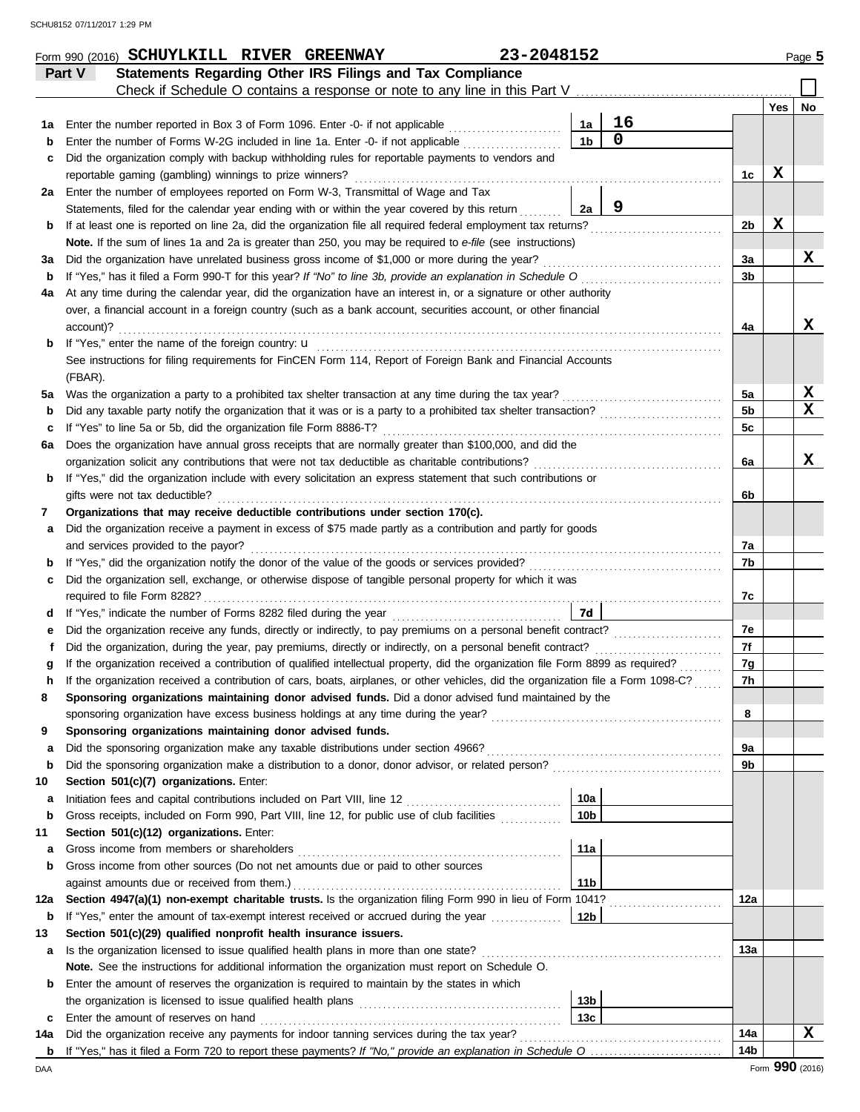|     | 23-2048152<br>Form 990 (2016) SCHUYLKILL RIVER GREENWAY                                                                                                                                                     |                 |                |                |            | Page 5 |
|-----|-------------------------------------------------------------------------------------------------------------------------------------------------------------------------------------------------------------|-----------------|----------------|----------------|------------|--------|
|     | Statements Regarding Other IRS Filings and Tax Compliance<br>Part V                                                                                                                                         |                 |                |                |            |        |
|     | Check if Schedule O contains a response or note to any line in this Part V                                                                                                                                  |                 |                |                |            |        |
|     |                                                                                                                                                                                                             |                 |                |                | <b>Yes</b> | No     |
| 1a  | Enter the number reported in Box 3 of Form 1096. Enter -0- if not applicable                                                                                                                                | 1a              | 16             |                |            |        |
| b   | Enter the number of Forms W-2G included in line 1a. Enter -0- if not applicable                                                                                                                             | 1 <sub>b</sub>  | $\overline{0}$ |                |            |        |
| c   | Did the organization comply with backup withholding rules for reportable payments to vendors and                                                                                                            |                 |                |                |            |        |
|     | reportable gaming (gambling) winnings to prize winners?                                                                                                                                                     |                 |                | 1c             | X          |        |
|     | 2a Enter the number of employees reported on Form W-3, Transmittal of Wage and Tax                                                                                                                          |                 |                |                |            |        |
|     | Statements, filed for the calendar year ending with or within the year covered by this return                                                                                                               | 2a              | 9              |                |            |        |
| b   | If at least one is reported on line 2a, did the organization file all required federal employment tax returns?                                                                                              |                 |                | 2b             | X          |        |
|     | Note. If the sum of lines 1a and 2a is greater than 250, you may be required to e-file (see instructions)                                                                                                   |                 |                |                |            |        |
| За  | Did the organization have unrelated business gross income of \$1,000 or more during the year?                                                                                                               |                 |                | 3a             |            | x      |
| b   | If "Yes," has it filed a Form 990-T for this year? If "No" to line 3b, provide an explanation in Schedule O                                                                                                 |                 |                | 3b             |            |        |
| 4a  | At any time during the calendar year, did the organization have an interest in, or a signature or other authority                                                                                           |                 |                |                |            |        |
|     | over, a financial account in a foreign country (such as a bank account, securities account, or other financial                                                                                              |                 |                |                |            |        |
|     | account)?                                                                                                                                                                                                   |                 |                | 4a             |            | X      |
| b   | If "Yes," enter the name of the foreign country: u                                                                                                                                                          |                 |                |                |            |        |
|     | See instructions for filing requirements for FinCEN Form 114, Report of Foreign Bank and Financial Accounts                                                                                                 |                 |                |                |            |        |
|     | (FBAR).                                                                                                                                                                                                     |                 |                |                |            |        |
| 5a  | Was the organization a party to a prohibited tax shelter transaction at any time during the tax year?                                                                                                       |                 |                | 5a             |            | X      |
| b   | Did any taxable party notify the organization that it was or is a party to a prohibited tax shelter transaction?                                                                                            |                 |                | 5 <sub>b</sub> |            | X      |
| c   | If "Yes" to line 5a or 5b, did the organization file Form 8886-T?                                                                                                                                           |                 |                | 5c             |            |        |
| 6а  | Does the organization have annual gross receipts that are normally greater than \$100,000, and did the                                                                                                      |                 |                |                |            | X      |
|     | organization solicit any contributions that were not tax deductible as charitable contributions?                                                                                                            |                 |                | 6a             |            |        |
| b   | If "Yes," did the organization include with every solicitation an express statement that such contributions or                                                                                              |                 |                |                |            |        |
|     | gifts were not tax deductible?                                                                                                                                                                              |                 |                | 6b             |            |        |
| 7   | Organizations that may receive deductible contributions under section 170(c).                                                                                                                               |                 |                |                |            |        |
| а   | Did the organization receive a payment in excess of \$75 made partly as a contribution and partly for goods                                                                                                 |                 |                |                |            |        |
|     | and services provided to the payor?                                                                                                                                                                         |                 |                | 7a<br>7b       |            |        |
| b   | If "Yes," did the organization notify the donor of the value of the goods or services provided?<br>Did the organization sell, exchange, or otherwise dispose of tangible personal property for which it was |                 |                |                |            |        |
| c   | required to file Form 8282?                                                                                                                                                                                 |                 |                | 7c             |            |        |
| d   |                                                                                                                                                                                                             | 7d              |                |                |            |        |
| е   | Did the organization receive any funds, directly or indirectly, to pay premiums on a personal benefit contract?                                                                                             |                 |                | 7e             |            |        |
|     | Did the organization, during the year, pay premiums, directly or indirectly, on a personal benefit contract?                                                                                                |                 |                | 7f             |            |        |
|     | If the organization received a contribution of qualified intellectual property, did the organization file Form 8899 as required?                                                                            |                 |                | 7g             |            |        |
|     | If the organization received a contribution of cars, boats, airplanes, or other vehicles, did the organization file a Form 1098-C?                                                                          |                 |                | 7h             |            |        |
| 8   | Sponsoring organizations maintaining donor advised funds. Did a donor advised fund maintained by the                                                                                                        |                 |                |                |            |        |
|     |                                                                                                                                                                                                             |                 |                | 8              |            |        |
| 9   | Sponsoring organizations maintaining donor advised funds.                                                                                                                                                   |                 |                |                |            |        |
| a   | Did the sponsoring organization make any taxable distributions under section 4966?                                                                                                                          |                 |                | 9a             |            |        |
| b   | Did the sponsoring organization make a distribution to a donor, donor advisor, or related person?                                                                                                           |                 |                | 9b             |            |        |
| 10  | Section 501(c)(7) organizations. Enter:                                                                                                                                                                     |                 |                |                |            |        |
| а   | Initiation fees and capital contributions included on Part VIII, line 12 [11] [11] [12] [11] [11] [12] [11] [1                                                                                              | 10a             |                |                |            |        |
| b   | Gross receipts, included on Form 990, Part VIII, line 12, for public use of club facilities                                                                                                                 | 10 <sub>b</sub> |                |                |            |        |
| 11  | Section 501(c)(12) organizations. Enter:                                                                                                                                                                    |                 |                |                |            |        |
| а   | Gross income from members or shareholders                                                                                                                                                                   | 11a             |                |                |            |        |
| b   | Gross income from other sources (Do not net amounts due or paid to other sources                                                                                                                            |                 |                |                |            |        |
|     | against amounts due or received from them.)                                                                                                                                                                 | 11 <sub>b</sub> |                |                |            |        |
| 12a | Section 4947(a)(1) non-exempt charitable trusts. Is the organization filing Form 990 in lieu of Form 1041?                                                                                                  |                 |                | 12a            |            |        |
| b   | If "Yes," enter the amount of tax-exempt interest received or accrued during the year                                                                                                                       | 12b             |                |                |            |        |
| 13  | Section 501(c)(29) qualified nonprofit health insurance issuers.                                                                                                                                            |                 |                |                |            |        |
| а   | Is the organization licensed to issue qualified health plans in more than one state?                                                                                                                        |                 |                | 13а            |            |        |
|     | Note. See the instructions for additional information the organization must report on Schedule O.                                                                                                           |                 |                |                |            |        |
| b   | Enter the amount of reserves the organization is required to maintain by the states in which                                                                                                                |                 |                |                |            |        |
|     |                                                                                                                                                                                                             | 13b             |                |                |            |        |
| c   | Enter the amount of reserves on hand                                                                                                                                                                        | 13 <sub>c</sub> |                |                |            |        |
| 14a | Did the organization receive any payments for indoor tanning services during the tax year?                                                                                                                  |                 |                | 14a            |            | X      |
|     |                                                                                                                                                                                                             |                 |                | 14b            |            |        |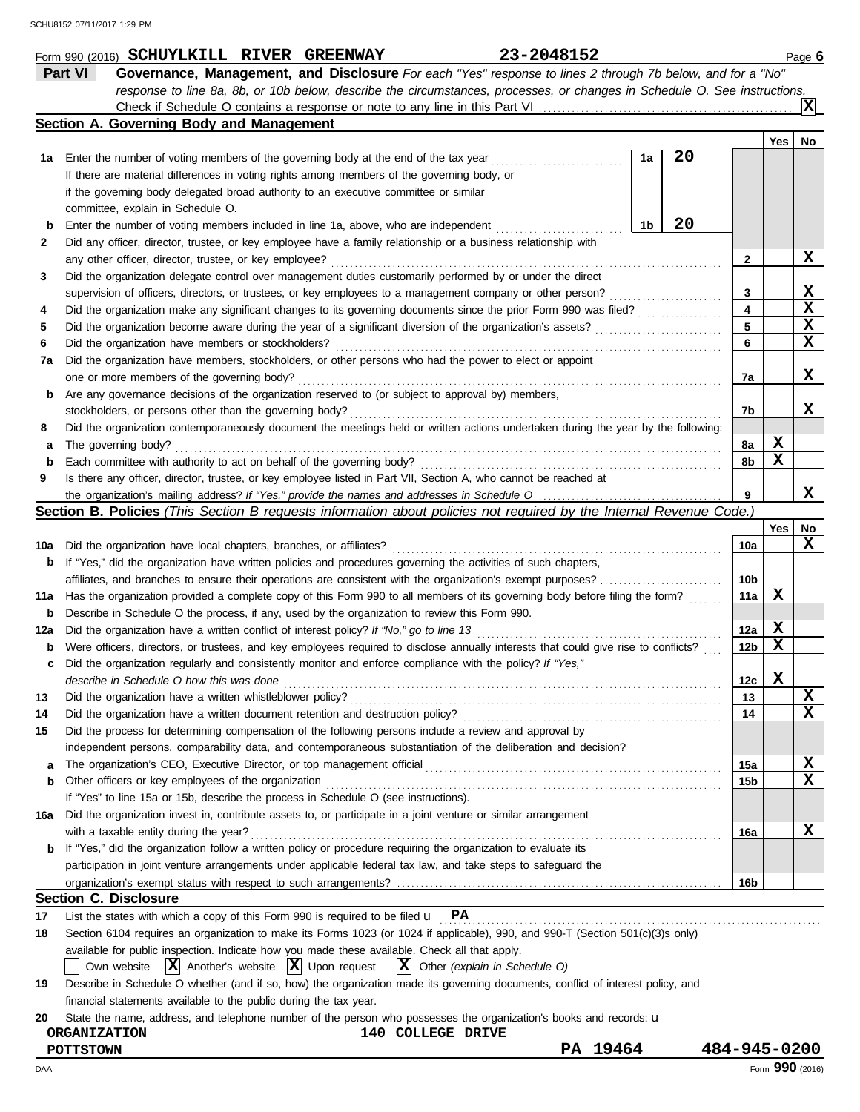|     | 23-2048152<br>Form 990 (2016) SCHUYLKILL RIVER GREENWAY                                                                             |                 |             | Page 6          |
|-----|-------------------------------------------------------------------------------------------------------------------------------------|-----------------|-------------|-----------------|
|     | Part VI<br>Governance, Management, and Disclosure For each "Yes" response to lines 2 through 7b below, and for a "No"               |                 |             |                 |
|     | response to line 8a, 8b, or 10b below, describe the circumstances, processes, or changes in Schedule O. See instructions.           |                 |             |                 |
|     |                                                                                                                                     |                 |             | ΙXΙ             |
|     | Section A. Governing Body and Management                                                                                            |                 |             |                 |
|     |                                                                                                                                     |                 | Yes         | No              |
|     | 20<br>1a<br>1a Enter the number of voting members of the governing body at the end of the tax year                                  |                 |             |                 |
|     | If there are material differences in voting rights among members of the governing body, or                                          |                 |             |                 |
|     | if the governing body delegated broad authority to an executive committee or similar                                                |                 |             |                 |
|     | committee, explain in Schedule O.                                                                                                   |                 |             |                 |
| b   | 20<br>1 <sub>b</sub><br>Enter the number of voting members included in line 1a, above, who are independent                          |                 |             |                 |
| 2   | Did any officer, director, trustee, or key employee have a family relationship or a business relationship with                      |                 |             |                 |
|     | any other officer, director, trustee, or key employee?                                                                              | $\mathbf{2}$    |             | X               |
| 3   | Did the organization delegate control over management duties customarily performed by or under the direct                           |                 |             |                 |
|     | supervision of officers, directors, or trustees, or key employees to a management company or other person?                          | 3               |             | X               |
| 4   | Did the organization make any significant changes to its governing documents since the prior Form 990 was filed?                    | 4               |             | X               |
| 5   | Did the organization become aware during the year of a significant diversion of the organization's assets?                          | 5               |             | X               |
| 6   | Did the organization have members or stockholders?                                                                                  | 6               |             | $\mathbf x$     |
| 7а  | Did the organization have members, stockholders, or other persons who had the power to elect or appoint                             |                 |             |                 |
|     | one or more members of the governing body?                                                                                          | 7a              |             | X               |
| b   | Are any governance decisions of the organization reserved to (or subject to approval by) members,                                   |                 |             |                 |
|     | stockholders, or persons other than the governing body?                                                                             | 7b              |             | X               |
| 8   | Did the organization contemporaneously document the meetings held or written actions undertaken during the year by the following:   |                 |             |                 |
| а   | The governing body?                                                                                                                 | 8а              | X           |                 |
| b   | Each committee with authority to act on behalf of the governing body?                                                               | 8b              | $\mathbf x$ |                 |
| 9   | Is there any officer, director, trustee, or key employee listed in Part VII, Section A, who cannot be reached at                    |                 |             |                 |
|     |                                                                                                                                     | 9               |             | x               |
|     | <b>Section B. Policies</b> (This Section B requests information about policies not required by the Internal Revenue Code.)          |                 |             |                 |
|     |                                                                                                                                     |                 |             |                 |
|     |                                                                                                                                     |                 | Yes         | No<br>x         |
| 10a | Did the organization have local chapters, branches, or affiliates?                                                                  | 10a             |             |                 |
| b   | If "Yes," did the organization have written policies and procedures governing the activities of such chapters,                      |                 |             |                 |
|     | affiliates, and branches to ensure their operations are consistent with the organization's exempt purposes?                         | 10b             |             |                 |
| 11a | Has the organization provided a complete copy of this Form 990 to all members of its governing body before filing the form?         | 11a             | X           |                 |
| b   | Describe in Schedule O the process, if any, used by the organization to review this Form 990.                                       |                 |             |                 |
| 12a | Did the organization have a written conflict of interest policy? If "No," go to line 13                                             | 12a             | X           |                 |
| b   | Were officers, directors, or trustees, and key employees required to disclose annually interests that could give rise to conflicts? | 12 <sub>b</sub> | X           |                 |
| c   | Did the organization regularly and consistently monitor and enforce compliance with the policy? If "Yes,"                           |                 |             |                 |
|     | describe in Schedule O how this was done                                                                                            | 12c             | X           |                 |
| 13  | Did the organization have a written whistleblower policy?                                                                           | 13              |             | X               |
| 14  | Did the organization have a written document retention and destruction policy?                                                      | 14              |             | X               |
| 15  | Did the process for determining compensation of the following persons include a review and approval by                              |                 |             |                 |
|     | independent persons, comparability data, and contemporaneous substantiation of the deliberation and decision?                       |                 |             |                 |
| a   | The organization's CEO, Executive Director, or top management official                                                              | 15a             |             | х               |
| b   | Other officers or key employees of the organization                                                                                 | 15b             |             | X               |
|     | If "Yes" to line 15a or 15b, describe the process in Schedule O (see instructions).                                                 |                 |             |                 |
| 16a | Did the organization invest in, contribute assets to, or participate in a joint venture or similar arrangement                      |                 |             |                 |
|     | with a taxable entity during the year?                                                                                              | 16a             |             | х               |
|     | <b>b</b> If "Yes," did the organization follow a written policy or procedure requiring the organization to evaluate its             |                 |             |                 |
|     | participation in joint venture arrangements under applicable federal tax law, and take steps to safeguard the                       |                 |             |                 |
|     |                                                                                                                                     | 16 <sub>b</sub> |             |                 |
|     | <b>Section C. Disclosure</b>                                                                                                        |                 |             |                 |
| 17  | List the states with which a copy of this Form 990 is required to be filed $\mathbf{u}$ PA                                          |                 |             |                 |
| 18  | Section 6104 requires an organization to make its Forms 1023 (or 1024 if applicable), 990, and 990-T (Section 501(c)(3)s only)      |                 |             |                 |
|     | available for public inspection. Indicate how you made these available. Check all that apply.                                       |                 |             |                 |
|     | $ \mathbf{X} $ Other (explain in Schedule O)<br>$ \mathbf{X} $ Another's website $ \mathbf{X} $ Upon request<br>Own website         |                 |             |                 |
| 19  | Describe in Schedule O whether (and if so, how) the organization made its governing documents, conflict of interest policy, and     |                 |             |                 |
|     | financial statements available to the public during the tax year.                                                                   |                 |             |                 |
| 20  | State the name, address, and telephone number of the person who possesses the organization's books and records: u                   |                 |             |                 |
|     | 140 COLLEGE DRIVE<br><b>ORGANIZATION</b>                                                                                            |                 |             |                 |
|     | PA 19464<br>POTTSTOWN                                                                                                               | 484-945-0200    |             |                 |
| DAA |                                                                                                                                     |                 |             | Form 990 (2016) |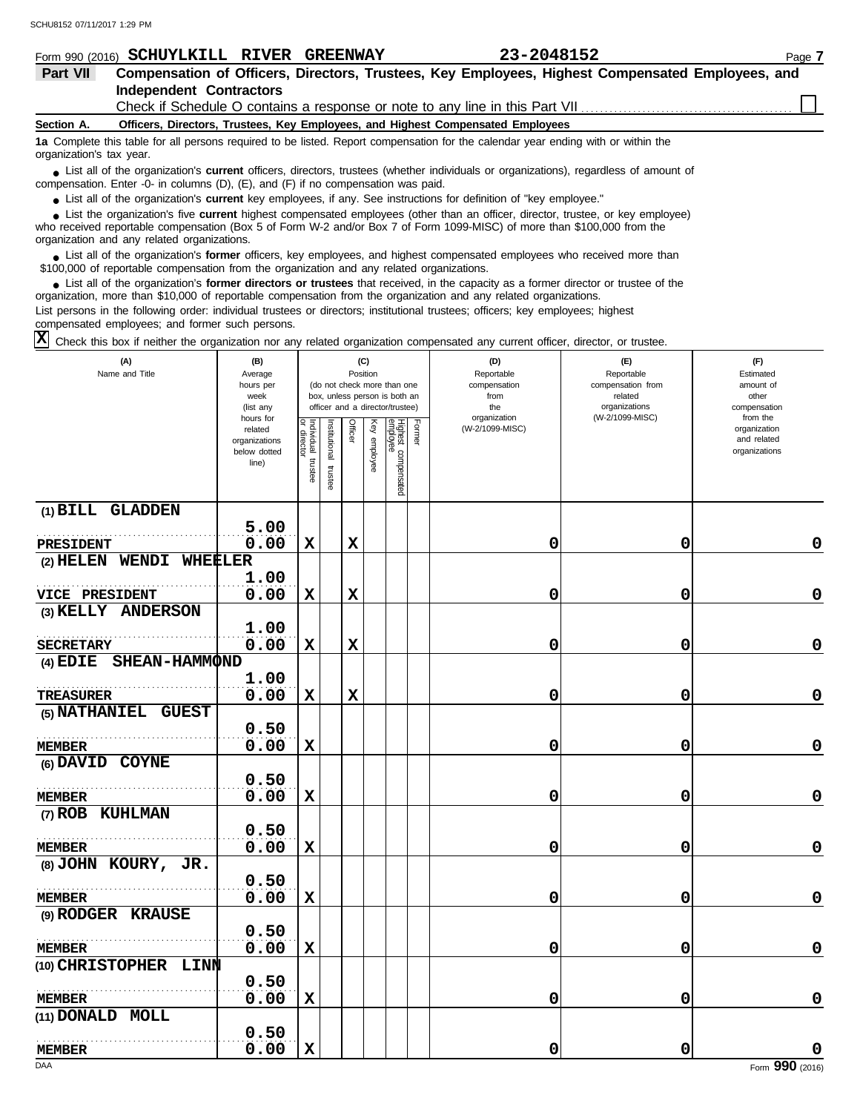|                          | Form 990 (2016) SCHUYLKILL RIVER GREENWAY                                                 | 23-2048152                                                                                                                             | Page 7 |
|--------------------------|-------------------------------------------------------------------------------------------|----------------------------------------------------------------------------------------------------------------------------------------|--------|
| Part VII                 |                                                                                           | Compensation of Officers, Directors, Trustees, Key Employees, Highest Compensated Employees, and                                       |        |
|                          | <b>Independent Contractors</b>                                                            |                                                                                                                                        |        |
|                          |                                                                                           | Check if Schedule O contains a response or note to any line in this Part VII                                                           |        |
| Section A.               | Officers, Directors, Trustees, Key Employees, and Highest Compensated Employees           |                                                                                                                                        |        |
| organization's tax year. |                                                                                           | 1a Complete this table for all persons required to be listed. Report compensation for the calendar year ending with or within the      |        |
|                          | compensation. Enter -0- in columns $(D)$ , $(E)$ , and $(F)$ if no compensation was paid. | • List all of the organization's current officers, directors, trustees (whether individuals or organizations), regardless of amount of |        |

● List all of the organization's **current** key employees, if any. See instructions for definition of "key employee."

who received reportable compensation (Box 5 of Form W-2 and/or Box 7 of Form 1099-MISC) of more than \$100,000 from the ■ List the organization's five **current** highest compensated employees (other than an officer, director, trustee, or key employee)<br> **•** Preceived reportable compensation (Box 5 of Form W.2 and/or Box 7 of Form 1000 MISC)

organization and any related organizations. ■ List all of the organization's **former** officers, key employees, and highest compensated employees who received more than<br> **•** 00,000 of reportable compensation from the ergonization and any related ergonizations \$100,000 of reportable compensation from the organization and any related organizations.

■ List all of the organization's **former directors or trustees** that received, in the capacity as a former director or trustee of the<br>paization, more than \$10,000 of reportable compensation from the organization and any r organization, more than \$10,000 of reportable compensation from the organization and any related organizations. List persons in the following order: individual trustees or directors; institutional trustees; officers; key employees; highest

compensated employees; and former such persons.

 $\overline{X}$  Check this box if neither the organization nor any related organization compensated any current officer, director, or trustee.

| (A)<br>Name and Title                       | (B)<br>Average<br>hours per<br>week<br>(list any               |                                      |                          | (C)<br>Position |              | (do not check more than one<br>box, unless person is both an<br>officer and a director/trustee) |        | (D)<br>Reportable<br>compensation<br>from<br>the<br>organization | (E)<br>Reportable<br>compensation from<br>related<br>organizations<br>(W-2/1099-MISC) | (F)<br>Estimated<br>amount of<br>other<br>compensation<br>from the |
|---------------------------------------------|----------------------------------------------------------------|--------------------------------------|--------------------------|-----------------|--------------|-------------------------------------------------------------------------------------------------|--------|------------------------------------------------------------------|---------------------------------------------------------------------------------------|--------------------------------------------------------------------|
|                                             | hours for<br>related<br>organizations<br>below dotted<br>line) | Individual<br>or director<br>trustee | Institutional<br>trustee | Officer         | Key employee | Highest compensated<br>employee                                                                 | Former | (W-2/1099-MISC)                                                  |                                                                                       | organization<br>and related<br>organizations                       |
| (1) BILL GLADDEN                            |                                                                |                                      |                          |                 |              |                                                                                                 |        |                                                                  |                                                                                       |                                                                    |
|                                             | 5.00<br>0.00                                                   |                                      |                          |                 |              |                                                                                                 |        |                                                                  | 0                                                                                     | 0                                                                  |
| <b>PRESIDENT</b><br>(2) HELEN WENDI WHEELER |                                                                | $\mathbf x$                          |                          | $\mathbf x$     |              |                                                                                                 |        | 0                                                                |                                                                                       |                                                                    |
|                                             | 1.00                                                           |                                      |                          |                 |              |                                                                                                 |        |                                                                  |                                                                                       |                                                                    |
| <b>VICE PRESIDENT</b>                       | 0.00                                                           | $\mathbf x$                          |                          | $\mathbf x$     |              |                                                                                                 |        | 0                                                                | 0                                                                                     | 0                                                                  |
| (3) KELLY ANDERSON                          |                                                                |                                      |                          |                 |              |                                                                                                 |        |                                                                  |                                                                                       |                                                                    |
|                                             | 1.00                                                           |                                      |                          |                 |              |                                                                                                 |        |                                                                  |                                                                                       |                                                                    |
| <b>SECRETARY</b>                            | 0.00                                                           | X                                    |                          | $\mathbf x$     |              |                                                                                                 |        | 0                                                                | 0                                                                                     | 0                                                                  |
| (4) EDIE SHEAN-HAMMOND                      |                                                                |                                      |                          |                 |              |                                                                                                 |        |                                                                  |                                                                                       |                                                                    |
|                                             | 1.00                                                           |                                      |                          |                 |              |                                                                                                 |        |                                                                  |                                                                                       |                                                                    |
| <b>TREASURER</b>                            | 0.00                                                           | $\mathbf x$                          |                          | $\mathbf x$     |              |                                                                                                 |        | 0                                                                | 0                                                                                     | 0                                                                  |
| (5) NATHANIEL GUEST                         | 0.50                                                           |                                      |                          |                 |              |                                                                                                 |        |                                                                  |                                                                                       |                                                                    |
| <b>MEMBER</b>                               | 0.00                                                           | $\mathbf x$                          |                          |                 |              |                                                                                                 |        | 0                                                                | 0                                                                                     | 0                                                                  |
| (6) DAVID COYNE                             |                                                                |                                      |                          |                 |              |                                                                                                 |        |                                                                  |                                                                                       |                                                                    |
|                                             | 0.50                                                           |                                      |                          |                 |              |                                                                                                 |        |                                                                  |                                                                                       |                                                                    |
| <b>MEMBER</b>                               | 0.00                                                           | $\mathbf x$                          |                          |                 |              |                                                                                                 |        | 0                                                                | 0                                                                                     | 0                                                                  |
| (7) ROB KUHLMAN                             |                                                                |                                      |                          |                 |              |                                                                                                 |        |                                                                  |                                                                                       |                                                                    |
|                                             | 0.50                                                           |                                      |                          |                 |              |                                                                                                 |        |                                                                  |                                                                                       |                                                                    |
| <b>MEMBER</b>                               | 0.00                                                           | $\mathbf x$                          |                          |                 |              |                                                                                                 |        | 0                                                                | 0                                                                                     | $\mathbf 0$                                                        |
| (8) JOHN KOURY, JR.                         |                                                                |                                      |                          |                 |              |                                                                                                 |        |                                                                  |                                                                                       |                                                                    |
|                                             | 0.50                                                           |                                      |                          |                 |              |                                                                                                 |        |                                                                  |                                                                                       |                                                                    |
| <b>MEMBER</b>                               | 0.00                                                           | $\mathbf x$                          |                          |                 |              |                                                                                                 |        | 0                                                                | 0                                                                                     | 0                                                                  |
| (9) RODGER KRAUSE                           | 0.50                                                           |                                      |                          |                 |              |                                                                                                 |        |                                                                  |                                                                                       |                                                                    |
| <b>MEMBER</b>                               | 0.00                                                           | $\mathbf x$                          |                          |                 |              |                                                                                                 |        | 0                                                                | 0                                                                                     | 0                                                                  |
| (10) CHRISTOPHER<br><b>LINN</b>             |                                                                |                                      |                          |                 |              |                                                                                                 |        |                                                                  |                                                                                       |                                                                    |
|                                             | 0.50                                                           |                                      |                          |                 |              |                                                                                                 |        |                                                                  |                                                                                       |                                                                    |
| <b>MEMBER</b>                               | 0.00                                                           | $\mathbf x$                          |                          |                 |              |                                                                                                 |        | 0                                                                | 0                                                                                     | $\mathbf 0$                                                        |
| (11) DONALD MOLL                            |                                                                |                                      |                          |                 |              |                                                                                                 |        |                                                                  |                                                                                       |                                                                    |
|                                             | 0.50                                                           |                                      |                          |                 |              |                                                                                                 |        |                                                                  |                                                                                       |                                                                    |
| <b>MEMBER</b>                               | 0.00                                                           | $\mathbf x$                          |                          |                 |              |                                                                                                 |        | 0                                                                | 0                                                                                     | 0                                                                  |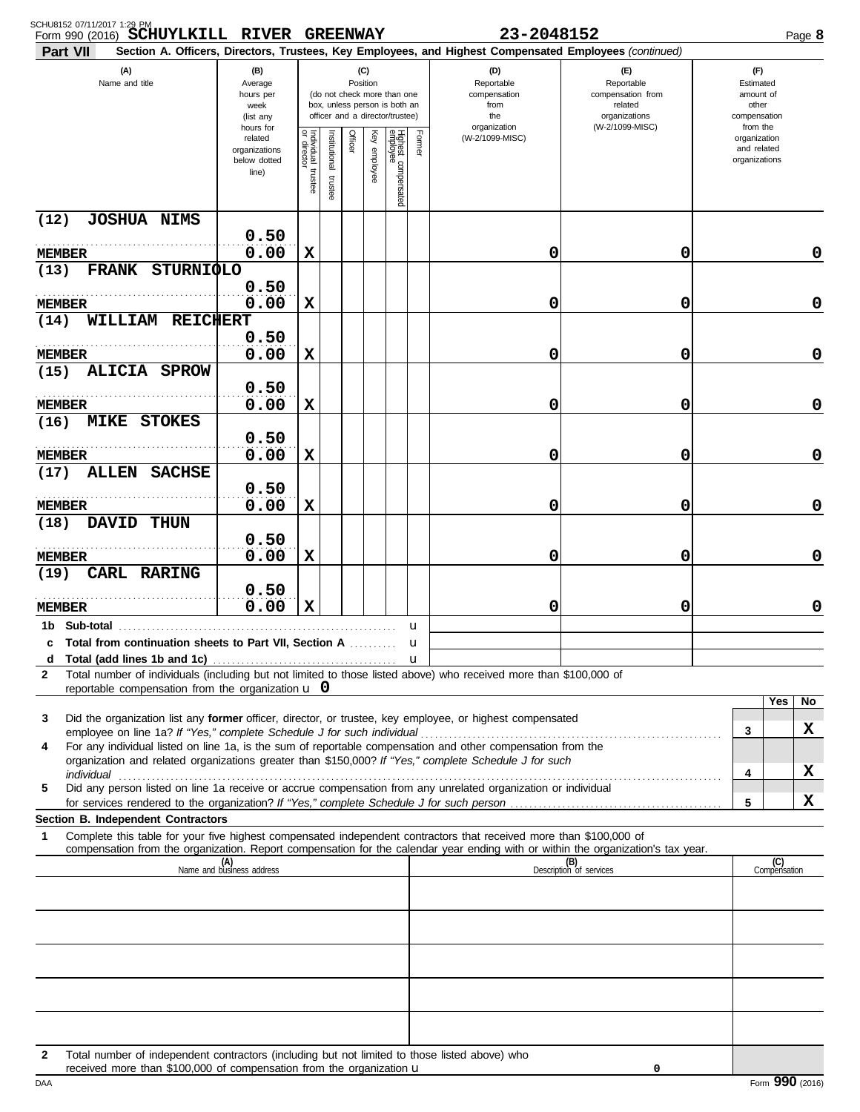| SCHU8152 07/11/2017 1:29 PM<br>Form 990 (2016) SCHUYLKILL RIVER GREENWAY<br><b>Part VII</b>                                                                                                                                                                                                                                                          |                                                                |                                      |                         |          |                 |                                                                                                 |             | 23-2048152<br>Section A. Officers, Directors, Trustees, Key Employees, and Highest Compensated Employees (continued) |                                                                    | Page 8                                                             |
|------------------------------------------------------------------------------------------------------------------------------------------------------------------------------------------------------------------------------------------------------------------------------------------------------------------------------------------------------|----------------------------------------------------------------|--------------------------------------|-------------------------|----------|-----------------|-------------------------------------------------------------------------------------------------|-------------|----------------------------------------------------------------------------------------------------------------------|--------------------------------------------------------------------|--------------------------------------------------------------------|
| (A)<br>Name and title                                                                                                                                                                                                                                                                                                                                | (B)<br>Average<br>hours per<br>week<br>(list any               |                                      |                         | Position | (C)             | (do not check more than one<br>box, unless person is both an<br>officer and a director/trustee) |             | (D)<br>Reportable<br>compensation<br>from<br>the                                                                     | (F)<br>Reportable<br>compensation from<br>related<br>organizations | (F)<br>Estimated<br>amount of<br>other<br>compensation<br>from the |
|                                                                                                                                                                                                                                                                                                                                                      | hours for<br>related<br>organizations<br>below dotted<br>line) | Individual<br>or director<br>trustee | nstitutional<br>trustee | Officer  | Ķey<br>employee | Highest compensated<br>employee                                                                 | Former      | organization<br>(W-2/1099-MISC)                                                                                      | (W-2/1099-MISC)                                                    | organization<br>and related<br>organizations                       |
| <b>JOSHUA NIMS</b><br>(12)                                                                                                                                                                                                                                                                                                                           |                                                                |                                      |                         |          |                 |                                                                                                 |             |                                                                                                                      |                                                                    |                                                                    |
| <b>MEMBER</b>                                                                                                                                                                                                                                                                                                                                        | 0.50<br>0.00                                                   | X                                    |                         |          |                 |                                                                                                 |             | 0                                                                                                                    | 0                                                                  | 0                                                                  |
| <b>FRANK</b><br><b>STURNIQLO</b><br>(13)                                                                                                                                                                                                                                                                                                             |                                                                |                                      |                         |          |                 |                                                                                                 |             |                                                                                                                      |                                                                    |                                                                    |
|                                                                                                                                                                                                                                                                                                                                                      | 0.50                                                           |                                      |                         |          |                 |                                                                                                 |             |                                                                                                                      |                                                                    |                                                                    |
| <b>MEMBER</b><br>WILLIAM REICHERT<br>(14)                                                                                                                                                                                                                                                                                                            | 0.00                                                           | X                                    |                         |          |                 |                                                                                                 |             | 0                                                                                                                    | 0                                                                  | $\mathbf 0$                                                        |
|                                                                                                                                                                                                                                                                                                                                                      | 0.50                                                           |                                      |                         |          |                 |                                                                                                 |             |                                                                                                                      |                                                                    |                                                                    |
| <b>MEMBER</b>                                                                                                                                                                                                                                                                                                                                        | 0.00                                                           | X                                    |                         |          |                 |                                                                                                 |             | 0                                                                                                                    | 0                                                                  | $\mathbf 0$                                                        |
| <b>ALICIA SPROW</b><br>(15)                                                                                                                                                                                                                                                                                                                          |                                                                |                                      |                         |          |                 |                                                                                                 |             |                                                                                                                      |                                                                    |                                                                    |
| <b>MEMBER</b>                                                                                                                                                                                                                                                                                                                                        | 0.50<br>0.00                                                   | X                                    |                         |          |                 |                                                                                                 |             | 0                                                                                                                    | 0                                                                  | $\mathbf 0$                                                        |
| <b>STOKES</b><br>(16)<br><b>MIKE</b>                                                                                                                                                                                                                                                                                                                 |                                                                |                                      |                         |          |                 |                                                                                                 |             |                                                                                                                      |                                                                    |                                                                    |
|                                                                                                                                                                                                                                                                                                                                                      | 0.50                                                           |                                      |                         |          |                 |                                                                                                 |             |                                                                                                                      |                                                                    |                                                                    |
| MEMBER<br>(17)<br><b>ALLEN</b><br><b>SACHSE</b>                                                                                                                                                                                                                                                                                                      | 0.00                                                           | X                                    |                         |          |                 |                                                                                                 |             | 0                                                                                                                    | 0                                                                  | $\mathbf 0$                                                        |
|                                                                                                                                                                                                                                                                                                                                                      | 0.50                                                           |                                      |                         |          |                 |                                                                                                 |             |                                                                                                                      |                                                                    |                                                                    |
| MEMBER                                                                                                                                                                                                                                                                                                                                               | 0.00                                                           | X                                    |                         |          |                 |                                                                                                 |             | 0                                                                                                                    | 0                                                                  | $\mathbf 0$                                                        |
| (18)<br><b>DAVID</b><br><b>THUN</b>                                                                                                                                                                                                                                                                                                                  |                                                                |                                      |                         |          |                 |                                                                                                 |             |                                                                                                                      |                                                                    |                                                                    |
| <b>MEMBER</b>                                                                                                                                                                                                                                                                                                                                        | 0.50<br>0.00                                                   | X                                    |                         |          |                 |                                                                                                 |             | 0                                                                                                                    | 0                                                                  | $\mathbf 0$                                                        |
| CARL RARING<br>(19)                                                                                                                                                                                                                                                                                                                                  |                                                                |                                      |                         |          |                 |                                                                                                 |             |                                                                                                                      |                                                                    |                                                                    |
|                                                                                                                                                                                                                                                                                                                                                      | 0.50                                                           |                                      |                         |          |                 |                                                                                                 |             |                                                                                                                      |                                                                    |                                                                    |
| <b>MEMBER</b>                                                                                                                                                                                                                                                                                                                                        | 0.00                                                           | $\mathbf x$                          |                         |          |                 |                                                                                                 |             | 0                                                                                                                    | 0                                                                  | $\mathbf 0$                                                        |
| 1b Sub-total<br>c Total from continuation sheets to Part VII, Section A                                                                                                                                                                                                                                                                              |                                                                |                                      |                         |          |                 |                                                                                                 | u<br>u      |                                                                                                                      |                                                                    |                                                                    |
| Total (add lines 1b and 1c)<br>d                                                                                                                                                                                                                                                                                                                     |                                                                |                                      |                         |          |                 |                                                                                                 | $\mathbf u$ |                                                                                                                      |                                                                    |                                                                    |
| Total number of individuals (including but not limited to those listed above) who received more than \$100,000 of<br>$\mathbf{2}$                                                                                                                                                                                                                    |                                                                |                                      |                         |          |                 |                                                                                                 |             |                                                                                                                      |                                                                    |                                                                    |
| reportable compensation from the organization $\mathbf u$ 0                                                                                                                                                                                                                                                                                          |                                                                |                                      |                         |          |                 |                                                                                                 |             |                                                                                                                      |                                                                    | Yes<br>No.                                                         |
| Did the organization list any former officer, director, or trustee, key employee, or highest compensated<br>3                                                                                                                                                                                                                                        |                                                                |                                      |                         |          |                 |                                                                                                 |             |                                                                                                                      |                                                                    | X                                                                  |
| For any individual listed on line 1a, is the sum of reportable compensation and other compensation from the<br>4                                                                                                                                                                                                                                     |                                                                |                                      |                         |          |                 |                                                                                                 |             |                                                                                                                      |                                                                    | 3                                                                  |
| organization and related organizations greater than \$150,000? If "Yes," complete Schedule J for such                                                                                                                                                                                                                                                |                                                                |                                      |                         |          |                 |                                                                                                 |             |                                                                                                                      |                                                                    | X<br>4                                                             |
| individual with a construction of the construction of the construction of the construction of the construction of the construction of the construction of the construction of the construction of the construction of the cons<br>Did any person listed on line 1a receive or accrue compensation from any unrelated organization or individual<br>5 |                                                                |                                      |                         |          |                 |                                                                                                 |             |                                                                                                                      |                                                                    |                                                                    |
|                                                                                                                                                                                                                                                                                                                                                      |                                                                |                                      |                         |          |                 |                                                                                                 |             |                                                                                                                      |                                                                    | X<br>5                                                             |
| <b>Section B. Independent Contractors</b><br>Complete this table for your five highest compensated independent contractors that received more than \$100,000 of<br>1                                                                                                                                                                                 |                                                                |                                      |                         |          |                 |                                                                                                 |             |                                                                                                                      |                                                                    |                                                                    |
| compensation from the organization. Report compensation for the calendar year ending with or within the organization's tax year.                                                                                                                                                                                                                     |                                                                |                                      |                         |          |                 |                                                                                                 |             |                                                                                                                      |                                                                    |                                                                    |
|                                                                                                                                                                                                                                                                                                                                                      | (A)<br>Name and business address                               |                                      |                         |          |                 |                                                                                                 |             |                                                                                                                      | (B)<br>Description of services                                     | (C)<br>Compensation                                                |
|                                                                                                                                                                                                                                                                                                                                                      |                                                                |                                      |                         |          |                 |                                                                                                 |             |                                                                                                                      |                                                                    |                                                                    |
|                                                                                                                                                                                                                                                                                                                                                      |                                                                |                                      |                         |          |                 |                                                                                                 |             |                                                                                                                      |                                                                    |                                                                    |
|                                                                                                                                                                                                                                                                                                                                                      |                                                                |                                      |                         |          |                 |                                                                                                 |             |                                                                                                                      |                                                                    |                                                                    |
|                                                                                                                                                                                                                                                                                                                                                      |                                                                |                                      |                         |          |                 |                                                                                                 |             |                                                                                                                      |                                                                    |                                                                    |
|                                                                                                                                                                                                                                                                                                                                                      |                                                                |                                      |                         |          |                 |                                                                                                 |             |                                                                                                                      |                                                                    |                                                                    |
|                                                                                                                                                                                                                                                                                                                                                      |                                                                |                                      |                         |          |                 |                                                                                                 |             |                                                                                                                      |                                                                    |                                                                    |
|                                                                                                                                                                                                                                                                                                                                                      |                                                                |                                      |                         |          |                 |                                                                                                 |             |                                                                                                                      |                                                                    |                                                                    |
|                                                                                                                                                                                                                                                                                                                                                      |                                                                |                                      |                         |          |                 |                                                                                                 |             |                                                                                                                      |                                                                    |                                                                    |
| Total number of independent contractors (including but not limited to those listed above) who<br>2<br>received more than \$100,000 of compensation from the organization u                                                                                                                                                                           |                                                                |                                      |                         |          |                 |                                                                                                 |             |                                                                                                                      | 0                                                                  |                                                                    |

| received more than \$100,000 of compensation from the organization u |  |  |  |  |
|----------------------------------------------------------------------|--|--|--|--|
|                                                                      |  |  |  |  |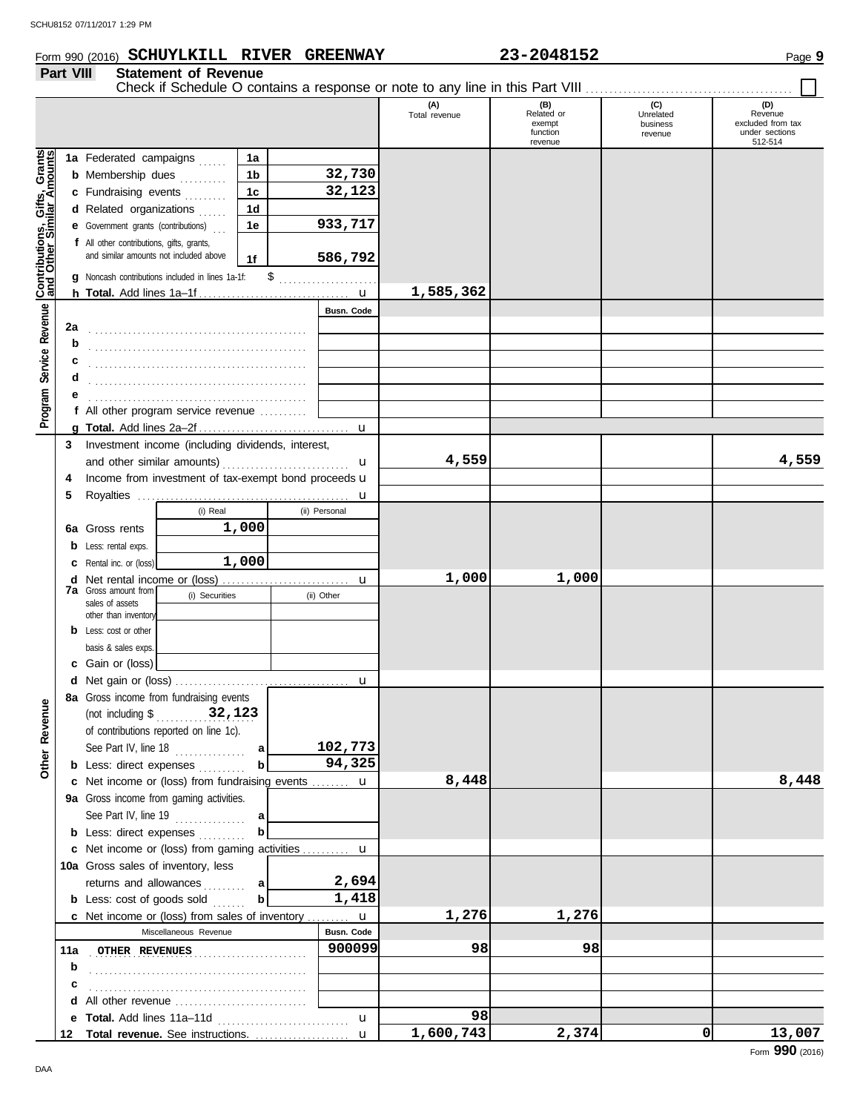#### Form 990 (2016) Page **9 SCHUYLKILL RIVER GREENWAY 23-2048152**

|                              | Part VIII                                                        | <b>Statement of Revenue</b>                                                                 |                |    |               |                      |                                                    |                                         |                                                                  |
|------------------------------|------------------------------------------------------------------|---------------------------------------------------------------------------------------------|----------------|----|---------------|----------------------|----------------------------------------------------|-----------------------------------------|------------------------------------------------------------------|
|                              |                                                                  |                                                                                             |                |    |               | (A)<br>Total revenue | (B)<br>Related or<br>exempt<br>function<br>revenue | (C)<br>Unrelated<br>business<br>revenue | (D)<br>Revenue<br>excluded from tax<br>under sections<br>512-514 |
|                              |                                                                  | 1a Federated campaigns                                                                      | 1a             |    |               |                      |                                                    |                                         |                                                                  |
| Contributions, Gifts, Grants |                                                                  | <b>b</b> Membership dues                                                                    | 1 <sub>b</sub> |    | 32,730        |                      |                                                    |                                         |                                                                  |
|                              |                                                                  | c Fundraising events                                                                        | 1 <sub>c</sub> |    | 32,123        |                      |                                                    |                                         |                                                                  |
|                              |                                                                  | d Related organizations                                                                     | 1 <sub>d</sub> |    |               |                      |                                                    |                                         |                                                                  |
|                              |                                                                  | <b>e</b> Government grants (contributions)                                                  | 1e             |    | 933,717       |                      |                                                    |                                         |                                                                  |
|                              |                                                                  | f All other contributions, gifts, grants,                                                   |                |    |               |                      |                                                    |                                         |                                                                  |
|                              |                                                                  | and similar amounts not included above                                                      | 1f             |    | 586,792       |                      |                                                    |                                         |                                                                  |
|                              |                                                                  | <b>g</b> Noncash contributions included in lines 1a-1f:                                     |                | \$ |               |                      |                                                    |                                         |                                                                  |
|                              |                                                                  |                                                                                             |                |    |               | 1,585,362            |                                                    |                                         |                                                                  |
|                              |                                                                  |                                                                                             |                |    | Busn. Code    |                      |                                                    |                                         |                                                                  |
| Service Revenue              | 2a                                                               |                                                                                             |                |    |               |                      |                                                    |                                         |                                                                  |
|                              | b                                                                |                                                                                             |                |    |               |                      |                                                    |                                         |                                                                  |
|                              | c                                                                |                                                                                             |                |    |               |                      |                                                    |                                         |                                                                  |
|                              | d                                                                |                                                                                             |                |    |               |                      |                                                    |                                         |                                                                  |
|                              |                                                                  |                                                                                             |                |    |               |                      |                                                    |                                         |                                                                  |
| Program                      |                                                                  | f All other program service revenue                                                         |                |    |               |                      |                                                    |                                         |                                                                  |
|                              |                                                                  |                                                                                             |                |    |               |                      |                                                    |                                         |                                                                  |
|                              | 3                                                                | Investment income (including dividends, interest,                                           |                |    |               |                      |                                                    |                                         |                                                                  |
|                              |                                                                  |                                                                                             |                |    | u             | 4,559                |                                                    |                                         | 4,559                                                            |
|                              | Income from investment of tax-exempt bond proceeds <b>u</b><br>4 |                                                                                             |                |    |               |                      |                                                    |                                         |                                                                  |
|                              | 5                                                                |                                                                                             |                |    |               |                      |                                                    |                                         |                                                                  |
|                              |                                                                  | (i) Real                                                                                    |                |    | (ii) Personal |                      |                                                    |                                         |                                                                  |
|                              |                                                                  | <b>6a</b> Gross rents                                                                       | 1,000          |    |               |                      |                                                    |                                         |                                                                  |
|                              | b                                                                | Less: rental exps.                                                                          |                |    |               |                      |                                                    |                                         |                                                                  |
|                              |                                                                  | Rental inc. or (loss)                                                                       | 1,000          |    |               |                      |                                                    |                                         |                                                                  |
|                              | d                                                                |                                                                                             |                |    | u             | 1,000                | 1,000                                              |                                         |                                                                  |
|                              |                                                                  | <b>7a</b> Gross amount from<br>(i) Securities                                               |                |    | (ii) Other    |                      |                                                    |                                         |                                                                  |
|                              |                                                                  | sales of assets                                                                             |                |    |               |                      |                                                    |                                         |                                                                  |
|                              |                                                                  | other than inventory<br><b>b</b> Less: cost or other                                        |                |    |               |                      |                                                    |                                         |                                                                  |
|                              |                                                                  | basis & sales exps.                                                                         |                |    |               |                      |                                                    |                                         |                                                                  |
|                              |                                                                  | c Gain or (loss)                                                                            |                |    |               |                      |                                                    |                                         |                                                                  |
|                              |                                                                  |                                                                                             |                |    | u             |                      |                                                    |                                         |                                                                  |
|                              |                                                                  | 8a Gross income from fundraising events                                                     |                |    |               |                      |                                                    |                                         |                                                                  |
|                              |                                                                  | 32,123<br>(not including \$                                                                 |                |    |               |                      |                                                    |                                         |                                                                  |
|                              |                                                                  | of contributions reported on line 1c).                                                      |                |    |               |                      |                                                    |                                         |                                                                  |
|                              |                                                                  | See Part IV, line 18                                                                        |                |    | 102,773       |                      |                                                    |                                         |                                                                  |
| <b>Other Revenue</b>         |                                                                  | <u>.</u><br>1986 - Paul Barbara, papa pada ang pangangan                                    | a              |    | 94,325        |                      |                                                    |                                         |                                                                  |
|                              |                                                                  | <b>b</b> Less: direct expenses<br>c Net income or (loss) from fundraising events  u         |                |    |               | 8,448                |                                                    |                                         | 8,448                                                            |
|                              |                                                                  | 9a Gross income from gaming activities.                                                     |                |    |               |                      |                                                    |                                         |                                                                  |
|                              |                                                                  | See Part IV, line 19                                                                        |                |    |               |                      |                                                    |                                         |                                                                  |
|                              |                                                                  | .                                                                                           | a              |    |               |                      |                                                    |                                         |                                                                  |
|                              |                                                                  | <b>b</b> Less: direct expenses                                                              |                |    |               |                      |                                                    |                                         |                                                                  |
|                              |                                                                  | c Net income or (loss) from gaming activities  u                                            |                |    |               |                      |                                                    |                                         |                                                                  |
|                              |                                                                  | 10a Gross sales of inventory, less                                                          |                |    | 2,694         |                      |                                                    |                                         |                                                                  |
|                              |                                                                  | returns and allowances                                                                      | а              |    | 1,418         |                      |                                                    |                                         |                                                                  |
|                              |                                                                  | <b>b</b> Less: cost of goods sold                                                           |                |    |               | 1,276                | 1,276                                              |                                         |                                                                  |
|                              |                                                                  | <b>c</b> Net income or (loss) from sales of inventory $\mathbf{u}$<br>Miscellaneous Revenue |                |    | Busn. Code    |                      |                                                    |                                         |                                                                  |
|                              |                                                                  |                                                                                             |                |    | 900099        | 98                   | 98                                                 |                                         |                                                                  |
|                              | 11a                                                              | <b>OTHER REVENUES</b>                                                                       |                |    |               |                      |                                                    |                                         |                                                                  |
|                              | b                                                                |                                                                                             |                |    |               |                      |                                                    |                                         |                                                                  |
|                              |                                                                  |                                                                                             |                |    |               |                      |                                                    |                                         |                                                                  |
|                              |                                                                  | <b>d</b> All other revenue $\ldots$ $\ldots$ $\ldots$ $\ldots$ $\ldots$                     |                |    |               | 98                   |                                                    |                                         |                                                                  |
|                              |                                                                  | e Total. Add lines 11a-11d                                                                  |                |    | $\mathbf{u}$  | 1,600,743            | 2,374                                              | 0                                       | 13,007                                                           |
|                              |                                                                  |                                                                                             |                |    |               |                      |                                                    |                                         |                                                                  |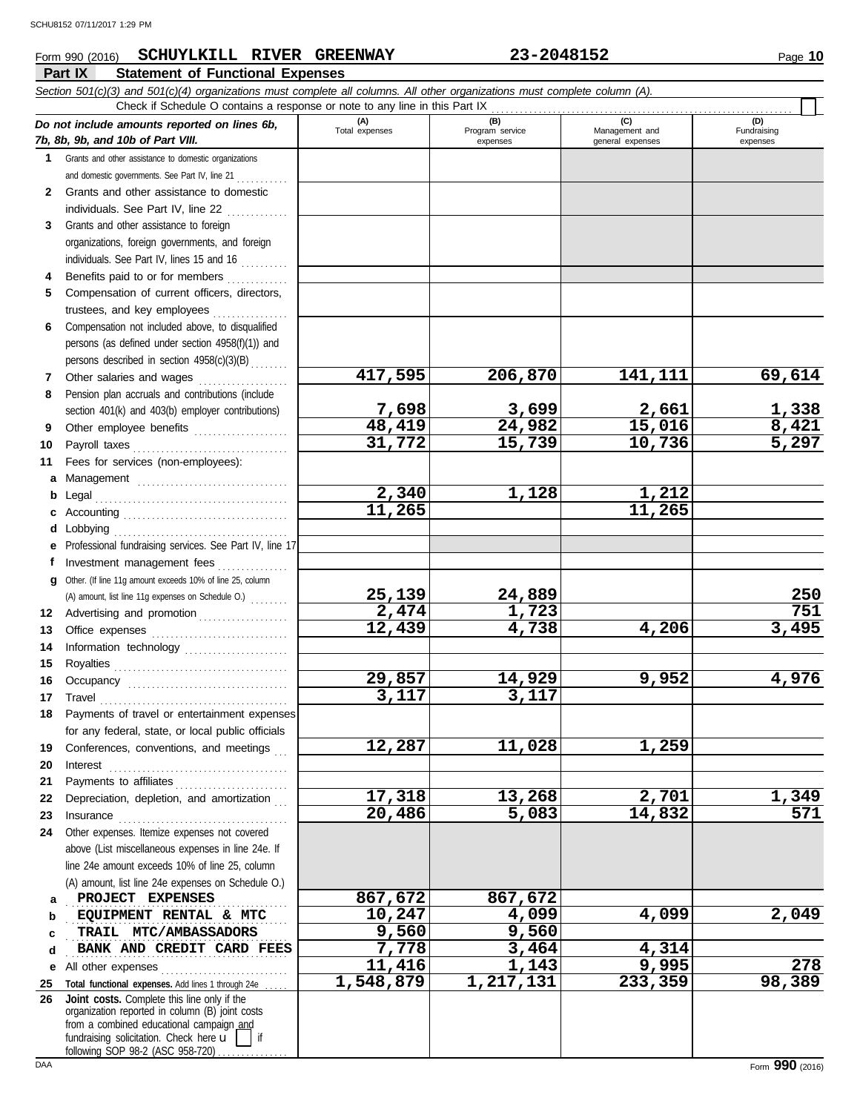# **Part IX Statement of Functional Expenses** Form 990 (2016) Page **10 SCHUYLKILL RIVER GREENWAY 23-2048152**

|             | Section 501(c)(3) and 501(c)(4) organizations must complete all columns. All other organizations must complete column (A).<br>Check if Schedule O contains a response or note to any line in this Part IX                                                                                                                                                                                                                                                                                                                   |                   |                             |                                    |                           |
|-------------|-----------------------------------------------------------------------------------------------------------------------------------------------------------------------------------------------------------------------------------------------------------------------------------------------------------------------------------------------------------------------------------------------------------------------------------------------------------------------------------------------------------------------------|-------------------|-----------------------------|------------------------------------|---------------------------|
|             | Do not include amounts reported on lines 6b,                                                                                                                                                                                                                                                                                                                                                                                                                                                                                | (A)               | (B)                         | (C)                                | (D)                       |
|             | 7b, 8b, 9b, and 10b of Part VIII.                                                                                                                                                                                                                                                                                                                                                                                                                                                                                           | Total expenses    | Program service<br>expenses | Management and<br>general expenses | Fundraising<br>expenses   |
| $\mathbf 1$ | Grants and other assistance to domestic organizations                                                                                                                                                                                                                                                                                                                                                                                                                                                                       |                   |                             |                                    |                           |
|             | and domestic governments. See Part IV, line 21                                                                                                                                                                                                                                                                                                                                                                                                                                                                              |                   |                             |                                    |                           |
| 2           | Grants and other assistance to domestic                                                                                                                                                                                                                                                                                                                                                                                                                                                                                     |                   |                             |                                    |                           |
|             | individuals. See Part IV, line 22                                                                                                                                                                                                                                                                                                                                                                                                                                                                                           |                   |                             |                                    |                           |
| 3           | Grants and other assistance to foreign                                                                                                                                                                                                                                                                                                                                                                                                                                                                                      |                   |                             |                                    |                           |
|             | organizations, foreign governments, and foreign                                                                                                                                                                                                                                                                                                                                                                                                                                                                             |                   |                             |                                    |                           |
|             | individuals. See Part IV, lines 15 and 16                                                                                                                                                                                                                                                                                                                                                                                                                                                                                   |                   |                             |                                    |                           |
| 4           | Benefits paid to or for members                                                                                                                                                                                                                                                                                                                                                                                                                                                                                             |                   |                             |                                    |                           |
| 5           | Compensation of current officers, directors,                                                                                                                                                                                                                                                                                                                                                                                                                                                                                |                   |                             |                                    |                           |
|             | trustees, and key employees                                                                                                                                                                                                                                                                                                                                                                                                                                                                                                 |                   |                             |                                    |                           |
| 6           | Compensation not included above, to disqualified                                                                                                                                                                                                                                                                                                                                                                                                                                                                            |                   |                             |                                    |                           |
|             | persons (as defined under section 4958(f)(1)) and                                                                                                                                                                                                                                                                                                                                                                                                                                                                           |                   |                             |                                    |                           |
|             | persons described in section 4958(c)(3)(B)                                                                                                                                                                                                                                                                                                                                                                                                                                                                                  |                   |                             |                                    |                           |
| 7           | Other salaries and wages                                                                                                                                                                                                                                                                                                                                                                                                                                                                                                    | 417,595           | 206,870                     | 141,111                            | 69,614                    |
| 8           | Pension plan accruals and contributions (include                                                                                                                                                                                                                                                                                                                                                                                                                                                                            |                   |                             |                                    |                           |
|             | section 401(k) and 403(b) employer contributions)                                                                                                                                                                                                                                                                                                                                                                                                                                                                           | 7,698<br>48,419   | 3,699<br>24,982             | 2,661<br>15,016                    | $\frac{1,338}{8,421}$     |
| 9           | Other employee benefits                                                                                                                                                                                                                                                                                                                                                                                                                                                                                                     | 31,772            | 15,739                      | 10,736                             | 5,297                     |
| 10          | Payroll taxes                                                                                                                                                                                                                                                                                                                                                                                                                                                                                                               |                   |                             |                                    |                           |
| 11          | Fees for services (non-employees):                                                                                                                                                                                                                                                                                                                                                                                                                                                                                          |                   |                             |                                    |                           |
| a<br>b      | Management                                                                                                                                                                                                                                                                                                                                                                                                                                                                                                                  | 2,340             | 1,128                       | 1,212                              |                           |
|             | Legal                                                                                                                                                                                                                                                                                                                                                                                                                                                                                                                       | 11,265            |                             | 11,265                             |                           |
| d           | Lobbying                                                                                                                                                                                                                                                                                                                                                                                                                                                                                                                    |                   |                             |                                    |                           |
| е           | Professional fundraising services. See Part IV, line 17                                                                                                                                                                                                                                                                                                                                                                                                                                                                     |                   |                             |                                    |                           |
| f           | Investment management fees                                                                                                                                                                                                                                                                                                                                                                                                                                                                                                  |                   |                             |                                    |                           |
| g           | Other. (If line 11g amount exceeds 10% of line 25, column                                                                                                                                                                                                                                                                                                                                                                                                                                                                   |                   |                             |                                    |                           |
|             | (A) amount, list line 11g expenses on Schedule O.)                                                                                                                                                                                                                                                                                                                                                                                                                                                                          | 25,139            | 24,889                      |                                    | 250                       |
| 12          | Advertising and promotion                                                                                                                                                                                                                                                                                                                                                                                                                                                                                                   | $\frac{1}{2,474}$ | 1,723                       |                                    | 751                       |
| 13          |                                                                                                                                                                                                                                                                                                                                                                                                                                                                                                                             | 12,439            | 4,738                       | 4,206                              | 3,495                     |
| 14          | Information technology                                                                                                                                                                                                                                                                                                                                                                                                                                                                                                      |                   |                             |                                    |                           |
| 15          |                                                                                                                                                                                                                                                                                                                                                                                                                                                                                                                             |                   |                             |                                    |                           |
| 16          |                                                                                                                                                                                                                                                                                                                                                                                                                                                                                                                             | 29,857            | 14,929                      | 9,952                              | 4,976                     |
| 17          | $\begin{minipage}[c]{0.9\linewidth} \begin{tabular}{l} \textbf{True} \end{tabular} \end{minipage} \begin{minipage}[c]{0.9\linewidth} \begin{tabular}{l} \textbf{True} \end{tabular} \end{minipage} \end{minipage} \begin{minipage}[c]{0.9\linewidth} \begin{tabular}{l} \textbf{True} \end{tabular} \end{minipage} \end{minipage} \begin{minipage}[c]{0.9\linewidth} \begin{tabular}{l} \textbf{True} \end{tabular} \end{minipage} \end{minipage} \begin{minipage}[c]{0.9\linewidth} \begin{tabular}{l} \textbf{True} \end$ | 3,117             | 3,117                       |                                    |                           |
|             | Payments of travel or entertainment expenses                                                                                                                                                                                                                                                                                                                                                                                                                                                                                |                   |                             |                                    |                           |
|             | for any federal, state, or local public officials                                                                                                                                                                                                                                                                                                                                                                                                                                                                           |                   |                             |                                    |                           |
| 19          | Conferences, conventions, and meetings                                                                                                                                                                                                                                                                                                                                                                                                                                                                                      | 12,287            | 11,028                      | 1,259                              |                           |
| 20          | Interest                                                                                                                                                                                                                                                                                                                                                                                                                                                                                                                    |                   |                             |                                    |                           |
| 21          | Payments to affiliates                                                                                                                                                                                                                                                                                                                                                                                                                                                                                                      |                   |                             |                                    |                           |
| 22          | Depreciation, depletion, and amortization                                                                                                                                                                                                                                                                                                                                                                                                                                                                                   | 17,318            | 13,268                      | 2,701                              | 1,349<br>$\overline{571}$ |
| 23          |                                                                                                                                                                                                                                                                                                                                                                                                                                                                                                                             | 20,486            | 5,083                       | 14,832                             |                           |
| 24          | Other expenses. Itemize expenses not covered                                                                                                                                                                                                                                                                                                                                                                                                                                                                                |                   |                             |                                    |                           |
|             | above (List miscellaneous expenses in line 24e. If<br>line 24e amount exceeds 10% of line 25, column                                                                                                                                                                                                                                                                                                                                                                                                                        |                   |                             |                                    |                           |
|             | (A) amount, list line 24e expenses on Schedule O.)                                                                                                                                                                                                                                                                                                                                                                                                                                                                          |                   |                             |                                    |                           |
| a           | PROJECT EXPENSES                                                                                                                                                                                                                                                                                                                                                                                                                                                                                                            | 867,672           | 867,672                     |                                    |                           |
| b           | EQUIPMENT RENTAL & MTC                                                                                                                                                                                                                                                                                                                                                                                                                                                                                                      | 10,247            | 4,099                       | 4,099                              | 2,049                     |
| c           | TRAIL MTC/AMBASSADORS                                                                                                                                                                                                                                                                                                                                                                                                                                                                                                       | 9,560             | 9,560                       |                                    |                           |
| d           | BANK AND CREDIT CARD FEES                                                                                                                                                                                                                                                                                                                                                                                                                                                                                                   | 7,778             | 3,464                       | 4,314                              |                           |
| е           | All other expenses                                                                                                                                                                                                                                                                                                                                                                                                                                                                                                          | 11,416            | 1,143                       | 9,995                              | 278                       |
| 25          | Total functional expenses. Add lines 1 through 24e                                                                                                                                                                                                                                                                                                                                                                                                                                                                          | 1,548,879         | 1,217,131                   | 233,359                            | 98,389                    |
| 26          | Joint costs. Complete this line only if the                                                                                                                                                                                                                                                                                                                                                                                                                                                                                 |                   |                             |                                    |                           |
|             | organization reported in column (B) joint costs<br>from a combined educational campaign and                                                                                                                                                                                                                                                                                                                                                                                                                                 |                   |                             |                                    |                           |
|             | fundraising solicitation. Check here $\mathbf{u}$<br>if                                                                                                                                                                                                                                                                                                                                                                                                                                                                     |                   |                             |                                    |                           |
|             | following SOP 98-2 (ASC 958-720)                                                                                                                                                                                                                                                                                                                                                                                                                                                                                            |                   |                             |                                    |                           |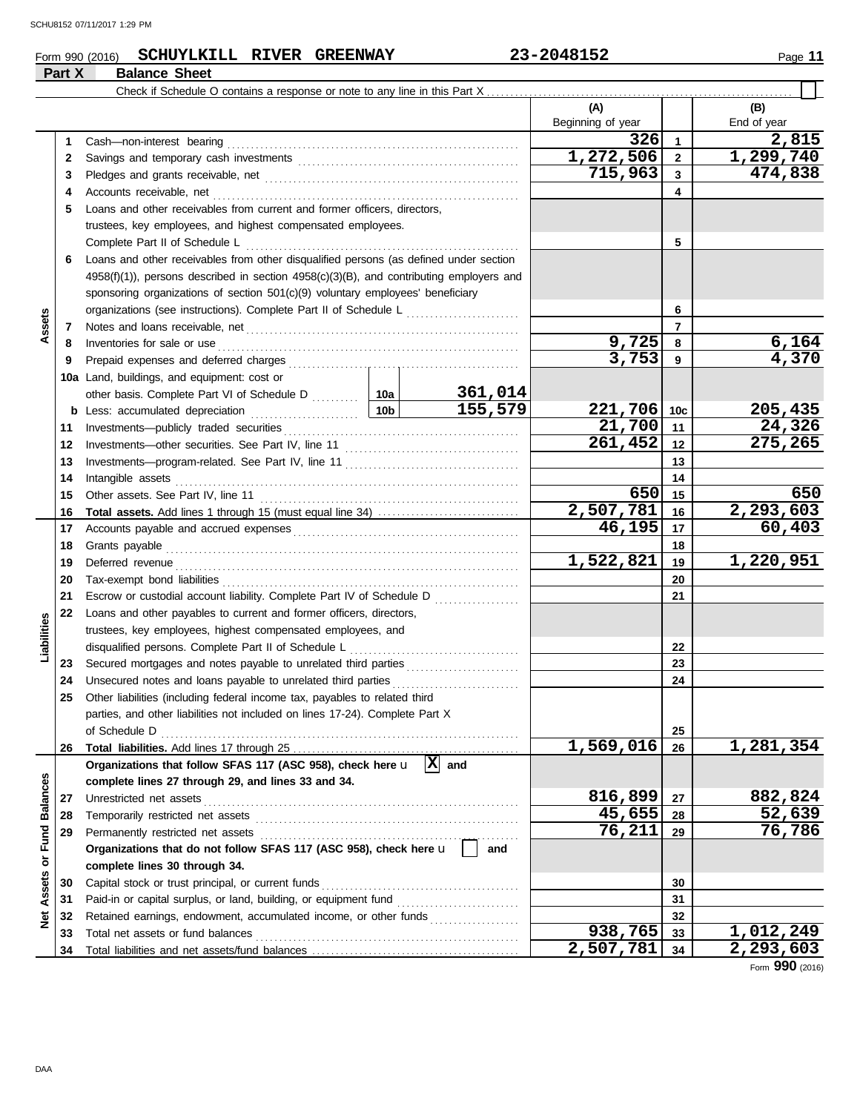**Part X Balance Sheet**

### **Form 990 (2016) SCHUYLKILL RIVER GREENWAY 23-2048152** Page 11

|                         |    |                                                                                               |     |                                                   | (A)                  |                 | (B)                    |
|-------------------------|----|-----------------------------------------------------------------------------------------------|-----|---------------------------------------------------|----------------------|-----------------|------------------------|
|                         |    |                                                                                               |     |                                                   | Beginning of year    |                 | End of year            |
|                         | 1  |                                                                                               |     |                                                   | 326                  | $\mathbf{1}$    | $\overline{2}$ , 815   |
|                         | 2  |                                                                                               |     |                                                   | 1,272,506            | $\mathbf{2}$    | 1,299,740              |
|                         | 3  |                                                                                               |     |                                                   | $\overline{715,963}$ | 3               | 474,838                |
|                         | 4  | Accounts receivable, net                                                                      |     |                                                   |                      | 4               |                        |
|                         | 5  | Loans and other receivables from current and former officers, directors,                      |     |                                                   |                      |                 |                        |
|                         |    | trustees, key employees, and highest compensated employees.                                   |     |                                                   |                      |                 |                        |
|                         |    | Complete Part II of Schedule L                                                                |     |                                                   |                      | 5               |                        |
|                         | 6  | Loans and other receivables from other disqualified persons (as defined under section         |     |                                                   |                      |                 |                        |
|                         |    | $4958(f)(1)$ ), persons described in section $4958(c)(3)(B)$ , and contributing employers and |     |                                                   |                      |                 |                        |
|                         |    | sponsoring organizations of section 501(c)(9) voluntary employees' beneficiary                |     |                                                   |                      |                 |                        |
|                         |    | organizations (see instructions). Complete Part II of Schedule L                              |     | <u> 1986 - Johann Stoff, Amerikaansk kanton (</u> |                      | 6               |                        |
| Assets                  | 7  |                                                                                               |     | $\overline{7}$                                    |                      |                 |                        |
|                         | 8  | Inventories for sale or use                                                                   |     |                                                   | 9,725                | 8               | 6,164                  |
|                         | 9  | Prepaid expenses and deferred charges                                                         |     |                                                   | 3,753                | 9               | 4,370                  |
|                         |    | 10a Land, buildings, and equipment: cost or                                                   |     |                                                   |                      |                 |                        |
|                         |    | other basis. Complete Part VI of Schedule D 10a                                               |     | 361,014                                           |                      |                 |                        |
|                         |    | $\frac{1}{10b}$<br><b>b</b> Less: accumulated depreciation                                    |     | 155,579                                           | 221,706              | 10 <sub>c</sub> | 205,435                |
|                         | 11 | Investments-publicly traded securities                                                        |     |                                                   | 21,700               | 11              | 24,326                 |
|                         | 12 |                                                                                               |     |                                                   | 261,452              | 12              | 275,265                |
|                         | 13 |                                                                                               |     |                                                   |                      | 13              |                        |
|                         | 14 | Intangible assets                                                                             |     |                                                   |                      | 14              |                        |
|                         | 15 | Other assets. See Part IV, line 11                                                            |     |                                                   | 650                  | 15              | 650                    |
|                         | 16 |                                                                                               |     |                                                   | 2,507,781            | 16              | 2,293,603              |
|                         | 17 |                                                                                               |     | 46,195                                            | 17                   | 60,403          |                        |
|                         | 18 | Grants payable                                                                                |     |                                                   | 18                   |                 |                        |
|                         | 19 | Deferred revenue                                                                              |     |                                                   | 1,522,821            | 19              | 1,220,951              |
|                         | 20 | Tax-exempt bond liabilities                                                                   |     |                                                   |                      | 20              |                        |
|                         | 21 | Escrow or custodial account liability. Complete Part IV of Schedule D                         |     |                                                   |                      | 21              |                        |
|                         | 22 | Loans and other payables to current and former officers, directors,                           |     |                                                   |                      |                 |                        |
| Liabilities             |    | trustees, key employees, highest compensated employees, and                                   |     |                                                   |                      |                 |                        |
|                         |    | disqualified persons. Complete Part II of Schedule L                                          |     |                                                   |                      | 22              |                        |
|                         | 23 |                                                                                               |     |                                                   |                      | 23              |                        |
|                         | 24 | Unsecured notes and loans payable to unrelated third parties                                  |     |                                                   |                      | 24              |                        |
|                         | 25 | Other liabilities (including federal income tax, payables to related third                    |     |                                                   |                      |                 |                        |
|                         |    | parties, and other liabilities not included on lines 17-24). Complete Part X                  |     |                                                   |                      |                 |                        |
|                         |    | of Schedule D                                                                                 |     |                                                   |                      | 25              |                        |
|                         | 26 |                                                                                               |     |                                                   | 1,569,016            | 26              | 1,281,354              |
|                         |    | Organizations that follow SFAS 117 (ASC 958), check here $\mathbf{u}$ $\overline{X}$ and      |     |                                                   |                      |                 |                        |
|                         |    | complete lines 27 through 29, and lines 33 and 34.                                            |     |                                                   |                      |                 |                        |
|                         | 27 | Unrestricted net assets                                                                       |     |                                                   | 816,899              | 27              | 882,824                |
|                         | 28 |                                                                                               |     |                                                   | 45,655               | 28              | 52,639                 |
|                         | 29 | Permanently restricted net assets                                                             |     |                                                   | 76,211               | 29              | 76, 786                |
|                         |    | Organizations that do not follow SFAS 117 (ASC 958), check here u                             | and |                                                   |                      |                 |                        |
| Assets or Fund Balances |    | complete lines 30 through 34.                                                                 |     |                                                   |                      |                 |                        |
|                         | 30 | Capital stock or trust principal, or current funds                                            |     |                                                   |                      | 30              |                        |
|                         | 31 | Paid-in or capital surplus, or land, building, or equipment fund                              |     |                                                   |                      | 31              |                        |
| ğ                       | 32 | Retained earnings, endowment, accumulated income, or other funds                              |     |                                                   |                      | 32              |                        |
|                         | 33 | Total net assets or fund balances                                                             |     |                                                   | 938,765              | 33              | <u>1,012,249</u>       |
|                         | 34 |                                                                                               |     |                                                   | 2,507,781            | 34              | $\overline{2,293,603}$ |

Form **990** (2016)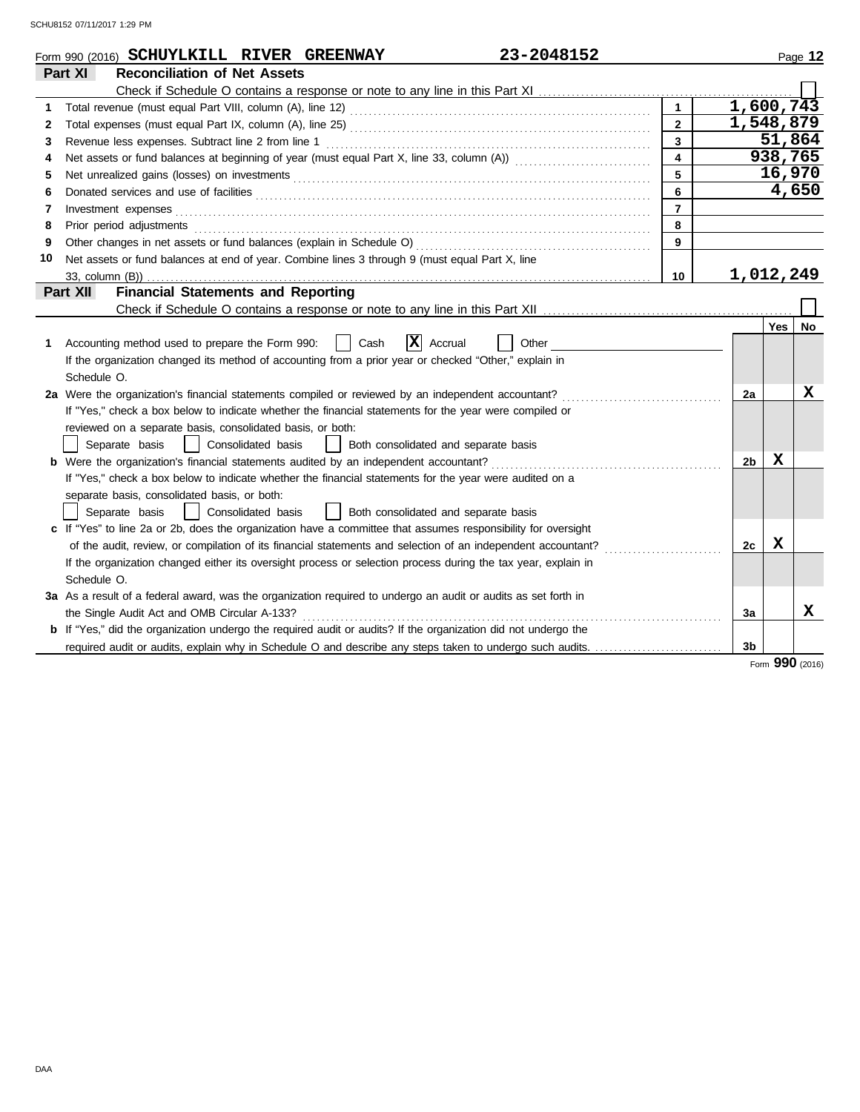| Part XI<br><b>Reconciliation of Net Assets</b><br>1,600,743<br>$\mathbf{1}$<br>1<br>1,548,879<br>$\overline{2}$<br>2<br>51,864<br>$\overline{3}$<br>Revenue less expenses. Subtract line 2 from line 1<br>3<br>938,765<br>$\overline{\mathbf{4}}$<br>4<br>5<br>16,970<br>5<br>4,650<br>6<br>6<br>$\overline{7}$<br>Investment expenses<br>7<br>8<br>Prior period adjustments<br>8<br>9<br>9<br>Net assets or fund balances at end of year. Combine lines 3 through 9 (must equal Part X, line<br>10<br>1,012,249<br>10<br><b>Financial Statements and Reporting</b><br>Part XII<br>Yes I<br>$\mathbf{X}$ Accrual<br>Accounting method used to prepare the Form 990:<br>Cash<br>Other<br>1<br>If the organization changed its method of accounting from a prior year or checked "Other," explain in<br>Schedule O.<br>2a Were the organization's financial statements compiled or reviewed by an independent accountant?<br>2a<br>If "Yes," check a box below to indicate whether the financial statements for the year were compiled or<br>reviewed on a separate basis, consolidated basis, or both:<br>Separate basis<br>  Consolidated basis<br>  Both consolidated and separate basis<br>$\mathbf x$<br><b>b</b> Were the organization's financial statements audited by an independent accountant?<br>2 <sub>b</sub><br>If "Yes," check a box below to indicate whether the financial statements for the year were audited on a<br>separate basis, consolidated basis, or both:<br>Separate basis<br>  Consolidated basis<br>Both consolidated and separate basis<br>c If "Yes" to line 2a or 2b, does the organization have a committee that assumes responsibility for oversight<br>X<br>of the audit, review, or compilation of its financial statements and selection of an independent accountant?<br>2c<br>If the organization changed either its oversight process or selection process during the tax year, explain in<br>Schedule O.<br>3a As a result of a federal award, was the organization required to undergo an audit or audits as set forth in<br>the Single Audit Act and OMB Circular A-133?<br>3a<br><b>b</b> If "Yes," did the organization undergo the required audit or audits? If the organization did not undergo the | 23-2048152<br>Form 990 (2016) SCHUYLKILL RIVER GREENWAY |  |    | Page 12 |
|-----------------------------------------------------------------------------------------------------------------------------------------------------------------------------------------------------------------------------------------------------------------------------------------------------------------------------------------------------------------------------------------------------------------------------------------------------------------------------------------------------------------------------------------------------------------------------------------------------------------------------------------------------------------------------------------------------------------------------------------------------------------------------------------------------------------------------------------------------------------------------------------------------------------------------------------------------------------------------------------------------------------------------------------------------------------------------------------------------------------------------------------------------------------------------------------------------------------------------------------------------------------------------------------------------------------------------------------------------------------------------------------------------------------------------------------------------------------------------------------------------------------------------------------------------------------------------------------------------------------------------------------------------------------------------------------------------------------------------------------------------------------------------------------------------------------------------------------------------------------------------------------------------------------------------------------------------------------------------------------------------------------------------------------------------------------------------------------------------------------------------------------------------------------------------------------------------------------------------------------------------|---------------------------------------------------------|--|----|---------|
|                                                                                                                                                                                                                                                                                                                                                                                                                                                                                                                                                                                                                                                                                                                                                                                                                                                                                                                                                                                                                                                                                                                                                                                                                                                                                                                                                                                                                                                                                                                                                                                                                                                                                                                                                                                                                                                                                                                                                                                                                                                                                                                                                                                                                                                     |                                                         |  |    |         |
|                                                                                                                                                                                                                                                                                                                                                                                                                                                                                                                                                                                                                                                                                                                                                                                                                                                                                                                                                                                                                                                                                                                                                                                                                                                                                                                                                                                                                                                                                                                                                                                                                                                                                                                                                                                                                                                                                                                                                                                                                                                                                                                                                                                                                                                     |                                                         |  |    |         |
|                                                                                                                                                                                                                                                                                                                                                                                                                                                                                                                                                                                                                                                                                                                                                                                                                                                                                                                                                                                                                                                                                                                                                                                                                                                                                                                                                                                                                                                                                                                                                                                                                                                                                                                                                                                                                                                                                                                                                                                                                                                                                                                                                                                                                                                     |                                                         |  |    |         |
|                                                                                                                                                                                                                                                                                                                                                                                                                                                                                                                                                                                                                                                                                                                                                                                                                                                                                                                                                                                                                                                                                                                                                                                                                                                                                                                                                                                                                                                                                                                                                                                                                                                                                                                                                                                                                                                                                                                                                                                                                                                                                                                                                                                                                                                     |                                                         |  |    |         |
|                                                                                                                                                                                                                                                                                                                                                                                                                                                                                                                                                                                                                                                                                                                                                                                                                                                                                                                                                                                                                                                                                                                                                                                                                                                                                                                                                                                                                                                                                                                                                                                                                                                                                                                                                                                                                                                                                                                                                                                                                                                                                                                                                                                                                                                     |                                                         |  |    |         |
|                                                                                                                                                                                                                                                                                                                                                                                                                                                                                                                                                                                                                                                                                                                                                                                                                                                                                                                                                                                                                                                                                                                                                                                                                                                                                                                                                                                                                                                                                                                                                                                                                                                                                                                                                                                                                                                                                                                                                                                                                                                                                                                                                                                                                                                     |                                                         |  |    |         |
|                                                                                                                                                                                                                                                                                                                                                                                                                                                                                                                                                                                                                                                                                                                                                                                                                                                                                                                                                                                                                                                                                                                                                                                                                                                                                                                                                                                                                                                                                                                                                                                                                                                                                                                                                                                                                                                                                                                                                                                                                                                                                                                                                                                                                                                     |                                                         |  |    |         |
|                                                                                                                                                                                                                                                                                                                                                                                                                                                                                                                                                                                                                                                                                                                                                                                                                                                                                                                                                                                                                                                                                                                                                                                                                                                                                                                                                                                                                                                                                                                                                                                                                                                                                                                                                                                                                                                                                                                                                                                                                                                                                                                                                                                                                                                     |                                                         |  |    |         |
|                                                                                                                                                                                                                                                                                                                                                                                                                                                                                                                                                                                                                                                                                                                                                                                                                                                                                                                                                                                                                                                                                                                                                                                                                                                                                                                                                                                                                                                                                                                                                                                                                                                                                                                                                                                                                                                                                                                                                                                                                                                                                                                                                                                                                                                     |                                                         |  |    |         |
|                                                                                                                                                                                                                                                                                                                                                                                                                                                                                                                                                                                                                                                                                                                                                                                                                                                                                                                                                                                                                                                                                                                                                                                                                                                                                                                                                                                                                                                                                                                                                                                                                                                                                                                                                                                                                                                                                                                                                                                                                                                                                                                                                                                                                                                     |                                                         |  |    |         |
|                                                                                                                                                                                                                                                                                                                                                                                                                                                                                                                                                                                                                                                                                                                                                                                                                                                                                                                                                                                                                                                                                                                                                                                                                                                                                                                                                                                                                                                                                                                                                                                                                                                                                                                                                                                                                                                                                                                                                                                                                                                                                                                                                                                                                                                     |                                                         |  |    |         |
|                                                                                                                                                                                                                                                                                                                                                                                                                                                                                                                                                                                                                                                                                                                                                                                                                                                                                                                                                                                                                                                                                                                                                                                                                                                                                                                                                                                                                                                                                                                                                                                                                                                                                                                                                                                                                                                                                                                                                                                                                                                                                                                                                                                                                                                     |                                                         |  |    |         |
|                                                                                                                                                                                                                                                                                                                                                                                                                                                                                                                                                                                                                                                                                                                                                                                                                                                                                                                                                                                                                                                                                                                                                                                                                                                                                                                                                                                                                                                                                                                                                                                                                                                                                                                                                                                                                                                                                                                                                                                                                                                                                                                                                                                                                                                     |                                                         |  |    |         |
|                                                                                                                                                                                                                                                                                                                                                                                                                                                                                                                                                                                                                                                                                                                                                                                                                                                                                                                                                                                                                                                                                                                                                                                                                                                                                                                                                                                                                                                                                                                                                                                                                                                                                                                                                                                                                                                                                                                                                                                                                                                                                                                                                                                                                                                     |                                                         |  |    |         |
|                                                                                                                                                                                                                                                                                                                                                                                                                                                                                                                                                                                                                                                                                                                                                                                                                                                                                                                                                                                                                                                                                                                                                                                                                                                                                                                                                                                                                                                                                                                                                                                                                                                                                                                                                                                                                                                                                                                                                                                                                                                                                                                                                                                                                                                     |                                                         |  |    |         |
|                                                                                                                                                                                                                                                                                                                                                                                                                                                                                                                                                                                                                                                                                                                                                                                                                                                                                                                                                                                                                                                                                                                                                                                                                                                                                                                                                                                                                                                                                                                                                                                                                                                                                                                                                                                                                                                                                                                                                                                                                                                                                                                                                                                                                                                     |                                                         |  |    | No      |
|                                                                                                                                                                                                                                                                                                                                                                                                                                                                                                                                                                                                                                                                                                                                                                                                                                                                                                                                                                                                                                                                                                                                                                                                                                                                                                                                                                                                                                                                                                                                                                                                                                                                                                                                                                                                                                                                                                                                                                                                                                                                                                                                                                                                                                                     |                                                         |  |    |         |
|                                                                                                                                                                                                                                                                                                                                                                                                                                                                                                                                                                                                                                                                                                                                                                                                                                                                                                                                                                                                                                                                                                                                                                                                                                                                                                                                                                                                                                                                                                                                                                                                                                                                                                                                                                                                                                                                                                                                                                                                                                                                                                                                                                                                                                                     |                                                         |  |    |         |
|                                                                                                                                                                                                                                                                                                                                                                                                                                                                                                                                                                                                                                                                                                                                                                                                                                                                                                                                                                                                                                                                                                                                                                                                                                                                                                                                                                                                                                                                                                                                                                                                                                                                                                                                                                                                                                                                                                                                                                                                                                                                                                                                                                                                                                                     |                                                         |  |    |         |
|                                                                                                                                                                                                                                                                                                                                                                                                                                                                                                                                                                                                                                                                                                                                                                                                                                                                                                                                                                                                                                                                                                                                                                                                                                                                                                                                                                                                                                                                                                                                                                                                                                                                                                                                                                                                                                                                                                                                                                                                                                                                                                                                                                                                                                                     |                                                         |  |    | X       |
|                                                                                                                                                                                                                                                                                                                                                                                                                                                                                                                                                                                                                                                                                                                                                                                                                                                                                                                                                                                                                                                                                                                                                                                                                                                                                                                                                                                                                                                                                                                                                                                                                                                                                                                                                                                                                                                                                                                                                                                                                                                                                                                                                                                                                                                     |                                                         |  |    |         |
|                                                                                                                                                                                                                                                                                                                                                                                                                                                                                                                                                                                                                                                                                                                                                                                                                                                                                                                                                                                                                                                                                                                                                                                                                                                                                                                                                                                                                                                                                                                                                                                                                                                                                                                                                                                                                                                                                                                                                                                                                                                                                                                                                                                                                                                     |                                                         |  |    |         |
|                                                                                                                                                                                                                                                                                                                                                                                                                                                                                                                                                                                                                                                                                                                                                                                                                                                                                                                                                                                                                                                                                                                                                                                                                                                                                                                                                                                                                                                                                                                                                                                                                                                                                                                                                                                                                                                                                                                                                                                                                                                                                                                                                                                                                                                     |                                                         |  |    |         |
|                                                                                                                                                                                                                                                                                                                                                                                                                                                                                                                                                                                                                                                                                                                                                                                                                                                                                                                                                                                                                                                                                                                                                                                                                                                                                                                                                                                                                                                                                                                                                                                                                                                                                                                                                                                                                                                                                                                                                                                                                                                                                                                                                                                                                                                     |                                                         |  |    |         |
|                                                                                                                                                                                                                                                                                                                                                                                                                                                                                                                                                                                                                                                                                                                                                                                                                                                                                                                                                                                                                                                                                                                                                                                                                                                                                                                                                                                                                                                                                                                                                                                                                                                                                                                                                                                                                                                                                                                                                                                                                                                                                                                                                                                                                                                     |                                                         |  |    |         |
|                                                                                                                                                                                                                                                                                                                                                                                                                                                                                                                                                                                                                                                                                                                                                                                                                                                                                                                                                                                                                                                                                                                                                                                                                                                                                                                                                                                                                                                                                                                                                                                                                                                                                                                                                                                                                                                                                                                                                                                                                                                                                                                                                                                                                                                     |                                                         |  |    |         |
|                                                                                                                                                                                                                                                                                                                                                                                                                                                                                                                                                                                                                                                                                                                                                                                                                                                                                                                                                                                                                                                                                                                                                                                                                                                                                                                                                                                                                                                                                                                                                                                                                                                                                                                                                                                                                                                                                                                                                                                                                                                                                                                                                                                                                                                     |                                                         |  |    |         |
|                                                                                                                                                                                                                                                                                                                                                                                                                                                                                                                                                                                                                                                                                                                                                                                                                                                                                                                                                                                                                                                                                                                                                                                                                                                                                                                                                                                                                                                                                                                                                                                                                                                                                                                                                                                                                                                                                                                                                                                                                                                                                                                                                                                                                                                     |                                                         |  |    |         |
|                                                                                                                                                                                                                                                                                                                                                                                                                                                                                                                                                                                                                                                                                                                                                                                                                                                                                                                                                                                                                                                                                                                                                                                                                                                                                                                                                                                                                                                                                                                                                                                                                                                                                                                                                                                                                                                                                                                                                                                                                                                                                                                                                                                                                                                     |                                                         |  |    |         |
|                                                                                                                                                                                                                                                                                                                                                                                                                                                                                                                                                                                                                                                                                                                                                                                                                                                                                                                                                                                                                                                                                                                                                                                                                                                                                                                                                                                                                                                                                                                                                                                                                                                                                                                                                                                                                                                                                                                                                                                                                                                                                                                                                                                                                                                     |                                                         |  |    |         |
|                                                                                                                                                                                                                                                                                                                                                                                                                                                                                                                                                                                                                                                                                                                                                                                                                                                                                                                                                                                                                                                                                                                                                                                                                                                                                                                                                                                                                                                                                                                                                                                                                                                                                                                                                                                                                                                                                                                                                                                                                                                                                                                                                                                                                                                     |                                                         |  |    |         |
|                                                                                                                                                                                                                                                                                                                                                                                                                                                                                                                                                                                                                                                                                                                                                                                                                                                                                                                                                                                                                                                                                                                                                                                                                                                                                                                                                                                                                                                                                                                                                                                                                                                                                                                                                                                                                                                                                                                                                                                                                                                                                                                                                                                                                                                     |                                                         |  |    |         |
|                                                                                                                                                                                                                                                                                                                                                                                                                                                                                                                                                                                                                                                                                                                                                                                                                                                                                                                                                                                                                                                                                                                                                                                                                                                                                                                                                                                                                                                                                                                                                                                                                                                                                                                                                                                                                                                                                                                                                                                                                                                                                                                                                                                                                                                     |                                                         |  |    | x       |
|                                                                                                                                                                                                                                                                                                                                                                                                                                                                                                                                                                                                                                                                                                                                                                                                                                                                                                                                                                                                                                                                                                                                                                                                                                                                                                                                                                                                                                                                                                                                                                                                                                                                                                                                                                                                                                                                                                                                                                                                                                                                                                                                                                                                                                                     |                                                         |  |    |         |
|                                                                                                                                                                                                                                                                                                                                                                                                                                                                                                                                                                                                                                                                                                                                                                                                                                                                                                                                                                                                                                                                                                                                                                                                                                                                                                                                                                                                                                                                                                                                                                                                                                                                                                                                                                                                                                                                                                                                                                                                                                                                                                                                                                                                                                                     |                                                         |  | 3b |         |

Form **990** (2016)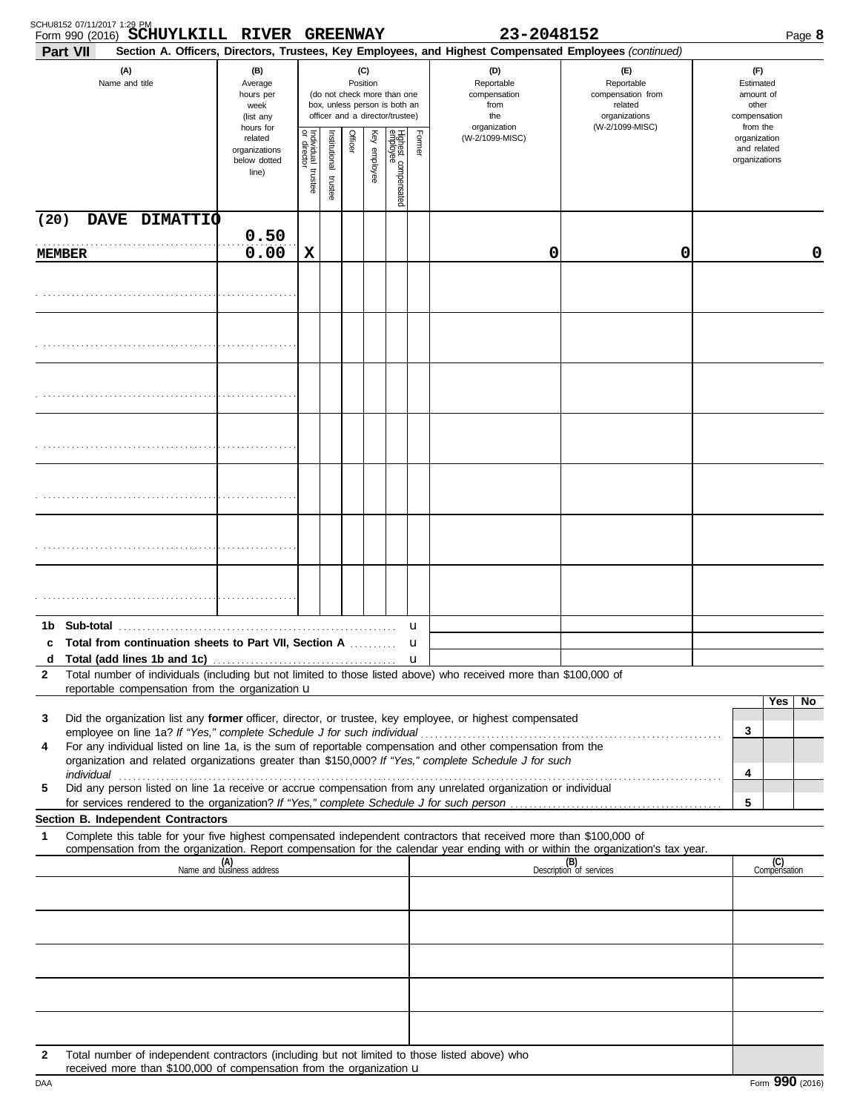| Part VII        |                                                                                                                                |                                                               |                                   |                      |          |              |                                                                                                 |        | Section A. Officers, Directors, Trustees, Key Employees, and Highest Compensated Employees (continued)                                                                                                                                                 |                                                                                       |                                                                    |    |
|-----------------|--------------------------------------------------------------------------------------------------------------------------------|---------------------------------------------------------------|-----------------------------------|----------------------|----------|--------------|-------------------------------------------------------------------------------------------------|--------|--------------------------------------------------------------------------------------------------------------------------------------------------------------------------------------------------------------------------------------------------------|---------------------------------------------------------------------------------------|--------------------------------------------------------------------|----|
|                 | (A)<br>Name and title                                                                                                          | (B)<br>Average<br>hours per<br>week<br>(list any<br>hours for |                                   |                      | Position | (C)          | (do not check more than one<br>box, unless person is both an<br>officer and a director/trustee) |        | (D)<br>Reportable<br>compensation<br>from<br>the<br>organization                                                                                                                                                                                       | (E)<br>Reportable<br>compensation from<br>related<br>organizations<br>(W-2/1099-MISC) | (F)<br>Estimated<br>amount of<br>other<br>compensation<br>from the |    |
|                 |                                                                                                                                | related<br>organizations<br>below dotted<br>line)             | Individual trustee<br>or director | nstitutional trustee | Officer  | Key employee | Highest compensated<br>employee                                                                 | Former | (W-2/1099-MISC)                                                                                                                                                                                                                                        |                                                                                       | organization<br>and related<br>organizations                       |    |
| (20)            | DAVE DIMATTIQ                                                                                                                  |                                                               |                                   |                      |          |              |                                                                                                 |        |                                                                                                                                                                                                                                                        |                                                                                       |                                                                    |    |
| <b>MEMBER</b>   |                                                                                                                                | 0.50<br>0.00                                                  | $\mathbf x$                       |                      |          |              |                                                                                                 |        | 0                                                                                                                                                                                                                                                      | 0                                                                                     |                                                                    | 0  |
|                 |                                                                                                                                |                                                               |                                   |                      |          |              |                                                                                                 |        |                                                                                                                                                                                                                                                        |                                                                                       |                                                                    |    |
|                 |                                                                                                                                |                                                               |                                   |                      |          |              |                                                                                                 |        |                                                                                                                                                                                                                                                        |                                                                                       |                                                                    |    |
|                 |                                                                                                                                |                                                               |                                   |                      |          |              |                                                                                                 |        |                                                                                                                                                                                                                                                        |                                                                                       |                                                                    |    |
|                 |                                                                                                                                |                                                               |                                   |                      |          |              |                                                                                                 |        |                                                                                                                                                                                                                                                        |                                                                                       |                                                                    |    |
|                 |                                                                                                                                |                                                               |                                   |                      |          |              |                                                                                                 |        |                                                                                                                                                                                                                                                        |                                                                                       |                                                                    |    |
|                 |                                                                                                                                |                                                               |                                   |                      |          |              |                                                                                                 |        |                                                                                                                                                                                                                                                        |                                                                                       |                                                                    |    |
|                 |                                                                                                                                |                                                               |                                   |                      |          |              |                                                                                                 |        |                                                                                                                                                                                                                                                        |                                                                                       |                                                                    |    |
|                 |                                                                                                                                |                                                               |                                   |                      |          |              |                                                                                                 |        |                                                                                                                                                                                                                                                        |                                                                                       |                                                                    |    |
|                 | c Total from continuation sheets to Part VII, Section A                                                                        |                                                               |                                   |                      |          |              |                                                                                                 | u<br>u |                                                                                                                                                                                                                                                        |                                                                                       |                                                                    |    |
| d<br>2          |                                                                                                                                |                                                               |                                   |                      |          |              |                                                                                                 | u      | Total number of individuals (including but not limited to those listed above) who received more than \$100,000 of                                                                                                                                      |                                                                                       |                                                                    |    |
|                 | reportable compensation from the organization u                                                                                |                                                               |                                   |                      |          |              |                                                                                                 |        |                                                                                                                                                                                                                                                        |                                                                                       |                                                                    |    |
| 3               |                                                                                                                                |                                                               |                                   |                      |          |              |                                                                                                 |        | Did the organization list any former officer, director, or trustee, key employee, or highest compensated                                                                                                                                               |                                                                                       | Yes<br>3                                                           | No |
| 4               |                                                                                                                                |                                                               |                                   |                      |          |              |                                                                                                 |        | For any individual listed on line 1a, is the sum of reportable compensation and other compensation from the<br>organization and related organizations greater than \$150,000? If "Yes," complete Schedule J for such                                   |                                                                                       |                                                                    |    |
| individual<br>5 |                                                                                                                                |                                                               |                                   |                      |          |              |                                                                                                 |        | Did any person listed on line 1a receive or accrue compensation from any unrelated organization or individual                                                                                                                                          |                                                                                       | 4                                                                  |    |
|                 | for services rendered to the organization? If "Yes," complete Schedule J for such person<br>Section B. Independent Contractors |                                                               |                                   |                      |          |              |                                                                                                 |        |                                                                                                                                                                                                                                                        |                                                                                       | 5                                                                  |    |
| 1               |                                                                                                                                |                                                               |                                   |                      |          |              |                                                                                                 |        | Complete this table for your five highest compensated independent contractors that received more than \$100,000 of<br>compensation from the organization. Report compensation for the calendar year ending with or within the organization's tax year. |                                                                                       |                                                                    |    |
|                 |                                                                                                                                | (A)<br>Name and business address                              |                                   |                      |          |              |                                                                                                 |        |                                                                                                                                                                                                                                                        | (B)<br>Description of services                                                        | (C)<br>Compensation                                                |    |
|                 |                                                                                                                                |                                                               |                                   |                      |          |              |                                                                                                 |        |                                                                                                                                                                                                                                                        |                                                                                       |                                                                    |    |
|                 |                                                                                                                                |                                                               |                                   |                      |          |              |                                                                                                 |        |                                                                                                                                                                                                                                                        |                                                                                       |                                                                    |    |
|                 |                                                                                                                                |                                                               |                                   |                      |          |              |                                                                                                 |        |                                                                                                                                                                                                                                                        |                                                                                       |                                                                    |    |
|                 |                                                                                                                                |                                                               |                                   |                      |          |              |                                                                                                 |        |                                                                                                                                                                                                                                                        |                                                                                       |                                                                    |    |
| 2               | Total number of independent contractors (including but not limited to those listed above) who                                  |                                                               |                                   |                      |          |              |                                                                                                 |        |                                                                                                                                                                                                                                                        |                                                                                       |                                                                    |    |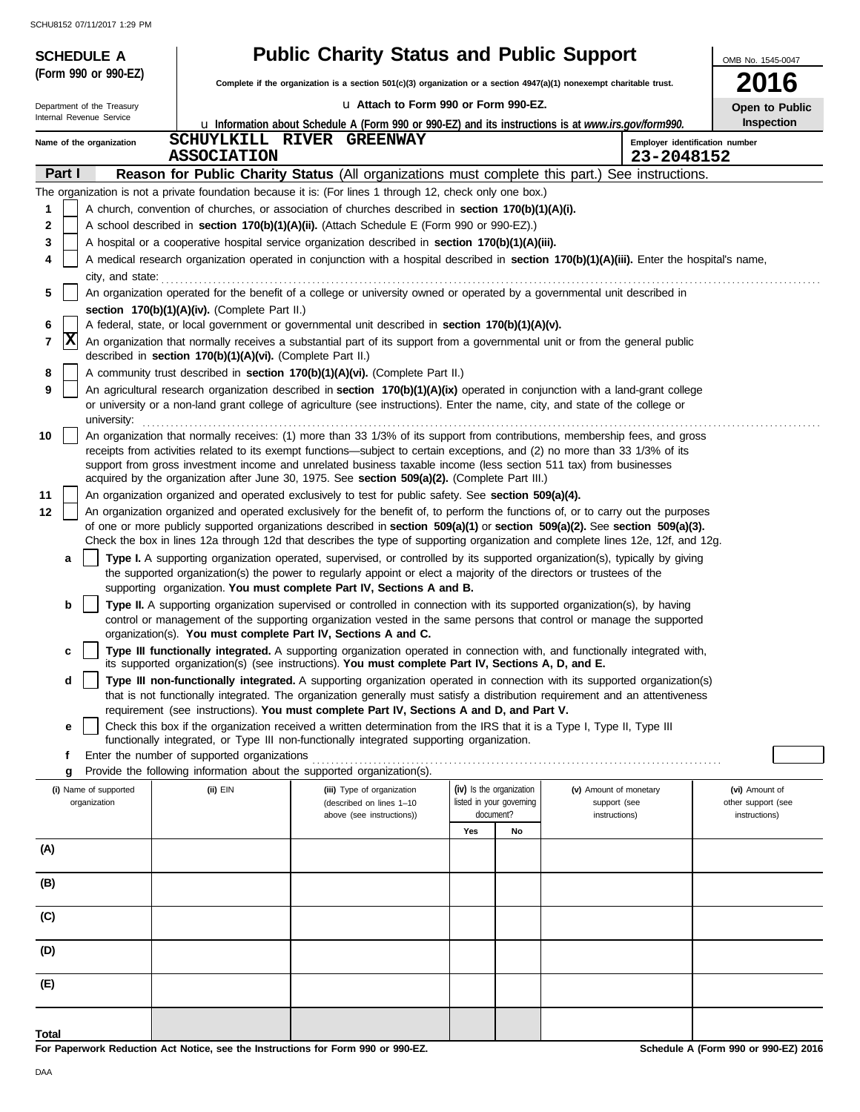|        | <b>SCHEDULE A</b>                     |                                                            | <b>Public Charity Status and Public Support</b>                                                                                                                                                                                                                 |     |                                                      |                                        | OMB No. 1545-0047                    |  |  |  |
|--------|---------------------------------------|------------------------------------------------------------|-----------------------------------------------------------------------------------------------------------------------------------------------------------------------------------------------------------------------------------------------------------------|-----|------------------------------------------------------|----------------------------------------|--------------------------------------|--|--|--|
|        | (Form 990 or 990-EZ)                  |                                                            | Complete if the organization is a section 501(c)(3) organization or a section 4947(a)(1) nonexempt charitable trust.                                                                                                                                            |     |                                                      |                                        | 2016                                 |  |  |  |
|        | Department of the Treasury            |                                                            | La Attach to Form 990 or Form 990-EZ.                                                                                                                                                                                                                           |     |                                                      |                                        | Open to Public                       |  |  |  |
|        | Internal Revenue Service              |                                                            | <b>u</b> Information about Schedule A (Form 990 or 990-EZ) and its instructions is at www.irs.gov/form990.                                                                                                                                                      |     |                                                      |                                        | Inspection                           |  |  |  |
|        | Name of the organization              | <b>ASSOCIATION</b>                                         | SCHUYLKILL RIVER GREENWAY                                                                                                                                                                                                                                       |     |                                                      | 23-2048152                             | Employer identification number       |  |  |  |
| Part I |                                       |                                                            | <b>Reason for Public Charity Status</b> (All organizations must complete this part.) See instructions.                                                                                                                                                          |     |                                                      |                                        |                                      |  |  |  |
|        |                                       |                                                            | The organization is not a private foundation because it is: (For lines 1 through 12, check only one box.)                                                                                                                                                       |     |                                                      |                                        |                                      |  |  |  |
| 1      |                                       |                                                            | A church, convention of churches, or association of churches described in section 170(b)(1)(A)(i).                                                                                                                                                              |     |                                                      |                                        |                                      |  |  |  |
| 2<br>3 |                                       |                                                            | A school described in section 170(b)(1)(A)(ii). (Attach Schedule E (Form 990 or 990-EZ).)                                                                                                                                                                       |     |                                                      |                                        |                                      |  |  |  |
| 4      |                                       |                                                            | A hospital or a cooperative hospital service organization described in section 170(b)(1)(A)(iii).<br>A medical research organization operated in conjunction with a hospital described in section 170(b)(1)(A)(iii). Enter the hospital's name,                 |     |                                                      |                                        |                                      |  |  |  |
|        | city, and state:                      |                                                            |                                                                                                                                                                                                                                                                 |     |                                                      |                                        |                                      |  |  |  |
| 5      |                                       |                                                            | An organization operated for the benefit of a college or university owned or operated by a governmental unit described in                                                                                                                                       |     |                                                      |                                        |                                      |  |  |  |
|        |                                       | section 170(b)(1)(A)(iv). (Complete Part II.)              |                                                                                                                                                                                                                                                                 |     |                                                      |                                        |                                      |  |  |  |
| 6<br>7 | X                                     |                                                            | A federal, state, or local government or governmental unit described in section 170(b)(1)(A)(v).<br>An organization that normally receives a substantial part of its support from a governmental unit or from the general public                                |     |                                                      |                                        |                                      |  |  |  |
|        |                                       | described in section 170(b)(1)(A)(vi). (Complete Part II.) |                                                                                                                                                                                                                                                                 |     |                                                      |                                        |                                      |  |  |  |
| 8      |                                       |                                                            | A community trust described in section 170(b)(1)(A)(vi). (Complete Part II.)                                                                                                                                                                                    |     |                                                      |                                        |                                      |  |  |  |
| 9      | university:                           |                                                            | An agricultural research organization described in section 170(b)(1)(A)(ix) operated in conjunction with a land-grant college<br>or university or a non-land grant college of agriculture (see instructions). Enter the name, city, and state of the college or |     |                                                      |                                        |                                      |  |  |  |
| 10     |                                       |                                                            | An organization that normally receives: (1) more than 33 1/3% of its support from contributions, membership fees, and gross                                                                                                                                     |     |                                                      |                                        |                                      |  |  |  |
|        |                                       |                                                            | receipts from activities related to its exempt functions—subject to certain exceptions, and (2) no more than 33 1/3% of its<br>support from gross investment income and unrelated business taxable income (less section 511 tax) from businesses                |     |                                                      |                                        |                                      |  |  |  |
|        |                                       |                                                            | acquired by the organization after June 30, 1975. See section 509(a)(2). (Complete Part III.)                                                                                                                                                                   |     |                                                      |                                        |                                      |  |  |  |
| 11     |                                       |                                                            | An organization organized and operated exclusively to test for public safety. See section 509(a)(4).                                                                                                                                                            |     |                                                      |                                        |                                      |  |  |  |
| 12     |                                       |                                                            | An organization organized and operated exclusively for the benefit of, to perform the functions of, or to carry out the purposes<br>of one or more publicly supported organizations described in section 509(a)(1) or section 509(a)(2). See section 509(a)(3). |     |                                                      |                                        |                                      |  |  |  |
|        |                                       |                                                            | Check the box in lines 12a through 12d that describes the type of supporting organization and complete lines 12e, 12f, and 12g.                                                                                                                                 |     |                                                      |                                        |                                      |  |  |  |
|        | a                                     |                                                            | Type I. A supporting organization operated, supervised, or controlled by its supported organization(s), typically by giving                                                                                                                                     |     |                                                      |                                        |                                      |  |  |  |
|        |                                       |                                                            | the supported organization(s) the power to regularly appoint or elect a majority of the directors or trustees of the<br>supporting organization. You must complete Part IV, Sections A and B.                                                                   |     |                                                      |                                        |                                      |  |  |  |
|        | b                                     |                                                            | Type II. A supporting organization supervised or controlled in connection with its supported organization(s), by having                                                                                                                                         |     |                                                      |                                        |                                      |  |  |  |
|        |                                       |                                                            | control or management of the supporting organization vested in the same persons that control or manage the supported<br>organization(s). You must complete Part IV, Sections A and C.                                                                           |     |                                                      |                                        |                                      |  |  |  |
|        | с                                     |                                                            | Type III functionally integrated. A supporting organization operated in connection with, and functionally integrated with,                                                                                                                                      |     |                                                      |                                        |                                      |  |  |  |
|        |                                       |                                                            | its supported organization(s) (see instructions). You must complete Part IV, Sections A, D, and E.                                                                                                                                                              |     |                                                      |                                        |                                      |  |  |  |
|        | d                                     |                                                            | Type III non-functionally integrated. A supporting organization operated in connection with its supported organization(s)<br>that is not functionally integrated. The organization generally must satisfy a distribution requirement and an attentiveness       |     |                                                      |                                        |                                      |  |  |  |
|        |                                       |                                                            | requirement (see instructions). You must complete Part IV, Sections A and D, and Part V.                                                                                                                                                                        |     |                                                      |                                        |                                      |  |  |  |
|        | е                                     |                                                            | Check this box if the organization received a written determination from the IRS that it is a Type I, Type II, Type III<br>functionally integrated, or Type III non-functionally integrated supporting organization.                                            |     |                                                      |                                        |                                      |  |  |  |
|        | f                                     | Enter the number of supported organizations                |                                                                                                                                                                                                                                                                 |     |                                                      |                                        |                                      |  |  |  |
|        | g                                     |                                                            | Provide the following information about the supported organization(s).                                                                                                                                                                                          |     |                                                      |                                        |                                      |  |  |  |
|        | (i) Name of supported<br>organization | (ii) EIN                                                   | (iii) Type of organization<br>(described on lines 1-10                                                                                                                                                                                                          |     | (iv) Is the organization<br>listed in your governing | (v) Amount of monetary<br>support (see | (vi) Amount of<br>other support (see |  |  |  |
|        |                                       |                                                            | above (see instructions))                                                                                                                                                                                                                                       |     | document?                                            | instructions)                          | instructions)                        |  |  |  |
|        |                                       |                                                            |                                                                                                                                                                                                                                                                 | Yes | No                                                   |                                        |                                      |  |  |  |
| (A)    |                                       |                                                            |                                                                                                                                                                                                                                                                 |     |                                                      |                                        |                                      |  |  |  |
| (B)    |                                       |                                                            |                                                                                                                                                                                                                                                                 |     |                                                      |                                        |                                      |  |  |  |
| (C)    |                                       |                                                            |                                                                                                                                                                                                                                                                 |     |                                                      |                                        |                                      |  |  |  |
| (D)    |                                       |                                                            |                                                                                                                                                                                                                                                                 |     |                                                      |                                        |                                      |  |  |  |
| (E)    |                                       |                                                            |                                                                                                                                                                                                                                                                 |     |                                                      |                                        |                                      |  |  |  |
| Total  |                                       |                                                            |                                                                                                                                                                                                                                                                 |     |                                                      |                                        |                                      |  |  |  |

**For Paperwork Reduction Act Notice, see the Instructions for Form 990 or 990-EZ.**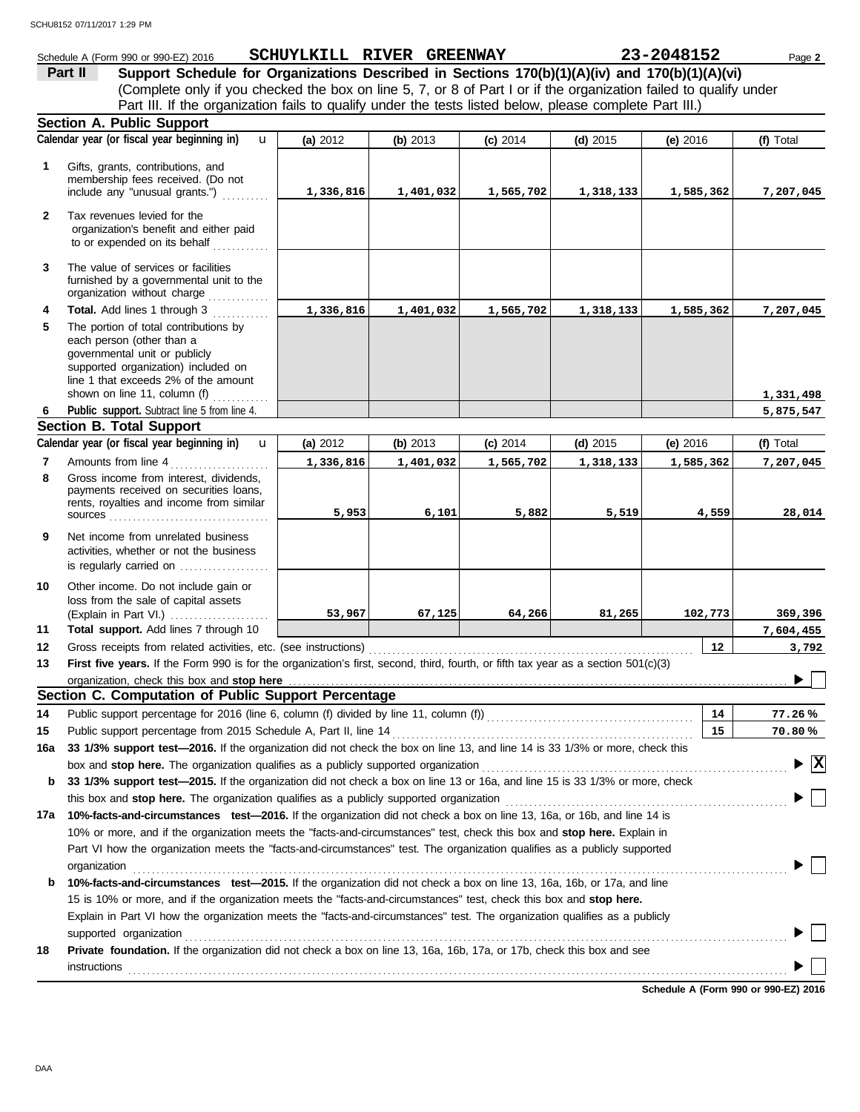|              | Schedule A (Form 990 or 990-EZ) 2016                                                                                                                                                                                                                                                                                                                          |           | SCHUYLKILL RIVER GREENWAY |            |            | 23-2048152      | Page 2                                      |
|--------------|---------------------------------------------------------------------------------------------------------------------------------------------------------------------------------------------------------------------------------------------------------------------------------------------------------------------------------------------------------------|-----------|---------------------------|------------|------------|-----------------|---------------------------------------------|
|              | Support Schedule for Organizations Described in Sections 170(b)(1)(A)(iv) and 170(b)(1)(A)(vi)<br>Part II                                                                                                                                                                                                                                                     |           |                           |            |            |                 |                                             |
|              | (Complete only if you checked the box on line 5, 7, or 8 of Part I or if the organization failed to qualify under                                                                                                                                                                                                                                             |           |                           |            |            |                 |                                             |
|              | Part III. If the organization fails to qualify under the tests listed below, please complete Part III.)                                                                                                                                                                                                                                                       |           |                           |            |            |                 |                                             |
|              | Section A. Public Support                                                                                                                                                                                                                                                                                                                                     |           |                           |            |            |                 |                                             |
|              | Calendar year (or fiscal year beginning in)<br>$\mathbf{u}$                                                                                                                                                                                                                                                                                                   | (a) 2012  | (b) $2013$                | $(c)$ 2014 | $(d)$ 2015 | (e) $2016$      | (f) Total                                   |
| 1            | Gifts, grants, contributions, and                                                                                                                                                                                                                                                                                                                             |           |                           |            |            |                 |                                             |
|              | membership fees received. (Do not                                                                                                                                                                                                                                                                                                                             |           |                           |            |            |                 |                                             |
|              | include any "unusual grants.")                                                                                                                                                                                                                                                                                                                                | 1,336,816 | 1,401,032                 | 1,565,702  | 1,318,133  | 1,585,362       | 7,207,045                                   |
| $\mathbf{2}$ | Tax revenues levied for the                                                                                                                                                                                                                                                                                                                                   |           |                           |            |            |                 |                                             |
|              | organization's benefit and either paid                                                                                                                                                                                                                                                                                                                        |           |                           |            |            |                 |                                             |
|              | to or expended on its behalf                                                                                                                                                                                                                                                                                                                                  |           |                           |            |            |                 |                                             |
| 3            | The value of services or facilities                                                                                                                                                                                                                                                                                                                           |           |                           |            |            |                 |                                             |
|              | furnished by a governmental unit to the                                                                                                                                                                                                                                                                                                                       |           |                           |            |            |                 |                                             |
|              | organization without charge                                                                                                                                                                                                                                                                                                                                   |           |                           |            |            |                 |                                             |
| 4            | Total. Add lines 1 through 3                                                                                                                                                                                                                                                                                                                                  | 1,336,816 | 1,401,032                 | 1,565,702  | 1,318,133  | 1,585,362       | 7,207,045                                   |
| 5            | The portion of total contributions by<br>each person (other than a                                                                                                                                                                                                                                                                                            |           |                           |            |            |                 |                                             |
|              | governmental unit or publicly                                                                                                                                                                                                                                                                                                                                 |           |                           |            |            |                 |                                             |
|              | supported organization) included on                                                                                                                                                                                                                                                                                                                           |           |                           |            |            |                 |                                             |
|              | line 1 that exceeds 2% of the amount                                                                                                                                                                                                                                                                                                                          |           |                           |            |            |                 |                                             |
|              | shown on line 11, column (f) $\ldots$<br>Public support. Subtract line 5 from line 4.                                                                                                                                                                                                                                                                         |           |                           |            |            |                 | 1,331,498                                   |
| 6            | <b>Section B. Total Support</b>                                                                                                                                                                                                                                                                                                                               |           |                           |            |            |                 | 5,875,547                                   |
|              | Calendar year (or fiscal year beginning in)<br>$\mathbf{u}$                                                                                                                                                                                                                                                                                                   | (a) 2012  | (b) $2013$                | $(c)$ 2014 | (d) $2015$ | $(e)$ 2016      | (f) Total                                   |
| 7            | Amounts from line 4                                                                                                                                                                                                                                                                                                                                           | 1,336,816 | 1,401,032                 | 1,565,702  | 1,318,133  | 1,585,362       | 7,207,045                                   |
| 8            | Gross income from interest, dividends,                                                                                                                                                                                                                                                                                                                        |           |                           |            |            |                 |                                             |
|              | payments received on securities loans,                                                                                                                                                                                                                                                                                                                        |           |                           |            |            |                 |                                             |
|              | rents, royalties and income from similar                                                                                                                                                                                                                                                                                                                      | 5,953     | 6,101                     | 5,882      | 5,519      | 4,559           | 28,014                                      |
|              |                                                                                                                                                                                                                                                                                                                                                               |           |                           |            |            |                 |                                             |
| 9            | Net income from unrelated business<br>activities, whether or not the business                                                                                                                                                                                                                                                                                 |           |                           |            |            |                 |                                             |
|              | is regularly carried on                                                                                                                                                                                                                                                                                                                                       |           |                           |            |            |                 |                                             |
| 10           | Other income. Do not include gain or                                                                                                                                                                                                                                                                                                                          |           |                           |            |            |                 |                                             |
|              | loss from the sale of capital assets                                                                                                                                                                                                                                                                                                                          |           |                           |            |            |                 |                                             |
|              | (Explain in Part VI.)                                                                                                                                                                                                                                                                                                                                         | 53,967    | 67,125                    | 64,266     | 81,265     | 102,773         | 369,396                                     |
| 11           | Total support. Add lines 7 through 10                                                                                                                                                                                                                                                                                                                         |           |                           |            |            |                 | 7,604,455                                   |
| 12           |                                                                                                                                                                                                                                                                                                                                                               |           |                           |            |            | 12 <sub>2</sub> | 3,792                                       |
| 13           | First five years. If the Form 990 is for the organization's first, second, third, fourth, or fifth tax year as a section 501(c)(3)                                                                                                                                                                                                                            |           |                           |            |            |                 | $\blacksquare$                              |
|              | organization, check this box and stop here                                                                                                                                                                                                                                                                                                                    |           |                           |            |            |                 |                                             |
|              | Section C. Computation of Public Support Percentage                                                                                                                                                                                                                                                                                                           |           |                           |            |            |                 |                                             |
| 14           |                                                                                                                                                                                                                                                                                                                                                               |           |                           |            |            | 14              | 77.26%                                      |
| 15           | Public support percentage from 2015 Schedule A, Part II, line 14                                                                                                                                                                                                                                                                                              |           |                           |            |            | 15              | 70.80%                                      |
| 16a          | 33 1/3% support test-2016. If the organization did not check the box on line 13, and line 14 is 33 1/3% or more, check this                                                                                                                                                                                                                                   |           |                           |            |            |                 | $\blacktriangleright \overline{\mathbf{X}}$ |
| b            | box and stop here. The organization qualifies as a publicly supported organization [11] content content content or the content of the state of the state of the state of the state of the state of the state of the state of t<br>33 1/3% support test-2015. If the organization did not check a box on line 13 or 16a, and line 15 is 33 1/3% or more, check |           |                           |            |            |                 |                                             |
|              | this box and stop here. The organization qualifies as a publicly supported organization [11] [11] [11] [11] [1                                                                                                                                                                                                                                                |           |                           |            |            |                 |                                             |
| 17a          | 10%-facts-and-circumstances test-2016. If the organization did not check a box on line 13, 16a, or 16b, and line 14 is                                                                                                                                                                                                                                        |           |                           |            |            |                 |                                             |
|              | 10% or more, and if the organization meets the "facts-and-circumstances" test, check this box and stop here. Explain in                                                                                                                                                                                                                                       |           |                           |            |            |                 |                                             |
|              | Part VI how the organization meets the "facts-and-circumstances" test. The organization qualifies as a publicly supported                                                                                                                                                                                                                                     |           |                           |            |            |                 |                                             |
|              | organization                                                                                                                                                                                                                                                                                                                                                  |           |                           |            |            |                 |                                             |
| b            | 10%-facts-and-circumstances test-2015. If the organization did not check a box on line 13, 16a, 16b, or 17a, and line                                                                                                                                                                                                                                         |           |                           |            |            |                 |                                             |
|              | 15 is 10% or more, and if the organization meets the "facts-and-circumstances" test, check this box and stop here.                                                                                                                                                                                                                                            |           |                           |            |            |                 |                                             |
|              | Explain in Part VI how the organization meets the "facts-and-circumstances" test. The organization qualifies as a publicly                                                                                                                                                                                                                                    |           |                           |            |            |                 |                                             |
|              | supported organization with the contract of the contract of the contract of the contract of the contract of the contract of the contract of the contract of the contract of the contract of the contract of the contract of th                                                                                                                                |           |                           |            |            |                 |                                             |
| 18           | Private foundation. If the organization did not check a box on line 13, 16a, 16b, 17a, or 17b, check this box and see                                                                                                                                                                                                                                         |           |                           |            |            |                 |                                             |
|              | <b>instructions</b>                                                                                                                                                                                                                                                                                                                                           |           |                           |            |            |                 |                                             |
|              |                                                                                                                                                                                                                                                                                                                                                               |           |                           |            |            |                 |                                             |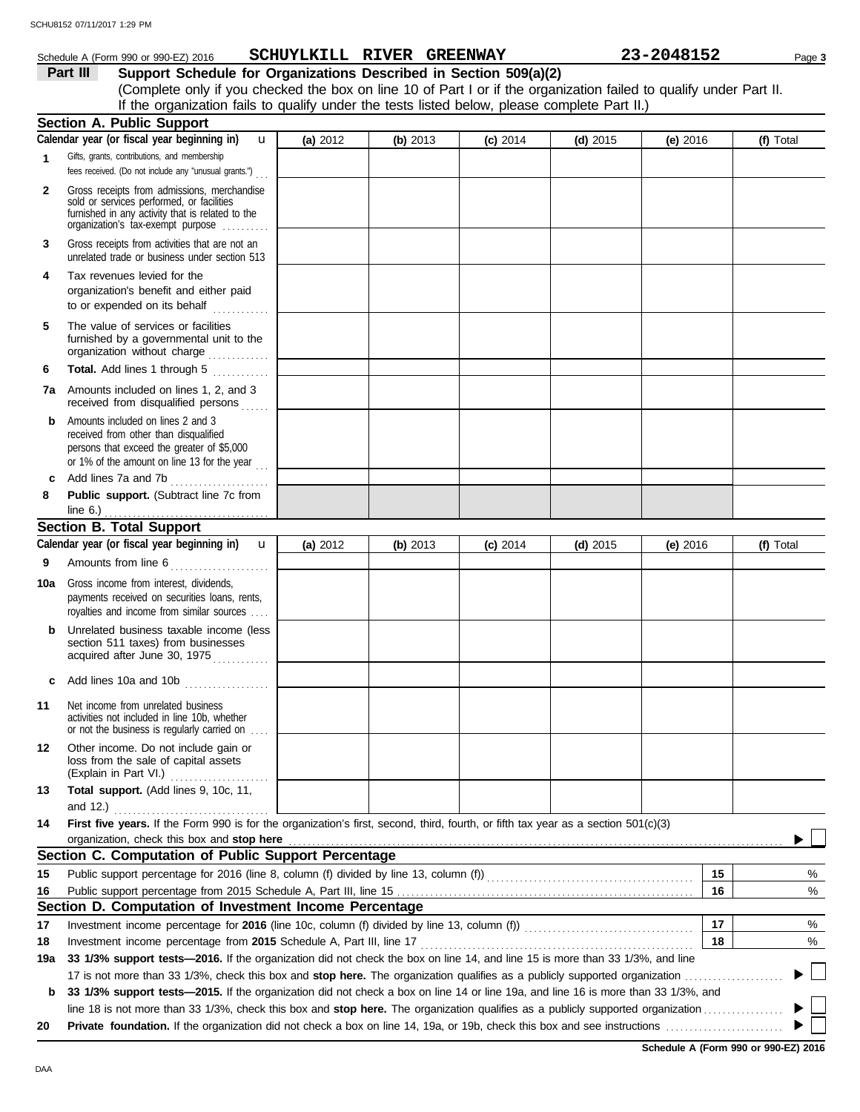### Schedule A (Form 990 or 990-EZ) 2016 Page **3 SCHUYLKILL RIVER GREENWAY 23-2048152**

**Part III** Support Schedule for Organizations Described in Section 509(a)(2) (Complete only if you checked the box on line 10 of Part I or if the organization failed to qualify under Part II. If the organization fails to qualify under the tests listed below, please complete Part II.)

|     | <b>Section A. Public Support</b>                                                                                                                                                  |            |            |            |            |            |           |
|-----|-----------------------------------------------------------------------------------------------------------------------------------------------------------------------------------|------------|------------|------------|------------|------------|-----------|
|     | Calendar year (or fiscal year beginning in)<br>u                                                                                                                                  | (a) $2012$ | (b) $2013$ | $(c)$ 2014 | (d) $2015$ | (e) $2016$ | (f) Total |
| 1   | Gifts, grants, contributions, and membership<br>fees received. (Do not include any "unusual grants.")                                                                             |            |            |            |            |            |           |
| 2   | Gross receipts from admissions, merchandise<br>sold or services performed, or facilities<br>furnished in any activity that is related to the<br>organization's tax-exempt purpose |            |            |            |            |            |           |
| 3   | Gross receipts from activities that are not an<br>unrelated trade or business under section 513                                                                                   |            |            |            |            |            |           |
| 4   | Tax revenues levied for the<br>organization's benefit and either paid<br>to or expended on its behalf<br>.                                                                        |            |            |            |            |            |           |
| 5   | The value of services or facilities<br>furnished by a governmental unit to the<br>organization without charge                                                                     |            |            |            |            |            |           |
| 6   | Total. Add lines 1 through 5<br>.                                                                                                                                                 |            |            |            |            |            |           |
| 7а  | Amounts included on lines 1, 2, and 3<br>received from disqualified persons                                                                                                       |            |            |            |            |            |           |
| b   | Amounts included on lines 2 and 3<br>received from other than disqualified<br>persons that exceed the greater of \$5,000<br>or 1% of the amount on line 13 for the year $\ldots$  |            |            |            |            |            |           |
| c   | Add lines 7a and 7b<br>.                                                                                                                                                          |            |            |            |            |            |           |
| 8   | Public support. (Subtract line 7c from                                                                                                                                            |            |            |            |            |            |           |
|     | line $6.$ )<br><b>Section B. Total Support</b>                                                                                                                                    |            |            |            |            |            |           |
|     | Calendar year (or fiscal year beginning in)<br>$\mathbf{u}$                                                                                                                       | (a) $2012$ | (b) $2013$ | $(c)$ 2014 | (d) $2015$ | (e) $2016$ | (f) Total |
| 9   | Amounts from line 6                                                                                                                                                               |            |            |            |            |            |           |
| 10a | Gross income from interest, dividends,<br>payments received on securities loans, rents,                                                                                           |            |            |            |            |            |           |
| b   | royalties and income from similar sources<br>Unrelated business taxable income (less<br>section 511 taxes) from businesses<br>acquired after June 30, 1975                        |            |            |            |            |            |           |
| C   | Add lines 10a and 10b $\ldots$ $\ldots$ $\ldots$                                                                                                                                  |            |            |            |            |            |           |
| 11  | Net income from unrelated business<br>activities not included in line 10b, whether<br>or not the business is regularly carried on                                                 |            |            |            |            |            |           |
| 12  | Other income. Do not include gain or<br>loss from the sale of capital assets<br>(Explain in Part VI.)                                                                             |            |            |            |            |            |           |
| 13  | Total support. (Add lines 9, 10c, 11,                                                                                                                                             |            |            |            |            |            |           |
|     | and 12.)                                                                                                                                                                          |            |            |            |            |            |           |
| 14  | First five years. If the Form 990 is for the organization's first, second, third, fourth, or fifth tax year as a section 501(c)(3)                                                |            |            |            |            |            |           |
|     | organization, check this box and stop here<br>Section C. Computation of Public Support Percentage                                                                                 |            |            |            |            |            |           |
|     |                                                                                                                                                                                   |            |            |            |            | 15         |           |
| 15  | Public support percentage for 2016 (line 8, column (f) divided by line 13, column (f)) [[[[[[[[[[[[[[[[[[[[[[                                                                     |            |            |            |            | 16         | %<br>%    |
| 16  | Public support percentage from 2015 Schedule A, Part III, line 15<br>Section D. Computation of Investment Income Percentage                                                       |            |            |            |            |            |           |
| 17  | Investment income percentage for 2016 (line 10c, column (f) divided by line 13, column (f)) [[[[[[[[[[[[[[[[[[                                                                    |            |            |            |            | 17         | %         |
| 18  | Investment income percentage from 2015 Schedule A, Part III, line 17                                                                                                              |            |            |            |            | 18         | %         |
| 19a | 33 1/3% support tests-2016. If the organization did not check the box on line 14, and line 15 is more than 33 1/3%, and line                                                      |            |            |            |            |            |           |
|     |                                                                                                                                                                                   |            |            |            |            |            |           |
| b   | 33 1/3% support tests-2015. If the organization did not check a box on line 14 or line 19a, and line 16 is more than 33 1/3%, and                                                 |            |            |            |            |            |           |
|     |                                                                                                                                                                                   |            |            |            |            |            |           |
| 20  |                                                                                                                                                                                   |            |            |            |            |            |           |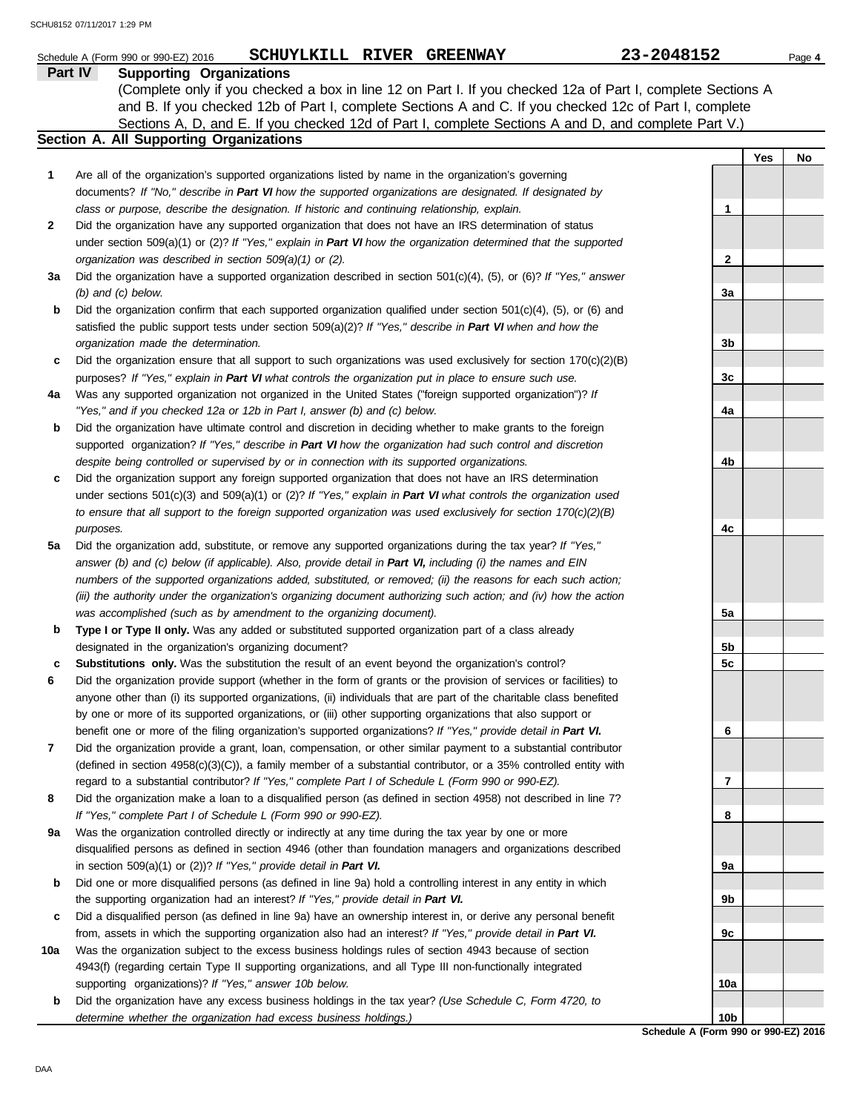|     | 23-2048152<br>SCHUYLKILL RIVER GREENWAY<br>Schedule A (Form 990 or 990-EZ) 2016                                                                                                                                    |                 |            | Page 4 |
|-----|--------------------------------------------------------------------------------------------------------------------------------------------------------------------------------------------------------------------|-----------------|------------|--------|
|     | Part IV<br><b>Supporting Organizations</b>                                                                                                                                                                         |                 |            |        |
|     | (Complete only if you checked a box in line 12 on Part I. If you checked 12a of Part I, complete Sections A                                                                                                        |                 |            |        |
|     | and B. If you checked 12b of Part I, complete Sections A and C. If you checked 12c of Part I, complete                                                                                                             |                 |            |        |
|     | Sections A, D, and E. If you checked 12d of Part I, complete Sections A and D, and complete Part V.)                                                                                                               |                 |            |        |
|     | Section A. All Supporting Organizations                                                                                                                                                                            |                 |            |        |
|     |                                                                                                                                                                                                                    |                 | <b>Yes</b> | No     |
| 1   | Are all of the organization's supported organizations listed by name in the organization's governing                                                                                                               |                 |            |        |
|     | documents? If "No," describe in Part VI how the supported organizations are designated. If designated by                                                                                                           |                 |            |        |
|     | class or purpose, describe the designation. If historic and continuing relationship, explain.                                                                                                                      | 1               |            |        |
| 2   | Did the organization have any supported organization that does not have an IRS determination of status                                                                                                             |                 |            |        |
|     | under section 509(a)(1) or (2)? If "Yes," explain in Part VI how the organization determined that the supported                                                                                                    |                 |            |        |
|     | organization was described in section 509(a)(1) or (2).                                                                                                                                                            | 2               |            |        |
| За  | Did the organization have a supported organization described in section $501(c)(4)$ , (5), or (6)? If "Yes," answer                                                                                                |                 |            |        |
|     | $(b)$ and $(c)$ below.                                                                                                                                                                                             | 3a              |            |        |
| b   | Did the organization confirm that each supported organization qualified under section $501(c)(4)$ , $(5)$ , or $(6)$ and                                                                                           |                 |            |        |
|     | satisfied the public support tests under section 509(a)(2)? If "Yes," describe in Part VI when and how the                                                                                                         |                 |            |        |
|     | organization made the determination.                                                                                                                                                                               | 3b              |            |        |
| c   | Did the organization ensure that all support to such organizations was used exclusively for section $170(c)(2)(B)$                                                                                                 | 3c              |            |        |
|     | purposes? If "Yes," explain in Part VI what controls the organization put in place to ensure such use.<br>Was any supported organization not organized in the United States ("foreign supported organization")? If |                 |            |        |
| 4a  | "Yes," and if you checked 12a or 12b in Part I, answer (b) and (c) below.                                                                                                                                          | 4a              |            |        |
| b   | Did the organization have ultimate control and discretion in deciding whether to make grants to the foreign                                                                                                        |                 |            |        |
|     | supported organization? If "Yes," describe in Part VI how the organization had such control and discretion                                                                                                         |                 |            |        |
|     | despite being controlled or supervised by or in connection with its supported organizations.                                                                                                                       | 4b              |            |        |
| c   | Did the organization support any foreign supported organization that does not have an IRS determination                                                                                                            |                 |            |        |
|     | under sections $501(c)(3)$ and $509(a)(1)$ or (2)? If "Yes," explain in Part VI what controls the organization used                                                                                                |                 |            |        |
|     | to ensure that all support to the foreign supported organization was used exclusively for section $170(c)(2)(B)$                                                                                                   |                 |            |        |
|     | purposes.                                                                                                                                                                                                          | 4c              |            |        |
| 5a  | Did the organization add, substitute, or remove any supported organizations during the tax year? If "Yes,"                                                                                                         |                 |            |        |
|     | answer (b) and (c) below (if applicable). Also, provide detail in Part VI, including (i) the names and EIN                                                                                                         |                 |            |        |
|     | numbers of the supported organizations added, substituted, or removed; (ii) the reasons for each such action;                                                                                                      |                 |            |        |
|     | (iii) the authority under the organization's organizing document authorizing such action; and (iv) how the action                                                                                                  |                 |            |        |
|     | was accomplished (such as by amendment to the organizing document).                                                                                                                                                | 5a              |            |        |
| b   | Type I or Type II only. Was any added or substituted supported organization part of a class already                                                                                                                |                 |            |        |
|     | designated in the organization's organizing document?                                                                                                                                                              | 5b              |            |        |
|     | Substitutions only. Was the substitution the result of an event beyond the organization's control?                                                                                                                 | 5c              |            |        |
| 6   | Did the organization provide support (whether in the form of grants or the provision of services or facilities) to                                                                                                 |                 |            |        |
|     | anyone other than (i) its supported organizations, (ii) individuals that are part of the charitable class benefited                                                                                                |                 |            |        |
|     | by one or more of its supported organizations, or (iii) other supporting organizations that also support or                                                                                                        |                 |            |        |
|     | benefit one or more of the filing organization's supported organizations? If "Yes," provide detail in Part VI.                                                                                                     | 6               |            |        |
| 7   | Did the organization provide a grant, loan, compensation, or other similar payment to a substantial contributor                                                                                                    |                 |            |        |
|     | (defined in section $4958(c)(3)(C)$ ), a family member of a substantial contributor, or a 35% controlled entity with                                                                                               |                 |            |        |
|     | regard to a substantial contributor? If "Yes," complete Part I of Schedule L (Form 990 or 990-EZ).                                                                                                                 | 7               |            |        |
| 8   | Did the organization make a loan to a disqualified person (as defined in section 4958) not described in line 7?                                                                                                    |                 |            |        |
|     | If "Yes," complete Part I of Schedule L (Form 990 or 990-EZ).                                                                                                                                                      | 8               |            |        |
| 9а  | Was the organization controlled directly or indirectly at any time during the tax year by one or more                                                                                                              |                 |            |        |
|     | disqualified persons as defined in section 4946 (other than foundation managers and organizations described<br>in section $509(a)(1)$ or (2))? If "Yes," provide detail in Part VI.                                | 9a              |            |        |
| b   | Did one or more disqualified persons (as defined in line 9a) hold a controlling interest in any entity in which                                                                                                    |                 |            |        |
|     | the supporting organization had an interest? If "Yes," provide detail in Part VI.                                                                                                                                  | 9b              |            |        |
| c   | Did a disqualified person (as defined in line 9a) have an ownership interest in, or derive any personal benefit                                                                                                    |                 |            |        |
|     | from, assets in which the supporting organization also had an interest? If "Yes," provide detail in Part VI.                                                                                                       | 9с              |            |        |
| 10a | Was the organization subject to the excess business holdings rules of section 4943 because of section                                                                                                              |                 |            |        |
|     | 4943(f) (regarding certain Type II supporting organizations, and all Type III non-functionally integrated                                                                                                          |                 |            |        |
|     | supporting organizations)? If "Yes," answer 10b below.                                                                                                                                                             | 10a             |            |        |
| b   | Did the organization have any excess business holdings in the tax year? (Use Schedule C, Form 4720, to                                                                                                             |                 |            |        |
|     | determine whether the organization had excess business holdings.)                                                                                                                                                  | 10 <sub>b</sub> |            |        |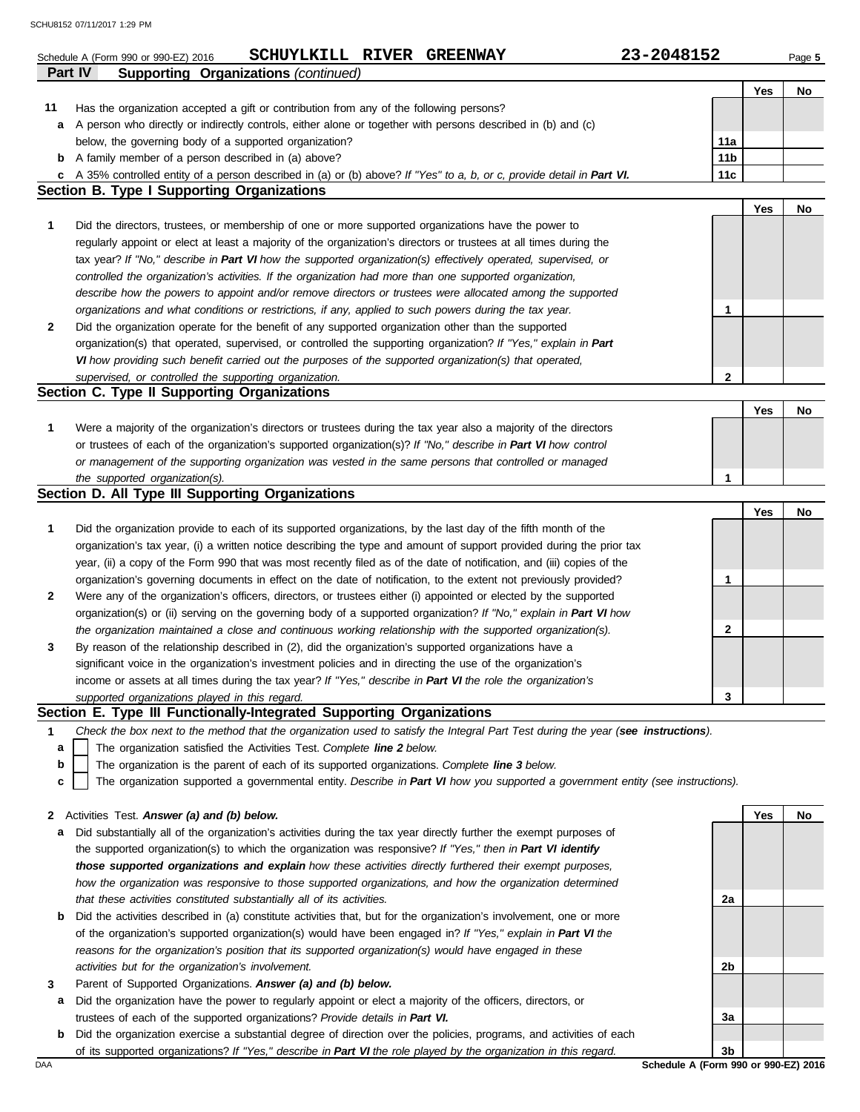|         | SCHUYLKILL RIVER GREENWAY<br>Schedule A (Form 990 or 990-EZ) 2016                                                                                                                                                                          | 23-2048152             |     | Page 5 |
|---------|--------------------------------------------------------------------------------------------------------------------------------------------------------------------------------------------------------------------------------------------|------------------------|-----|--------|
| Part IV | <b>Supporting Organizations (continued)</b>                                                                                                                                                                                                |                        |     |        |
|         |                                                                                                                                                                                                                                            |                        | Yes | No     |
| 11      | Has the organization accepted a gift or contribution from any of the following persons?                                                                                                                                                    |                        |     |        |
| a       | A person who directly or indirectly controls, either alone or together with persons described in (b) and (c)                                                                                                                               |                        |     |        |
|         | below, the governing body of a supported organization?                                                                                                                                                                                     | 11a                    |     |        |
|         | <b>b</b> A family member of a person described in (a) above?                                                                                                                                                                               | 11 <sub>b</sub><br>11c |     |        |
| c       | A 35% controlled entity of a person described in (a) or (b) above? If "Yes" to a, b, or c, provide detail in Part VI.<br><b>Section B. Type I Supporting Organizations</b>                                                                 |                        |     |        |
|         |                                                                                                                                                                                                                                            |                        | Yes | No     |
| 1       | Did the directors, trustees, or membership of one or more supported organizations have the power to                                                                                                                                        |                        |     |        |
|         | regularly appoint or elect at least a majority of the organization's directors or trustees at all times during the                                                                                                                         |                        |     |        |
|         | tax year? If "No," describe in Part VI how the supported organization(s) effectively operated, supervised, or                                                                                                                              |                        |     |        |
|         | controlled the organization's activities. If the organization had more than one supported organization,                                                                                                                                    |                        |     |        |
|         | describe how the powers to appoint and/or remove directors or trustees were allocated among the supported                                                                                                                                  |                        |     |        |
|         | organizations and what conditions or restrictions, if any, applied to such powers during the tax year.                                                                                                                                     | 1                      |     |        |
| 2       | Did the organization operate for the benefit of any supported organization other than the supported                                                                                                                                        |                        |     |        |
|         | organization(s) that operated, supervised, or controlled the supporting organization? If "Yes," explain in Part                                                                                                                            |                        |     |        |
|         | VI how providing such benefit carried out the purposes of the supported organization(s) that operated,                                                                                                                                     |                        |     |        |
|         | supervised, or controlled the supporting organization.                                                                                                                                                                                     | $\mathbf{2}$           |     |        |
|         | Section C. Type II Supporting Organizations                                                                                                                                                                                                |                        |     |        |
|         |                                                                                                                                                                                                                                            |                        | Yes | No     |
| 1       | Were a majority of the organization's directors or trustees during the tax year also a majority of the directors                                                                                                                           |                        |     |        |
|         | or trustees of each of the organization's supported organization(s)? If "No," describe in Part VI how control                                                                                                                              |                        |     |        |
|         | or management of the supporting organization was vested in the same persons that controlled or managed                                                                                                                                     |                        |     |        |
|         | the supported organization(s).                                                                                                                                                                                                             | 1                      |     |        |
|         | Section D. All Type III Supporting Organizations                                                                                                                                                                                           |                        |     |        |
|         |                                                                                                                                                                                                                                            |                        | Yes | No     |
| 1       | Did the organization provide to each of its supported organizations, by the last day of the fifth month of the                                                                                                                             |                        |     |        |
|         | organization's tax year, (i) a written notice describing the type and amount of support provided during the prior tax                                                                                                                      |                        |     |        |
|         | year, (ii) a copy of the Form 990 that was most recently filed as of the date of notification, and (iii) copies of the<br>organization's governing documents in effect on the date of notification, to the extent not previously provided? | 1                      |     |        |
| 2       | Were any of the organization's officers, directors, or trustees either (i) appointed or elected by the supported                                                                                                                           |                        |     |        |
|         | organization(s) or (ii) serving on the governing body of a supported organization? If "No," explain in Part VI how                                                                                                                         |                        |     |        |
|         | the organization maintained a close and continuous working relationship with the supported organization(s).                                                                                                                                | 2                      |     |        |
| 3       | By reason of the relationship described in (2), did the organization's supported organizations have a                                                                                                                                      |                        |     |        |
|         | significant voice in the organization's investment policies and in directing the use of the organization's                                                                                                                                 |                        |     |        |
|         | income or assets at all times during the tax year? If "Yes," describe in Part VI the role the organization's                                                                                                                               |                        |     |        |
|         | supported organizations played in this regard.                                                                                                                                                                                             | 3                      |     |        |
|         | Section E. Type III Functionally-Integrated Supporting Organizations                                                                                                                                                                       |                        |     |        |
| 1       | Check the box next to the method that the organization used to satisfy the Integral Part Test during the year (see instructions).                                                                                                          |                        |     |        |
| a       | The organization satisfied the Activities Test. Complete line 2 below.                                                                                                                                                                     |                        |     |        |
| b       | The organization is the parent of each of its supported organizations. Complete line 3 below.                                                                                                                                              |                        |     |        |
| c       | The organization supported a governmental entity. Describe in Part VI how you supported a government entity (see instructions).                                                                                                            |                        |     |        |
|         |                                                                                                                                                                                                                                            |                        |     |        |
| 2       | Activities Test. Answer (a) and (b) below.                                                                                                                                                                                                 |                        | Yes | No     |
| а       | Did substantially all of the organization's activities during the tax year directly further the exempt purposes of                                                                                                                         |                        |     |        |
|         | the supported organization(s) to which the organization was responsive? If "Yes," then in Part VI identify                                                                                                                                 |                        |     |        |
|         | those supported organizations and explain how these activities directly furthered their exempt purposes,                                                                                                                                   |                        |     |        |
|         | how the organization was responsive to those supported organizations, and how the organization determined                                                                                                                                  |                        |     |        |
|         | that these activities constituted substantially all of its activities.                                                                                                                                                                     | 2a                     |     |        |
| b       | Did the activities described in (a) constitute activities that, but for the organization's involvement, one or more<br>of the organization's supported organization(s) would have been engaged in? If "Yes," explain in Part VI the        |                        |     |        |
|         |                                                                                                                                                                                                                                            |                        |     |        |
|         | reasons for the organization's position that its supported organization(s) would have engaged in these<br>activities but for the organization's involvement.                                                                               | 2b                     |     |        |
| 3       | Parent of Supported Organizations. Answer (a) and (b) below.                                                                                                                                                                               |                        |     |        |
| а       | Did the organization have the power to regularly appoint or elect a majority of the officers, directors, or                                                                                                                                |                        |     |        |
|         | trustees of each of the supported organizations? Provide details in Part VI.                                                                                                                                                               | За                     |     |        |
| b       | Did the organization exercise a substantial degree of direction over the policies, programs, and activities of each                                                                                                                        |                        |     |        |

of its supported organizations? *If "Yes," describe in Part VI the role played by the organization in this regard.*

DAA **Schedule A (Form 990 or 990-EZ) 2016 3b**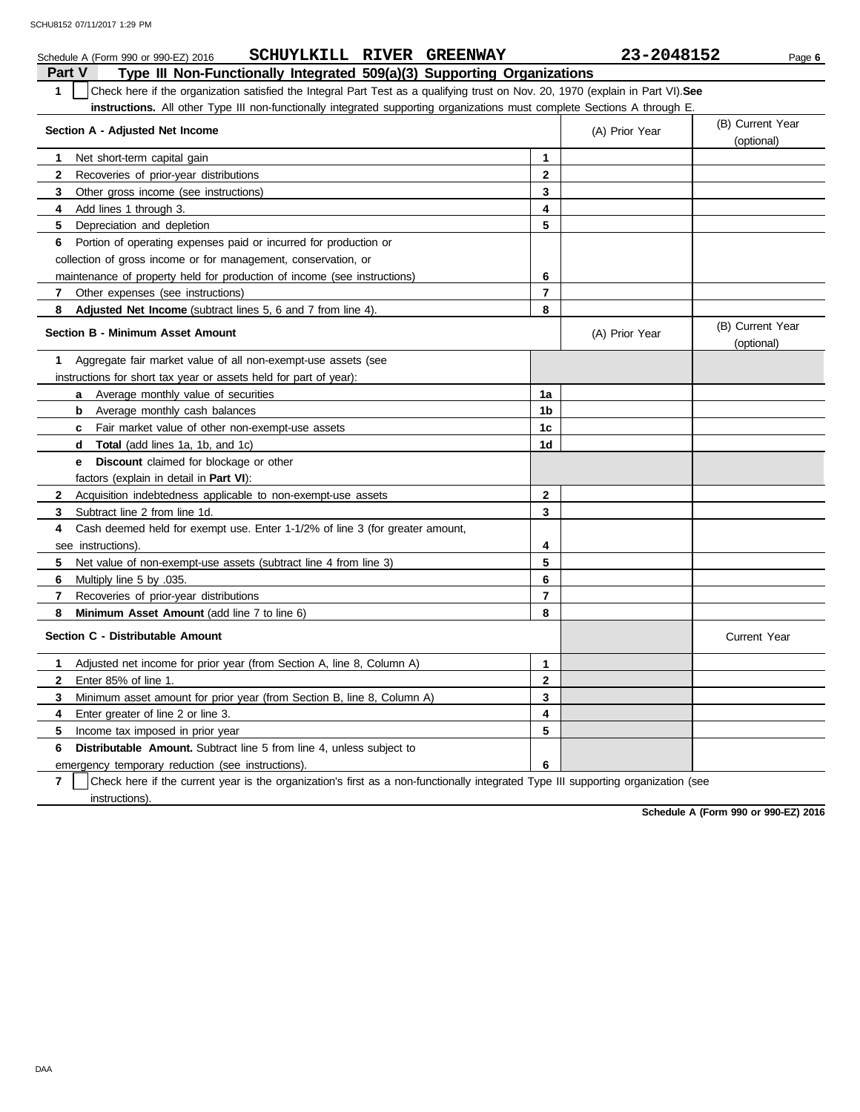| SCHUYLKILL RIVER GREENWAY<br>Schedule A (Form 990 or 990-EZ) 2016                                                                                |                         | 23-2048152     | Page 6                         |
|--------------------------------------------------------------------------------------------------------------------------------------------------|-------------------------|----------------|--------------------------------|
| Type III Non-Functionally Integrated 509(a)(3) Supporting Organizations<br>Part V                                                                |                         |                |                                |
| Check here if the organization satisfied the Integral Part Test as a qualifying trust on Nov. 20, 1970 (explain in Part VI). See<br>$\mathbf{1}$ |                         |                |                                |
| <b>instructions.</b> All other Type III non-functionally integrated supporting organizations must complete Sections A through E.                 |                         |                |                                |
| Section A - Adjusted Net Income                                                                                                                  |                         | (A) Prior Year | (B) Current Year<br>(optional) |
| Net short-term capital gain<br>1.                                                                                                                | $\mathbf{1}$            |                |                                |
| $\mathbf{2}$<br>Recoveries of prior-year distributions                                                                                           | $\mathbf{2}$            |                |                                |
| 3<br>Other gross income (see instructions)                                                                                                       | 3                       |                |                                |
| Add lines 1 through 3.<br>4                                                                                                                      | $\overline{\mathbf{4}}$ |                |                                |
| 5<br>Depreciation and depletion                                                                                                                  | 5                       |                |                                |
| Portion of operating expenses paid or incurred for production or<br>6                                                                            |                         |                |                                |
| collection of gross income or for management, conservation, or                                                                                   |                         |                |                                |
| maintenance of property held for production of income (see instructions)                                                                         | 6                       |                |                                |
| $\mathbf{7}$<br>Other expenses (see instructions)                                                                                                | $\overline{7}$          |                |                                |
| Adjusted Net Income (subtract lines 5, 6 and 7 from line 4).<br>8                                                                                | 8                       |                |                                |
| <b>Section B - Minimum Asset Amount</b>                                                                                                          |                         | (A) Prior Year | (B) Current Year<br>(optional) |
| Aggregate fair market value of all non-exempt-use assets (see<br>$\mathbf{1}$                                                                    |                         |                |                                |
| instructions for short tax year or assets held for part of year):                                                                                |                         |                |                                |
| Average monthly value of securities<br>a                                                                                                         | 1a                      |                |                                |
| <b>b</b> Average monthly cash balances                                                                                                           | 1 <sub>b</sub>          |                |                                |
| Fair market value of other non-exempt-use assets<br>C                                                                                            | 1c                      |                |                                |
| <b>Total</b> (add lines 1a, 1b, and 1c)<br>d                                                                                                     | 1d                      |                |                                |
| <b>Discount</b> claimed for blockage or other<br>е                                                                                               |                         |                |                                |
| factors (explain in detail in <b>Part VI</b> ):                                                                                                  |                         |                |                                |
| Acquisition indebtedness applicable to non-exempt-use assets<br>$\mathbf{2}$                                                                     | $\mathbf{2}$            |                |                                |
| Subtract line 2 from line 1d.<br>3                                                                                                               | 3                       |                |                                |
| Cash deemed held for exempt use. Enter 1-1/2% of line 3 (for greater amount,<br>4                                                                |                         |                |                                |
| see instructions)                                                                                                                                | 4                       |                |                                |
| 5<br>Net value of non-exempt-use assets (subtract line 4 from line 3)                                                                            | 5                       |                |                                |
| 6<br>Multiply line 5 by .035.                                                                                                                    | 6                       |                |                                |
| 7<br>Recoveries of prior-year distributions                                                                                                      | $\overline{7}$          |                |                                |
| 8<br><b>Minimum Asset Amount</b> (add line 7 to line 6)                                                                                          | 8                       |                |                                |
| Section C - Distributable Amount                                                                                                                 |                         |                | <b>Current Year</b>            |
| 1<br>Adjusted net income for prior year (from Section A, line 8, Column A)                                                                       | $\mathbf{1}$            |                |                                |
| $\mathbf{2}$<br>Enter 85% of line 1.                                                                                                             | $\mathbf{2}$            |                |                                |
| 3<br>Minimum asset amount for prior year (from Section B, line 8, Column A)                                                                      | 3                       |                |                                |
| 4<br>Enter greater of line 2 or line 3.                                                                                                          | 4                       |                |                                |
| 5<br>Income tax imposed in prior year                                                                                                            | 5                       |                |                                |
| <b>Distributable Amount.</b> Subtract line 5 from line 4, unless subject to<br>6                                                                 |                         |                |                                |
| emergency temporary reduction (see instructions).                                                                                                | 6                       |                |                                |

**7** instructions). Check here if the current year is the organization's first as a non-functionally integrated Type III supporting organization (see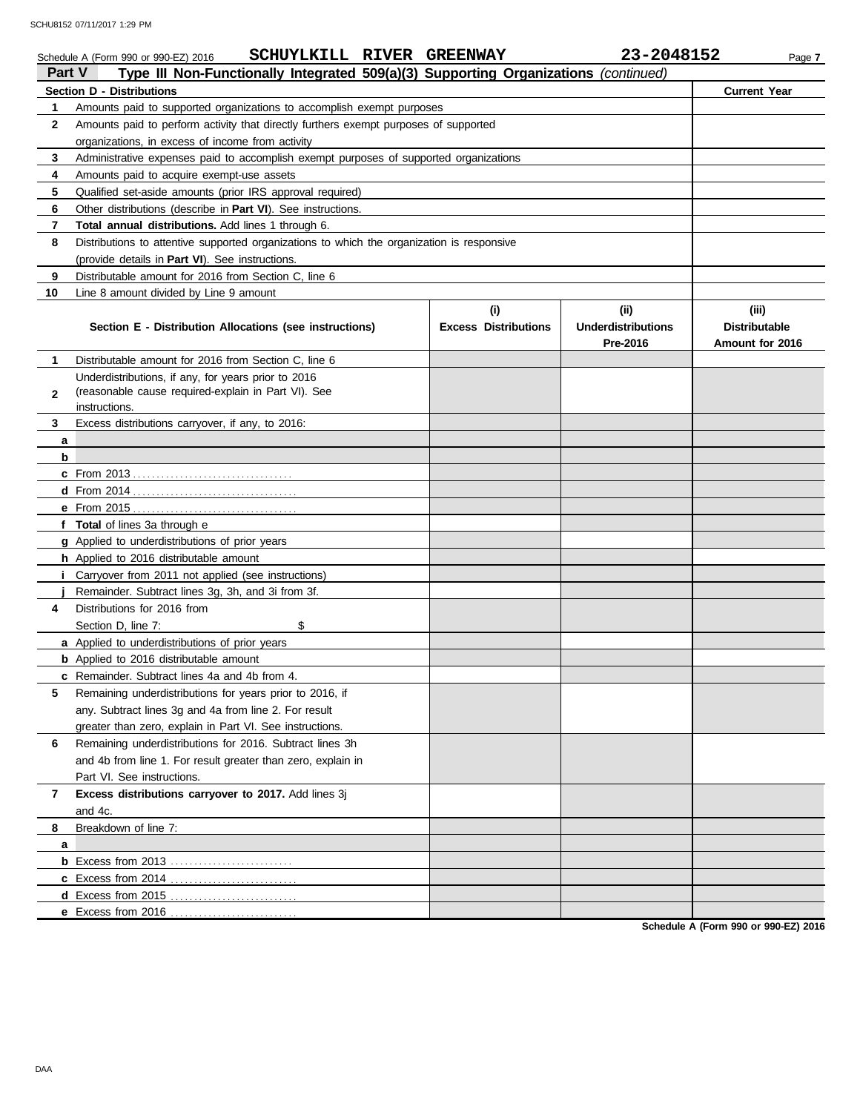| Part V         | SCHUYLKILL RIVER GREENWAY<br>Schedule A (Form 990 or 990-EZ) 2016<br>Type III Non-Functionally Integrated 509(a)(3) Supporting Organizations (continued) |                                    | 23-2048152                        | Page 7                        |
|----------------|----------------------------------------------------------------------------------------------------------------------------------------------------------|------------------------------------|-----------------------------------|-------------------------------|
|                | <b>Section D - Distributions</b>                                                                                                                         |                                    |                                   | <b>Current Year</b>           |
| 1              | Amounts paid to supported organizations to accomplish exempt purposes                                                                                    |                                    |                                   |                               |
| $\mathbf{2}$   | Amounts paid to perform activity that directly furthers exempt purposes of supported                                                                     |                                    |                                   |                               |
|                | organizations, in excess of income from activity                                                                                                         |                                    |                                   |                               |
| 3              | Administrative expenses paid to accomplish exempt purposes of supported organizations                                                                    |                                    |                                   |                               |
| 4              | Amounts paid to acquire exempt-use assets                                                                                                                |                                    |                                   |                               |
| 5              | Qualified set-aside amounts (prior IRS approval required)                                                                                                |                                    |                                   |                               |
| 6              | Other distributions (describe in Part VI). See instructions.                                                                                             |                                    |                                   |                               |
| $\overline{7}$ | Total annual distributions. Add lines 1 through 6.                                                                                                       |                                    |                                   |                               |
| 8              | Distributions to attentive supported organizations to which the organization is responsive                                                               |                                    |                                   |                               |
|                | (provide details in Part VI). See instructions.                                                                                                          |                                    |                                   |                               |
| 9              | Distributable amount for 2016 from Section C, line 6                                                                                                     |                                    |                                   |                               |
| 10             | Line 8 amount divided by Line 9 amount                                                                                                                   |                                    |                                   |                               |
|                | Section E - Distribution Allocations (see instructions)                                                                                                  | (i)<br><b>Excess Distributions</b> | (ii)<br><b>Underdistributions</b> | (iii)<br><b>Distributable</b> |
|                |                                                                                                                                                          |                                    | Pre-2016                          | Amount for 2016               |
| $\mathbf 1$    | Distributable amount for 2016 from Section C, line 6                                                                                                     |                                    |                                   |                               |
|                | Underdistributions, if any, for years prior to 2016                                                                                                      |                                    |                                   |                               |
| $\mathbf{2}$   | (reasonable cause required-explain in Part VI). See<br>instructions.                                                                                     |                                    |                                   |                               |
| 3              | Excess distributions carryover, if any, to 2016:                                                                                                         |                                    |                                   |                               |
| a              |                                                                                                                                                          |                                    |                                   |                               |
| b              |                                                                                                                                                          |                                    |                                   |                               |
|                |                                                                                                                                                          |                                    |                                   |                               |
|                |                                                                                                                                                          |                                    |                                   |                               |
|                |                                                                                                                                                          |                                    |                                   |                               |
|                | f Total of lines 3a through e                                                                                                                            |                                    |                                   |                               |
|                | g Applied to underdistributions of prior years                                                                                                           |                                    |                                   |                               |
|                | h Applied to 2016 distributable amount                                                                                                                   |                                    |                                   |                               |
|                | Carryover from 2011 not applied (see instructions)                                                                                                       |                                    |                                   |                               |
|                | Remainder. Subtract lines 3g, 3h, and 3i from 3f.                                                                                                        |                                    |                                   |                               |
| 4              | Distributions for 2016 from                                                                                                                              |                                    |                                   |                               |
|                | Section D, line 7:<br>\$                                                                                                                                 |                                    |                                   |                               |
|                | a Applied to underdistributions of prior years                                                                                                           |                                    |                                   |                               |
|                | <b>b</b> Applied to 2016 distributable amount                                                                                                            |                                    |                                   |                               |
|                | c Remainder. Subtract lines 4a and 4b from 4.                                                                                                            |                                    |                                   |                               |
| 5              | Remaining underdistributions for years prior to 2016, if                                                                                                 |                                    |                                   |                               |
|                | any. Subtract lines 3g and 4a from line 2. For result                                                                                                    |                                    |                                   |                               |
|                | greater than zero, explain in Part VI. See instructions.                                                                                                 |                                    |                                   |                               |
| 6              | Remaining underdistributions for 2016. Subtract lines 3h                                                                                                 |                                    |                                   |                               |
|                | and 4b from line 1. For result greater than zero, explain in                                                                                             |                                    |                                   |                               |
|                | Part VI. See instructions.                                                                                                                               |                                    |                                   |                               |
| 7              | Excess distributions carryover to 2017. Add lines 3j<br>and 4c.                                                                                          |                                    |                                   |                               |
| 8              | Breakdown of line 7:                                                                                                                                     |                                    |                                   |                               |
| a              |                                                                                                                                                          |                                    |                                   |                               |
|                |                                                                                                                                                          |                                    |                                   |                               |
|                | c Excess from 2014                                                                                                                                       |                                    |                                   |                               |
|                |                                                                                                                                                          |                                    |                                   |                               |
|                |                                                                                                                                                          |                                    |                                   |                               |
|                |                                                                                                                                                          |                                    |                                   |                               |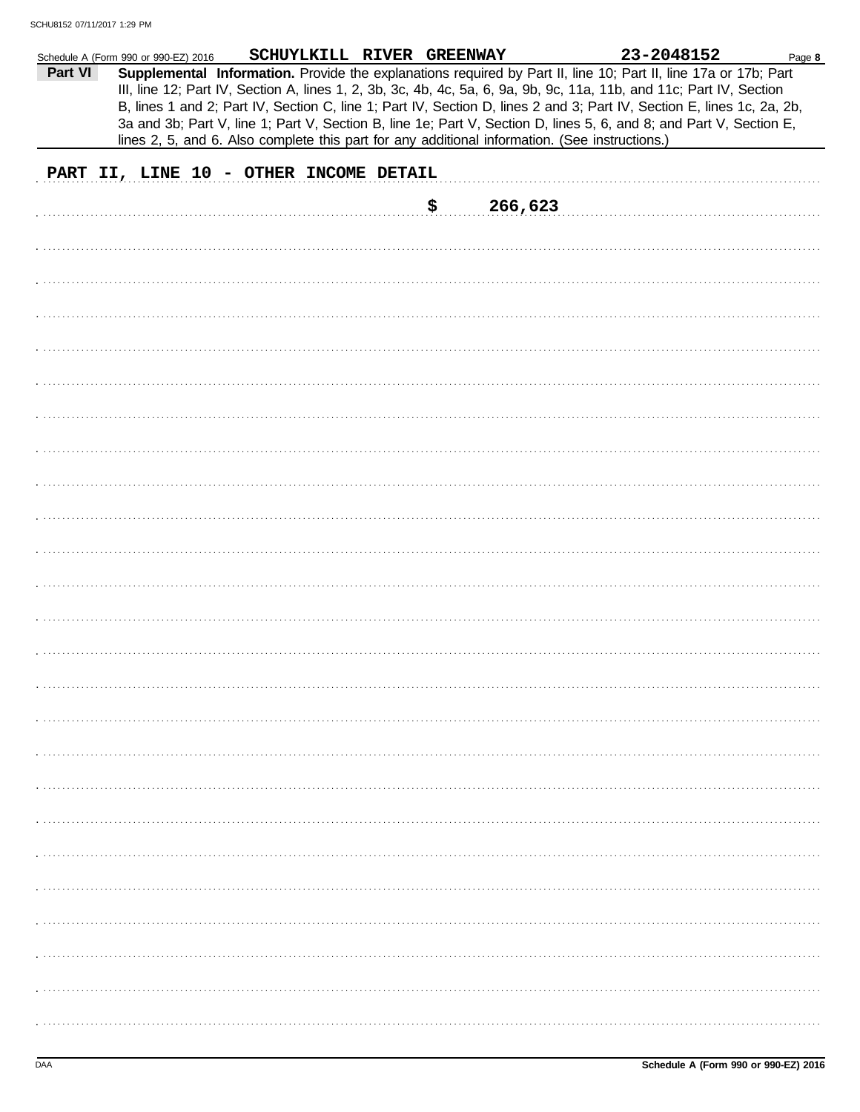| Schedule A (Form 990 or 990-EZ) 2016<br>Part VI |                                        |  | SCHUYLKILL RIVER GREENWAY |    |         | lines 2, 5, and 6. Also complete this part for any additional information. (See instructions.) | 23-2048152<br>Supplemental Information. Provide the explanations required by Part II, line 10; Part II, line 17a or 17b; Part<br>III, line 12; Part IV, Section A, lines 1, 2, 3b, 3c, 4b, 4c, 5a, 6, 9a, 9b, 9c, 11a, 11b, and 11c; Part IV, Section | Page 8<br>B, lines 1 and 2; Part IV, Section C, line 1; Part IV, Section D, lines 2 and 3; Part IV, Section E, lines 1c, 2a, 2b,<br>3a and 3b; Part V, line 1; Part V, Section B, line 1e; Part V, Section D, lines 5, 6, and 8; and Part V, Section E, |
|-------------------------------------------------|----------------------------------------|--|---------------------------|----|---------|------------------------------------------------------------------------------------------------|-------------------------------------------------------------------------------------------------------------------------------------------------------------------------------------------------------------------------------------------------------|---------------------------------------------------------------------------------------------------------------------------------------------------------------------------------------------------------------------------------------------------------|
|                                                 | PART II, LINE 10 - OTHER INCOME DETAIL |  |                           |    |         |                                                                                                |                                                                                                                                                                                                                                                       |                                                                                                                                                                                                                                                         |
|                                                 |                                        |  |                           |    |         |                                                                                                |                                                                                                                                                                                                                                                       |                                                                                                                                                                                                                                                         |
|                                                 |                                        |  |                           | \$ | 266,623 |                                                                                                |                                                                                                                                                                                                                                                       |                                                                                                                                                                                                                                                         |
|                                                 |                                        |  |                           |    |         |                                                                                                |                                                                                                                                                                                                                                                       |                                                                                                                                                                                                                                                         |
|                                                 |                                        |  |                           |    |         |                                                                                                |                                                                                                                                                                                                                                                       |                                                                                                                                                                                                                                                         |
|                                                 |                                        |  |                           |    |         |                                                                                                |                                                                                                                                                                                                                                                       |                                                                                                                                                                                                                                                         |
|                                                 |                                        |  |                           |    |         |                                                                                                |                                                                                                                                                                                                                                                       |                                                                                                                                                                                                                                                         |
|                                                 |                                        |  |                           |    |         |                                                                                                |                                                                                                                                                                                                                                                       |                                                                                                                                                                                                                                                         |
|                                                 |                                        |  |                           |    |         |                                                                                                |                                                                                                                                                                                                                                                       |                                                                                                                                                                                                                                                         |
|                                                 |                                        |  |                           |    |         |                                                                                                |                                                                                                                                                                                                                                                       |                                                                                                                                                                                                                                                         |
|                                                 |                                        |  |                           |    |         |                                                                                                |                                                                                                                                                                                                                                                       |                                                                                                                                                                                                                                                         |
|                                                 |                                        |  |                           |    |         |                                                                                                |                                                                                                                                                                                                                                                       |                                                                                                                                                                                                                                                         |
|                                                 |                                        |  |                           |    |         |                                                                                                |                                                                                                                                                                                                                                                       |                                                                                                                                                                                                                                                         |
|                                                 |                                        |  |                           |    |         |                                                                                                |                                                                                                                                                                                                                                                       |                                                                                                                                                                                                                                                         |
|                                                 |                                        |  |                           |    |         |                                                                                                |                                                                                                                                                                                                                                                       |                                                                                                                                                                                                                                                         |
|                                                 |                                        |  |                           |    |         |                                                                                                |                                                                                                                                                                                                                                                       |                                                                                                                                                                                                                                                         |
|                                                 |                                        |  |                           |    |         |                                                                                                |                                                                                                                                                                                                                                                       |                                                                                                                                                                                                                                                         |
|                                                 |                                        |  |                           |    |         |                                                                                                |                                                                                                                                                                                                                                                       |                                                                                                                                                                                                                                                         |
|                                                 |                                        |  |                           |    |         |                                                                                                |                                                                                                                                                                                                                                                       |                                                                                                                                                                                                                                                         |
|                                                 |                                        |  |                           |    |         |                                                                                                |                                                                                                                                                                                                                                                       |                                                                                                                                                                                                                                                         |
|                                                 |                                        |  |                           |    |         |                                                                                                |                                                                                                                                                                                                                                                       |                                                                                                                                                                                                                                                         |
|                                                 |                                        |  |                           |    |         |                                                                                                |                                                                                                                                                                                                                                                       |                                                                                                                                                                                                                                                         |
|                                                 |                                        |  |                           |    |         |                                                                                                |                                                                                                                                                                                                                                                       |                                                                                                                                                                                                                                                         |
|                                                 |                                        |  |                           |    |         |                                                                                                |                                                                                                                                                                                                                                                       |                                                                                                                                                                                                                                                         |
|                                                 |                                        |  |                           |    |         |                                                                                                |                                                                                                                                                                                                                                                       |                                                                                                                                                                                                                                                         |
|                                                 |                                        |  |                           |    |         |                                                                                                |                                                                                                                                                                                                                                                       |                                                                                                                                                                                                                                                         |
|                                                 |                                        |  |                           |    |         |                                                                                                |                                                                                                                                                                                                                                                       |                                                                                                                                                                                                                                                         |
|                                                 |                                        |  |                           |    |         |                                                                                                |                                                                                                                                                                                                                                                       |                                                                                                                                                                                                                                                         |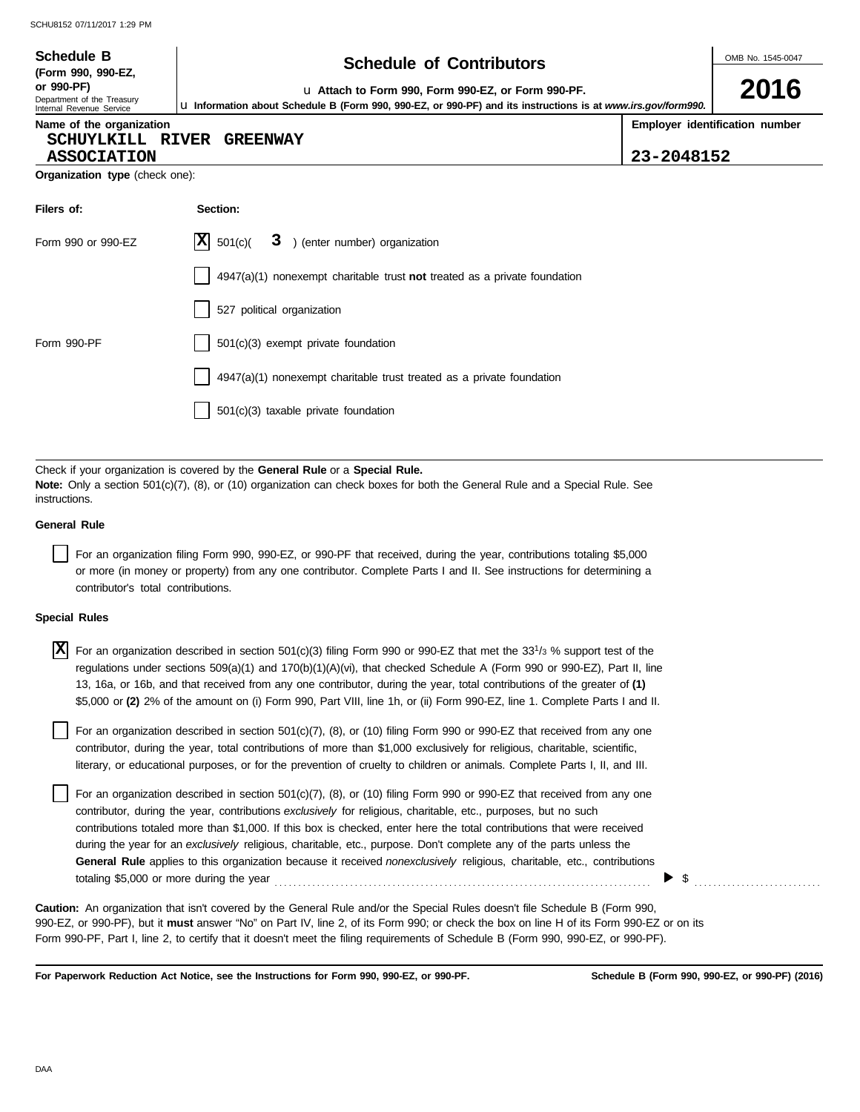**(Form 990, 990-EZ,**

# **Schedule of Contributors Schedule B**

**2016**

Department of the Treasury Internal Revenue Service **or 990-PF)** u **Attach to Form 990, Form 990-EZ, or Form 990-PF.**

u **Information about Schedule B (Form 990, 990-EZ, or 990-PF) and its instructions is at** *www.irs.gov/form990.*

**Name of the organization**

# **SCHUYLKILL RIVER GREENWAY**

**Employer identification number**

**ASSOCIATION 23-2048152**

#### **Organization type** (check one):

| Filers of:         | Section:                                                                    |
|--------------------|-----------------------------------------------------------------------------|
| Form 990 or 990-EZ | $ \mathbf{X} $ 501(c)(<br>$3$ ) (enter number) organization                 |
|                    | $4947(a)(1)$ nonexempt charitable trust not treated as a private foundation |
|                    | 527 political organization                                                  |
| Form 990-PF        | $501(c)(3)$ exempt private foundation                                       |
|                    | 4947(a)(1) nonexempt charitable trust treated as a private foundation       |
|                    | 501(c)(3) taxable private foundation                                        |

Check if your organization is covered by the **General Rule** or a **Special Rule. Note:** Only a section 501(c)(7), (8), or (10) organization can check boxes for both the General Rule and a Special Rule. See instructions.

#### **General Rule**

For an organization filing Form 990, 990-EZ, or 990-PF that received, during the year, contributions totaling \$5,000 or more (in money or property) from any one contributor. Complete Parts I and II. See instructions for determining a contributor's total contributions.

#### **Special Rules**

| X For an organization described in section 501(c)(3) filing Form 990 or 990-EZ that met the 33 <sup>1</sup> /3 % support test of the |
|--------------------------------------------------------------------------------------------------------------------------------------|
| regulations under sections 509(a)(1) and 170(b)(1)(A)(vi), that checked Schedule A (Form 990 or 990-EZ), Part II, line               |
| 13, 16a, or 16b, and that received from any one contributor, during the year, total contributions of the greater of (1)              |
| \$5,000 or (2) 2% of the amount on (i) Form 990, Part VIII, line 1h, or (ii) Form 990-EZ, line 1. Complete Parts I and II.           |

literary, or educational purposes, or for the prevention of cruelty to children or animals. Complete Parts I, II, and III. For an organization described in section 501(c)(7), (8), or (10) filing Form 990 or 990-EZ that received from any one contributor, during the year, total contributions of more than \$1,000 exclusively for religious, charitable, scientific,

For an organization described in section 501(c)(7), (8), or (10) filing Form 990 or 990-EZ that received from any one contributor, during the year, contributions *exclusively* for religious, charitable, etc., purposes, but no such contributions totaled more than \$1,000. If this box is checked, enter here the total contributions that were received during the year for an *exclusively* religious, charitable, etc., purpose. Don't complete any of the parts unless the **General Rule** applies to this organization because it received *nonexclusively* religious, charitable, etc., contributions totaling \$5,000 or more during the year . . . . . . . . . . . . . . . . . . . . . . . . . . . . . . . . . . . . . . . . . . . . . . . . . . . . . . . . . . . . . . . . . . . . . . . . . . . . . . . .

990-EZ, or 990-PF), but it **must** answer "No" on Part IV, line 2, of its Form 990; or check the box on line H of its Form 990-EZ or on its Form 990-PF, Part I, line 2, to certify that it doesn't meet the filing requirements of Schedule B (Form 990, 990-EZ, or 990-PF). **Caution:** An organization that isn't covered by the General Rule and/or the Special Rules doesn't file Schedule B (Form 990,

**For Paperwork Reduction Act Notice, see the Instructions for Form 990, 990-EZ, or 990-PF.**

 $\triangleright$  \$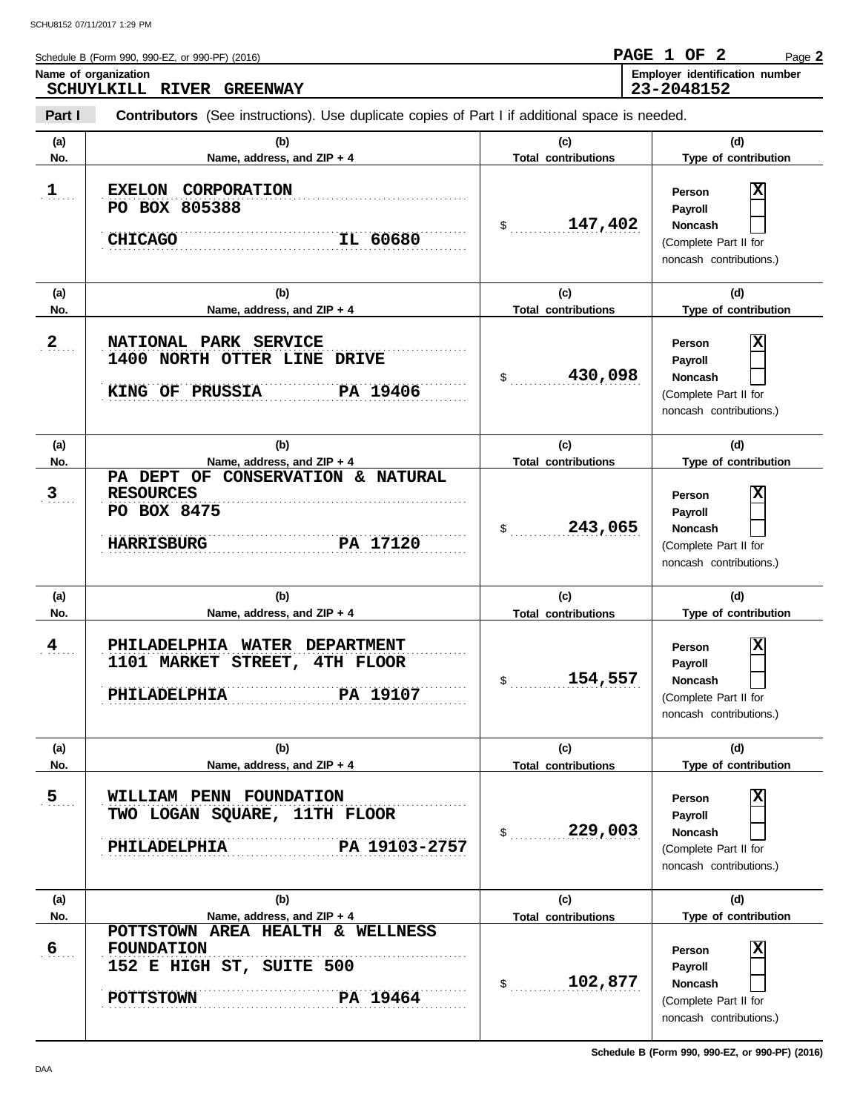|                   | SCHU8152 07/11/2017 1:29 PM<br>Schedule B (Form 990, 990-EZ, or 990-PF) (2016)<br>Name of organization<br>SCHUYLKILL RIVER GREENWAY |                                   | PAGE 1 OF 2<br>Page 2<br>Employer identification number<br>23-2048152                                              |
|-------------------|-------------------------------------------------------------------------------------------------------------------------------------|-----------------------------------|--------------------------------------------------------------------------------------------------------------------|
| Part I            | <b>Contributors</b> (See instructions). Use duplicate copies of Part I if additional space is needed.                               |                                   |                                                                                                                    |
| (a)<br>No.        | (b)<br>Name, address, and ZIP + 4                                                                                                   | (c)<br><b>Total contributions</b> | (d)<br>Type of contribution                                                                                        |
| $\frac{1}{\cdot}$ | CORPORATION<br><b>EXELON</b><br>PO BOX 805388<br><b>CHICAGO</b><br>IL 60680                                                         | 147,402<br>\$                     | $\overline{\mathbf{x}}$<br>Person<br>Payroll<br><b>Noncash</b><br>(Complete Part II for<br>noncash contributions.) |
| (a)<br>No.        | (b)<br>Name, address, and ZIP + 4                                                                                                   | (c)<br><b>Total contributions</b> | (d)<br>Type of contribution                                                                                        |
| $\mathbf{2}$      | NATIONAL PARK SERVICE<br>1400 NORTH OTTER LINE DRIVE<br>PA 19406<br><b>KING OF PRUSSIA</b>                                          | 430,098<br>$\frac{1}{2}$          | $\overline{\textbf{x}}$<br>Person<br>Payroll<br><b>Noncash</b><br>(Complete Part II for<br>noncash contributions.) |
| (a)<br>No.        | (b)<br>Name, address, and ZIP + 4                                                                                                   | (c)<br><b>Total contributions</b> | (d)<br>Type of contribution                                                                                        |
| 3                 | PA DEPT<br>OF<br>CONSERVATION & NATURAL<br><b>RESOURCES</b><br>PO BOX 8475                                                          | 243,065<br>\$                     | $\overline{\mathbf{x}}$<br>Person<br>Payroll<br><b>Noncash</b>                                                     |

|               | PA 17120<br><b>HARRISBURG</b>                                                                                     |                            | <b>NULLASII</b><br>(Complete Part II for<br>noncash contributions.)                                 |  |  |  |
|---------------|-------------------------------------------------------------------------------------------------------------------|----------------------------|-----------------------------------------------------------------------------------------------------|--|--|--|
| (a)           | (b)                                                                                                               | (c)                        | (d)                                                                                                 |  |  |  |
| No.           | Name, address, and ZIP + 4                                                                                        | <b>Total contributions</b> | Type of contribution                                                                                |  |  |  |
| 4             | PHILADELPHIA WATER DEPARTMENT<br>1101 MARKET STREET, 4TH FLOOR<br>PA 19107<br>PHILADELPHIA                        | \$154,557                  | X<br>Person<br>Payroll<br><b>Noncash</b><br>(Complete Part II for<br>noncash contributions.)        |  |  |  |
| (a)           | (b)                                                                                                               | (c)                        | (d)                                                                                                 |  |  |  |
| No.           | Name, address, and ZIP + 4                                                                                        | <b>Total contributions</b> | Type of contribution                                                                                |  |  |  |
| 5 <sub></sub> | WILLIAM PENN FOUNDATION<br>TWO LOGAN SQUARE, 11TH FLOOR<br>PA 19103-2757<br>PHILADELPHIA                          | 229,003<br>\$              | X<br>Person<br><b>Payroll</b><br><b>Noncash</b><br>(Complete Part II for<br>noncash contributions.) |  |  |  |
| (a)           | (b)                                                                                                               | (c)                        | (d)                                                                                                 |  |  |  |
| No.           | Name, address, and ZIP + 4                                                                                        | <b>Total contributions</b> | Type of contribution                                                                                |  |  |  |
| 6             | POTTSTOWN AREA HEALTH & WELLNESS<br><b>FOUNDATION</b><br>152 E HIGH ST, SUITE 500<br>PA 19464<br><b>POTTSTOWN</b> | 102,877<br>\$              | X<br>Person<br><b>Payroll</b><br><b>Noncash</b><br>(Complete Part II for<br>noncash contributions.) |  |  |  |

**Schedule B (Form 990, 990-EZ, or 990-PF) (2016)**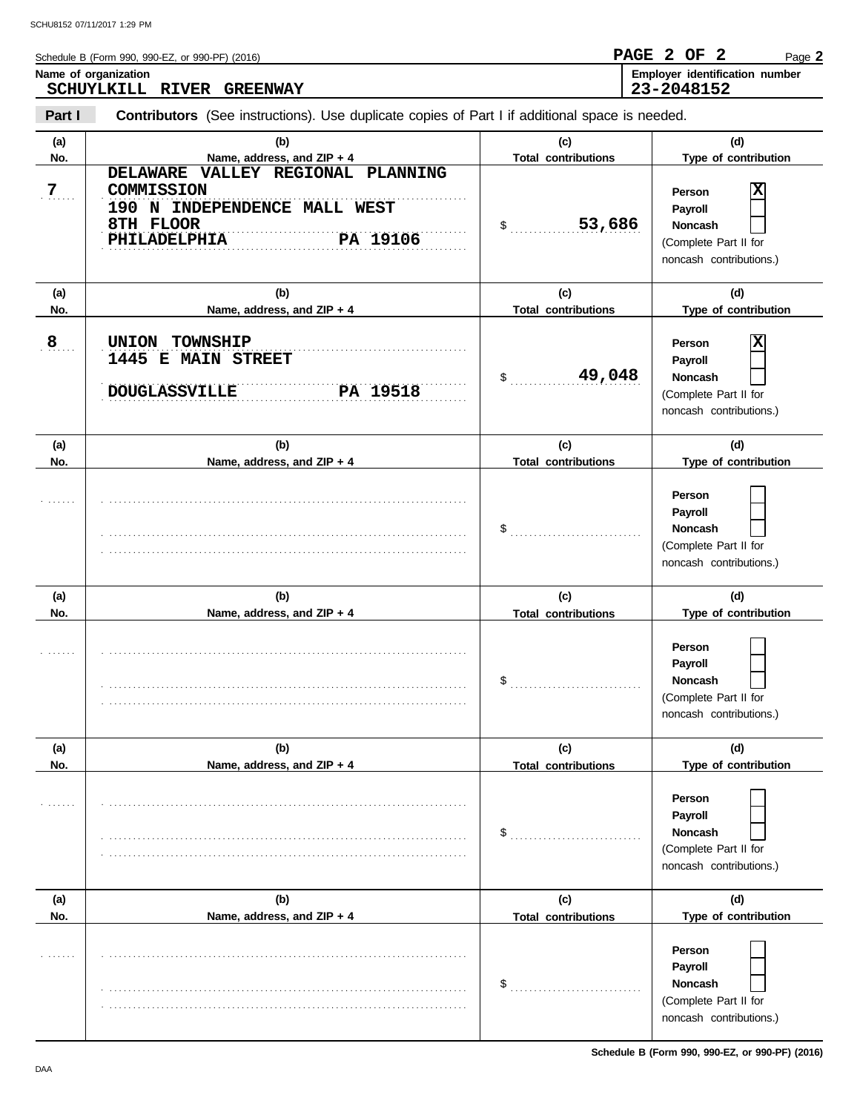| Schedule B (Form 990, 990-EZ, or 990-PF) (2016)                                                                 | PAGE 2 OF 2 |  | Page 2                         |
|-----------------------------------------------------------------------------------------------------------------|-------------|--|--------------------------------|
| Name of organization<br>SCHUYLKILL RIVER GREENWAY                                                               | 23-2048152  |  | Employer identification number |
| Part I<br><b>Contributors</b> (See instructions). Use duplicate copies of Part I if additional space is needed. |             |  |                                |

| (a)            | (b)                                                                                                                      | (c)<br>(d)                 |                                                                                         |  |  |  |
|----------------|--------------------------------------------------------------------------------------------------------------------------|----------------------------|-----------------------------------------------------------------------------------------|--|--|--|
| No.            | Name, address, and ZIP + 4                                                                                               | <b>Total contributions</b> | Type of contribution                                                                    |  |  |  |
| $\overline{Z}$ | DELAWARE VALLEY REGIONAL PLANNING<br>COMMISSION<br>190 N INDEPENDENCE MALL WEST<br>8TH FLOOR<br>PA 19106<br>PHILADELPHIA | 53,686<br>$\sim$           | X<br>Person<br>Payroll<br>Noncash<br>(Complete Part II for<br>noncash contributions.)   |  |  |  |
| (a)            | (b)                                                                                                                      | (c)                        | (d)                                                                                     |  |  |  |
| No.            | Name, address, and ZIP + 4                                                                                               | <b>Total contributions</b> | Type of contribution                                                                    |  |  |  |
| $\mathbf{8}$   | UNION<br><b>TOWNSHIP</b><br>1445 E MAIN STREET<br><b>DOUGLASSVILLE</b><br>PA 19518                                       | 49,048<br>$\sim$           | X<br>Person<br>Payroll<br>Noncash<br>(Complete Part II for<br>noncash contributions.)   |  |  |  |
| (a)            | (b)                                                                                                                      | (c)                        | (d)                                                                                     |  |  |  |
| No.            | Name, address, and ZIP + 4                                                                                               | <b>Total contributions</b> | Type of contribution                                                                    |  |  |  |
|                |                                                                                                                          | $\frac{1}{2}$              | Person<br>Payroll<br>Noncash<br>(Complete Part II for<br>noncash contributions.)        |  |  |  |
| (a)            | (b)                                                                                                                      | (c)                        | (d)                                                                                     |  |  |  |
| No.            | Name, address, and ZIP + 4                                                                                               | <b>Total contributions</b> | Type of contribution                                                                    |  |  |  |
|                |                                                                                                                          | $\$\quad$                  | Person<br>Payroll<br><b>Noncash</b><br>(Complete Part II for                            |  |  |  |
|                |                                                                                                                          |                            | noncash contributions.)                                                                 |  |  |  |
| (a)            | (b)                                                                                                                      | (c)                        | (d)                                                                                     |  |  |  |
| No.            | Name, address, and ZIP + 4                                                                                               | <b>Total contributions</b> | Type of contribution                                                                    |  |  |  |
|                |                                                                                                                          | \$                         | Person<br>Payroll<br><b>Noncash</b><br>(Complete Part II for<br>noncash contributions.) |  |  |  |
| (a)            | (b)                                                                                                                      | (c)                        | (d)                                                                                     |  |  |  |
| No.            | Name, address, and ZIP + 4                                                                                               | <b>Total contributions</b> | Type of contribution                                                                    |  |  |  |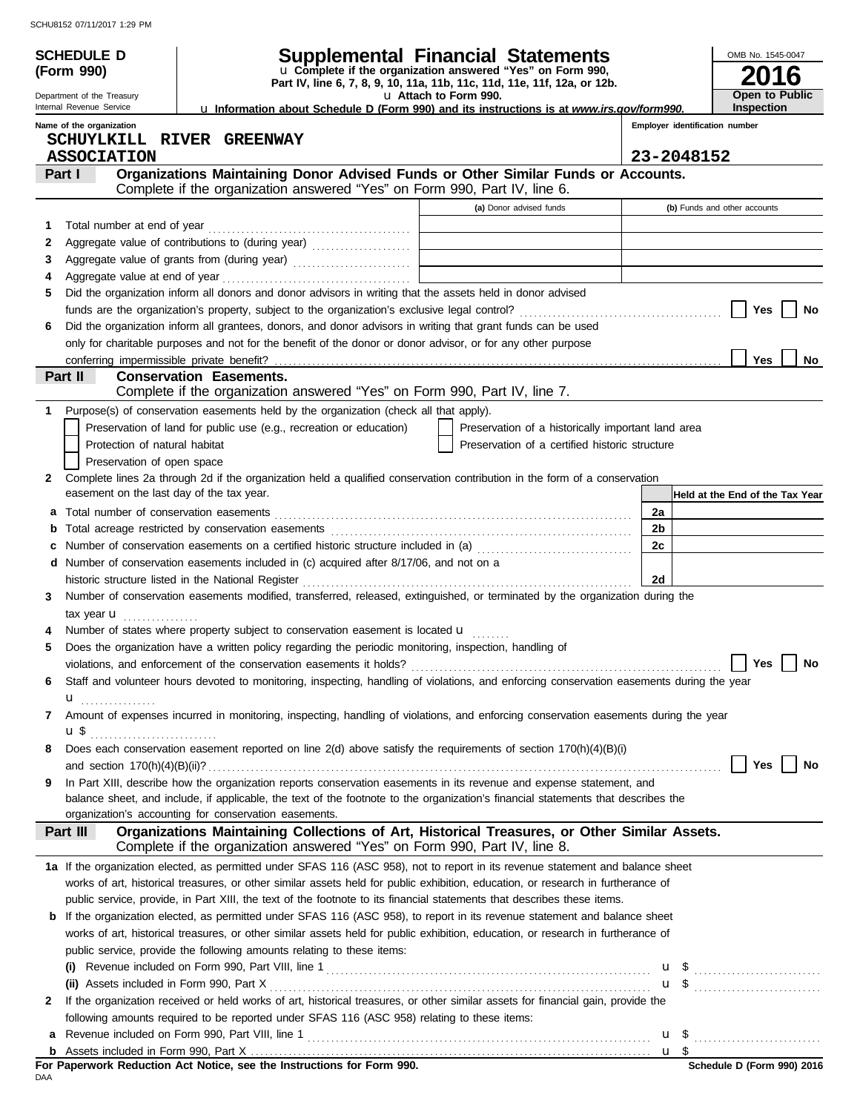| <b>SCHEDULE D</b><br>(Form 990)<br>Department of the Treasury<br>Internal Revenue Service |                                                             |                                                                                                                  | <b>Supplemental Financial Statements</b><br>u Complete if the organization answered "Yes" on Form 990,<br>Part IV, line 6, 7, 8, 9, 10, 11a, 11b, 11c, 11d, 11e, 11f, 12a, or 12b.<br>u Attach to Form 990.<br><b>u Information about Schedule D (Form 990) and its instructions is at www.irs.gov/form990.</b> |    |                                              |  |  |
|-------------------------------------------------------------------------------------------|-------------------------------------------------------------|------------------------------------------------------------------------------------------------------------------|-----------------------------------------------------------------------------------------------------------------------------------------------------------------------------------------------------------------------------------------------------------------------------------------------------------------|----|----------------------------------------------|--|--|
|                                                                                           | Name of the organization<br><b>ASSOCIATION</b>              | SCHUYLKILL RIVER GREENWAY                                                                                        |                                                                                                                                                                                                                                                                                                                 |    | Employer identification number<br>23-2048152 |  |  |
|                                                                                           | Part I                                                      |                                                                                                                  | Organizations Maintaining Donor Advised Funds or Other Similar Funds or Accounts.                                                                                                                                                                                                                               |    |                                              |  |  |
|                                                                                           |                                                             | Complete if the organization answered "Yes" on Form 990, Part IV, line 6.                                        | (a) Donor advised funds                                                                                                                                                                                                                                                                                         |    | (b) Funds and other accounts                 |  |  |
| 1                                                                                         | Total number at end of year                                 |                                                                                                                  |                                                                                                                                                                                                                                                                                                                 |    |                                              |  |  |
| 2                                                                                         |                                                             | Aggregate value of contributions to (during year)                                                                |                                                                                                                                                                                                                                                                                                                 |    |                                              |  |  |
| 3                                                                                         |                                                             | Aggregate value of grants from (during year) Mathematical Landscape Aggregate value of grants from (during year) |                                                                                                                                                                                                                                                                                                                 |    |                                              |  |  |
| 4                                                                                         | Aggregate value at end of year                              |                                                                                                                  |                                                                                                                                                                                                                                                                                                                 |    |                                              |  |  |
| 5                                                                                         |                                                             | Did the organization inform all donors and donor advisors in writing that the assets held in donor advised       |                                                                                                                                                                                                                                                                                                                 |    |                                              |  |  |
|                                                                                           |                                                             |                                                                                                                  |                                                                                                                                                                                                                                                                                                                 |    | Yes<br>No                                    |  |  |
| 6                                                                                         |                                                             | Did the organization inform all grantees, donors, and donor advisors in writing that grant funds can be used     |                                                                                                                                                                                                                                                                                                                 |    |                                              |  |  |
|                                                                                           |                                                             | only for charitable purposes and not for the benefit of the donor or donor advisor, or for any other purpose     |                                                                                                                                                                                                                                                                                                                 |    |                                              |  |  |
|                                                                                           |                                                             |                                                                                                                  |                                                                                                                                                                                                                                                                                                                 |    | Yes<br>No                                    |  |  |
|                                                                                           | Part II                                                     | <b>Conservation Easements.</b><br>Complete if the organization answered "Yes" on Form 990, Part IV, line 7.      |                                                                                                                                                                                                                                                                                                                 |    |                                              |  |  |
| 1                                                                                         |                                                             | Purpose(s) of conservation easements held by the organization (check all that apply).                            |                                                                                                                                                                                                                                                                                                                 |    |                                              |  |  |
| 2                                                                                         | Protection of natural habitat<br>Preservation of open space | Preservation of land for public use (e.g., recreation or education)                                              | Preservation of a historically important land area<br>Preservation of a certified historic structure<br>Complete lines 2a through 2d if the organization held a qualified conservation contribution in the form of a conservation                                                                               |    |                                              |  |  |
|                                                                                           | easement on the last day of the tax year.                   |                                                                                                                  |                                                                                                                                                                                                                                                                                                                 |    | Held at the End of the Tax Yea               |  |  |
|                                                                                           | Total number of conservation easements                      |                                                                                                                  |                                                                                                                                                                                                                                                                                                                 | 2a |                                              |  |  |

|   | easement on the last day of the tax year.                                                                                                                                             |                | Held at the End of the Tax Year |
|---|---------------------------------------------------------------------------------------------------------------------------------------------------------------------------------------|----------------|---------------------------------|
|   |                                                                                                                                                                                       | 2a             |                                 |
| b |                                                                                                                                                                                       | 2 <sub>b</sub> |                                 |
| с | Number of conservation easements on a certified historic structure included in (a) [[[[[[[[[[[[[[[[[[[[[[[[[]]]]]]]                                                                   | 2c             |                                 |
| d | Number of conservation easements included in (c) acquired after 8/17/06, and not on a                                                                                                 |                |                                 |
|   | historic structure listed in the National Register                                                                                                                                    | 2d             |                                 |
| 3 | Number of conservation easements modified, transferred, released, extinguished, or terminated by the organization during the                                                          |                |                                 |
|   | tax year $\mathbf{u}$                                                                                                                                                                 |                |                                 |
|   | Number of states where property subject to conservation easement is located u                                                                                                         |                |                                 |
| 5 | Does the organization have a written policy regarding the periodic monitoring, inspection, handling of                                                                                |                |                                 |
|   |                                                                                                                                                                                       |                | Yes<br>No                       |
| 6 | Staff and volunteer hours devoted to monitoring, inspecting, handling of violations, and enforcing conservation easements during the year                                             |                |                                 |
|   | u                                                                                                                                                                                     |                |                                 |
| 7 | Amount of expenses incurred in monitoring, inspecting, handling of violations, and enforcing conservation easements during the year                                                   |                |                                 |
|   | $\mathbf{u}$                                                                                                                                                                          |                |                                 |
|   | Does each conservation easement reported on line 2(d) above satisfy the requirements of section 170(h)(4)(B)(i)                                                                       |                |                                 |
|   |                                                                                                                                                                                       |                | <b>Yes</b><br><b>No</b>         |
| 9 | In Part XIII, describe how the organization reports conservation easements in its revenue and expense statement, and                                                                  |                |                                 |
|   | balance sheet, and include, if applicable, the text of the footnote to the organization's financial statements that describes the                                                     |                |                                 |
|   | organization's accounting for conservation easements.                                                                                                                                 |                |                                 |
|   | Organizations Maintaining Collections of Art, Historical Treasures, or Other Similar Assets.<br>Part III<br>Complete if the organization answered "Yes" on Form 990, Part IV, line 8. |                |                                 |
|   | 1a If the organization elected, as permitted under SFAS 116 (ASC 958), not to report in its revenue statement and balance sheet                                                       |                |                                 |
|   | works of art, historical treasures, or other similar assets held for public exhibition, education, or research in furtherance of                                                      |                |                                 |
|   | public service, provide, in Part XIII, the text of the footnote to its financial statements that describes these items.                                                               |                |                                 |
|   | <b>b</b> If the organization elected, as permitted under SFAS 116 (ASC 958), to report in its revenue statement and balance sheet                                                     |                |                                 |
|   | works of art, historical treasures, or other similar assets held for public exhibition, education, or research in furtherance of                                                      |                |                                 |
|   | public service, provide the following amounts relating to these items:                                                                                                                |                |                                 |
|   |                                                                                                                                                                                       |                |                                 |
|   |                                                                                                                                                                                       |                |                                 |
| 2 | If the organization received or held works of art, historical treasures, or other similar assets for financial gain, provide the                                                      |                |                                 |
|   | following amounts required to be reported under SFAS 116 (ASC 958) relating to these items:                                                                                           |                |                                 |
|   |                                                                                                                                                                                       |                | u <sub>s</sub>                  |
|   |                                                                                                                                                                                       |                | u \$                            |

DAA **For Paperwork Reduction Act Notice, see the Instructions for Form 990.**  $\Box$  No

**No**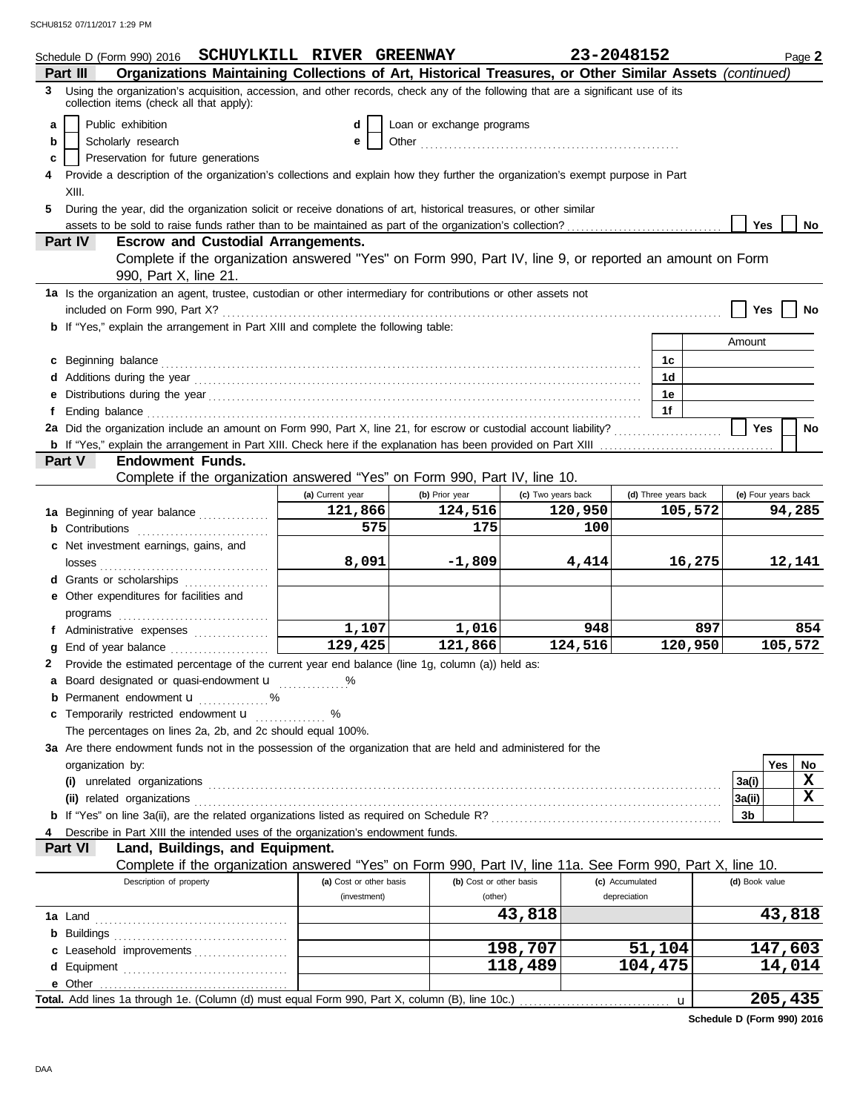|   | Schedule D (Form 990) 2016 SCHUYLKILL RIVER GREENWAY                                                                                                                                                                           |                         |                           |                         | 23-2048152      |                      |                |                     | Page 2      |
|---|--------------------------------------------------------------------------------------------------------------------------------------------------------------------------------------------------------------------------------|-------------------------|---------------------------|-------------------------|-----------------|----------------------|----------------|---------------------|-------------|
|   | Organizations Maintaining Collections of Art, Historical Treasures, or Other Similar Assets (continued)<br>Part III                                                                                                            |                         |                           |                         |                 |                      |                |                     |             |
|   | 3 Using the organization's acquisition, accession, and other records, check any of the following that are a significant use of its<br>collection items (check all that apply):                                                 |                         |                           |                         |                 |                      |                |                     |             |
| a | Public exhibition                                                                                                                                                                                                              | d                       | Loan or exchange programs |                         |                 |                      |                |                     |             |
| b | Scholarly research                                                                                                                                                                                                             | е                       |                           |                         |                 |                      |                |                     |             |
| c | Preservation for future generations                                                                                                                                                                                            |                         |                           |                         |                 |                      |                |                     |             |
|   | Provide a description of the organization's collections and explain how they further the organization's exempt purpose in Part                                                                                                 |                         |                           |                         |                 |                      |                |                     |             |
|   | XIII.                                                                                                                                                                                                                          |                         |                           |                         |                 |                      |                |                     |             |
| 5 | During the year, did the organization solicit or receive donations of art, historical treasures, or other similar                                                                                                              |                         |                           |                         |                 |                      |                |                     |             |
|   | assets to be sold to raise funds rather than to be maintained as part of the organization's collection?                                                                                                                        |                         |                           |                         |                 |                      |                | Yes                 | No          |
|   | <b>Escrow and Custodial Arrangements.</b><br><b>Part IV</b>                                                                                                                                                                    |                         |                           |                         |                 |                      |                |                     |             |
|   | Complete if the organization answered "Yes" on Form 990, Part IV, line 9, or reported an amount on Form                                                                                                                        |                         |                           |                         |                 |                      |                |                     |             |
|   | 990, Part X, line 21.                                                                                                                                                                                                          |                         |                           |                         |                 |                      |                |                     |             |
|   | 1a Is the organization an agent, trustee, custodian or other intermediary for contributions or other assets not                                                                                                                |                         |                           |                         |                 |                      |                |                     |             |
|   |                                                                                                                                                                                                                                |                         |                           |                         |                 |                      |                | Yes                 | No          |
|   | <b>b</b> If "Yes," explain the arrangement in Part XIII and complete the following table:                                                                                                                                      |                         |                           |                         |                 |                      |                |                     |             |
|   |                                                                                                                                                                                                                                |                         |                           |                         |                 |                      | Amount         |                     |             |
|   | c Beginning balance contract and the contract of the balance of the contract of the contract of the contract of the contract of the contract of the contract of the contract of the contract of the contract of the contract o |                         |                           |                         |                 | 1c                   |                |                     |             |
|   |                                                                                                                                                                                                                                |                         |                           |                         |                 | 1d                   |                |                     |             |
|   |                                                                                                                                                                                                                                |                         |                           |                         |                 | 1e                   |                |                     |             |
|   |                                                                                                                                                                                                                                |                         |                           |                         |                 | 1f                   |                |                     |             |
|   | 2a Did the organization include an amount on Form 990, Part X, line 21, for escrow or custodial account liability?                                                                                                             |                         |                           |                         |                 |                      |                | <b>Yes</b>          | No          |
|   |                                                                                                                                                                                                                                |                         |                           |                         |                 |                      |                |                     |             |
|   | Part V<br><b>Endowment Funds.</b>                                                                                                                                                                                              |                         |                           |                         |                 |                      |                |                     |             |
|   | Complete if the organization answered "Yes" on Form 990, Part IV, line 10.                                                                                                                                                     |                         |                           |                         |                 |                      |                |                     |             |
|   |                                                                                                                                                                                                                                | (a) Current year        | (b) Prior year            | (c) Two years back      |                 | (d) Three years back |                | (e) Four years back |             |
|   | 1a Beginning of year balance                                                                                                                                                                                                   | 121,866                 | 124,516                   |                         | 120,950         | 105,572              |                |                     | 94,285      |
|   | <b>b</b> Contributions                                                                                                                                                                                                         | 575                     | 175                       |                         | 100             |                      |                |                     |             |
|   | c Net investment earnings, gains, and                                                                                                                                                                                          |                         |                           |                         |                 |                      |                |                     |             |
|   |                                                                                                                                                                                                                                | 8,091                   | $-1,809$                  |                         | 4,414           | 16,275               |                |                     | 12,141      |
|   | d Grants or scholarships                                                                                                                                                                                                       |                         |                           |                         |                 |                      |                |                     |             |
|   | e Other expenditures for facilities and                                                                                                                                                                                        |                         |                           |                         |                 |                      |                |                     |             |
|   |                                                                                                                                                                                                                                |                         |                           |                         |                 |                      |                |                     |             |
|   | f Administrative expenses                                                                                                                                                                                                      | 1,107                   | 1,016                     |                         | 948             |                      | 897            |                     | 854         |
|   | g End of year balance                                                                                                                                                                                                          | 129,425                 | 121,866                   |                         | 124,516         | 120,950              |                | 105,572             |             |
|   | 2 Provide the estimated percentage of the current year end balance (line 1g, column (a)) held as:                                                                                                                              |                         |                           |                         |                 |                      |                |                     |             |
|   | a Board designated or quasi-endowment u                                                                                                                                                                                        |                         |                           |                         |                 |                      |                |                     |             |
|   | <b>b</b> Permanent endowment $\mathbf{u}$ %                                                                                                                                                                                    |                         |                           |                         |                 |                      |                |                     |             |
|   | c Temporarily restricted endowment <b>u</b>                                                                                                                                                                                    | %                       |                           |                         |                 |                      |                |                     |             |
|   | The percentages on lines 2a, 2b, and 2c should equal 100%.                                                                                                                                                                     |                         |                           |                         |                 |                      |                |                     |             |
|   | 3a Are there endowment funds not in the possession of the organization that are held and administered for the                                                                                                                  |                         |                           |                         |                 |                      |                |                     |             |
|   | organization by:                                                                                                                                                                                                               |                         |                           |                         |                 |                      |                | Yes                 | No          |
|   |                                                                                                                                                                                                                                |                         |                           |                         |                 |                      | 3a(i)          |                     | $\mathbf x$ |
|   |                                                                                                                                                                                                                                |                         |                           |                         |                 |                      | 3a(ii)         |                     | $\mathbf x$ |
|   |                                                                                                                                                                                                                                |                         |                           |                         |                 |                      | 3b             |                     |             |
|   | Describe in Part XIII the intended uses of the organization's endowment funds.                                                                                                                                                 |                         |                           |                         |                 |                      |                |                     |             |
|   | Land, Buildings, and Equipment.<br>Part VI                                                                                                                                                                                     |                         |                           |                         |                 |                      |                |                     |             |
|   | Complete if the organization answered "Yes" on Form 990, Part IV, line 11a. See Form 990, Part X, line 10.                                                                                                                     |                         |                           |                         |                 |                      |                |                     |             |
|   | Description of property                                                                                                                                                                                                        | (a) Cost or other basis |                           | (b) Cost or other basis | (c) Accumulated |                      | (d) Book value |                     |             |
|   |                                                                                                                                                                                                                                | (investment)            |                           | (other)                 | depreciation    |                      |                |                     |             |
|   |                                                                                                                                                                                                                                |                         |                           | 43,818                  |                 |                      |                | 43,818              |             |
|   |                                                                                                                                                                                                                                |                         |                           |                         |                 |                      |                |                     |             |
|   | c Leasehold improvements                                                                                                                                                                                                       |                         |                           | 198,707                 |                 | 51,104               |                | 147,603             |             |
|   |                                                                                                                                                                                                                                |                         |                           | 118,489                 |                 | 104,475              |                | 14,014              |             |
|   |                                                                                                                                                                                                                                |                         |                           |                         |                 |                      |                |                     |             |
|   |                                                                                                                                                                                                                                |                         |                           |                         |                 | $\mathbf u$          |                | 205,435             |             |

**Schedule D (Form 990) 2016**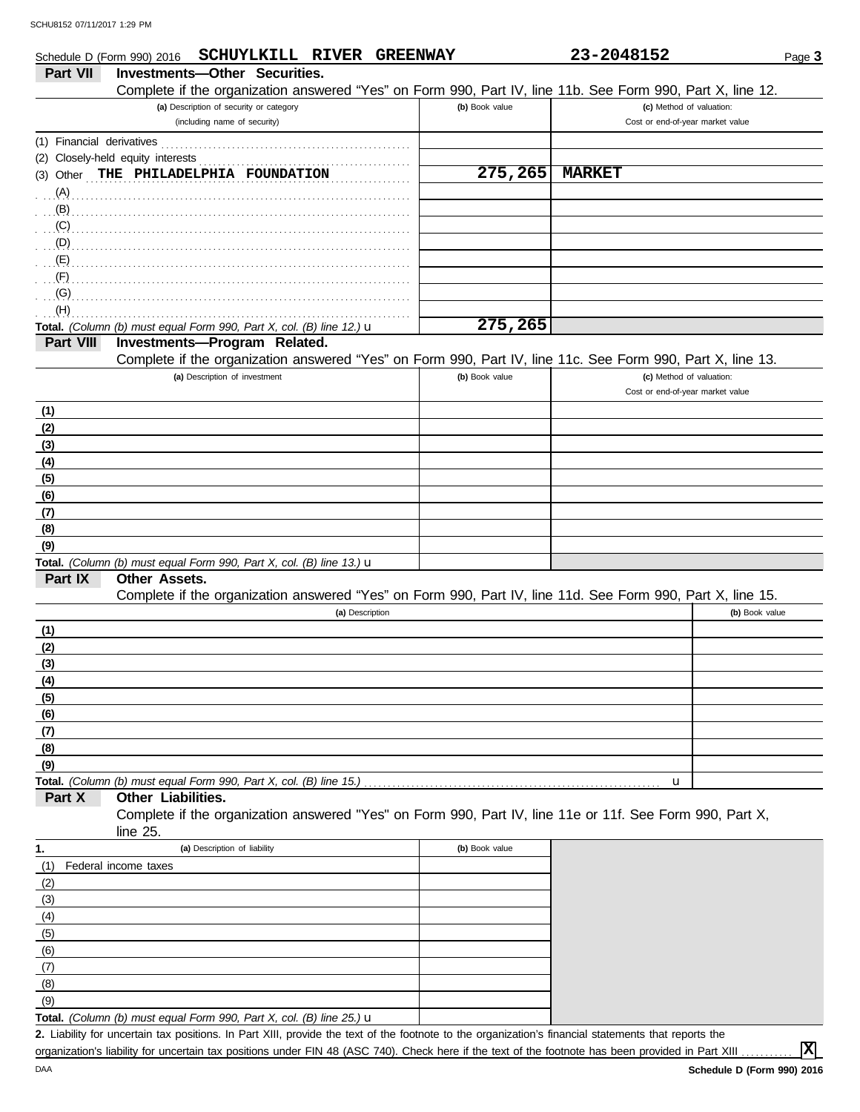|                 | SCHUYLKILL RIVER GREENWAY<br>Schedule D (Form 990) 2016                                                    |                | 23-2048152                       | Page 3         |
|-----------------|------------------------------------------------------------------------------------------------------------|----------------|----------------------------------|----------------|
| <b>Part VII</b> | Investments-Other Securities.                                                                              |                |                                  |                |
|                 | Complete if the organization answered "Yes" on Form 990, Part IV, line 11b. See Form 990, Part X, line 12. |                |                                  |                |
|                 | (a) Description of security or category                                                                    | (b) Book value | (c) Method of valuation:         |                |
|                 | (including name of security)                                                                               |                | Cost or end-of-year market value |                |
|                 |                                                                                                            |                |                                  |                |
|                 | (2) Closely-held equity interests                                                                          |                |                                  |                |
|                 | (3) Other THE PHILADELPHIA FOUNDATION                                                                      | 275,265        | <b>MARKET</b>                    |                |
| $(A)$ .         |                                                                                                            |                |                                  |                |
| (B)             |                                                                                                            |                |                                  |                |
| (C)             |                                                                                                            |                |                                  |                |
| (D)             |                                                                                                            |                |                                  |                |
| (E)             |                                                                                                            |                |                                  |                |
| (F)             |                                                                                                            |                |                                  |                |
| (G)             |                                                                                                            |                |                                  |                |
| (H)             |                                                                                                            |                |                                  |                |
|                 | Total. (Column (b) must equal Form 990, Part X, col. (B) line 12.) u                                       | 275,265        |                                  |                |
| Part VIII       | Investments-Program Related.                                                                               |                |                                  |                |
|                 | Complete if the organization answered "Yes" on Form 990, Part IV, line 11c. See Form 990, Part X, line 13. |                |                                  |                |
|                 | (a) Description of investment                                                                              | (b) Book value | (c) Method of valuation:         |                |
|                 |                                                                                                            |                | Cost or end-of-year market value |                |
| (1)             |                                                                                                            |                |                                  |                |
| (2)             |                                                                                                            |                |                                  |                |
|                 |                                                                                                            |                |                                  |                |
| (3)             |                                                                                                            |                |                                  |                |
| (4)             |                                                                                                            |                |                                  |                |
| (5)             |                                                                                                            |                |                                  |                |
| (6)             |                                                                                                            |                |                                  |                |
| (7)             |                                                                                                            |                |                                  |                |
| (8)             |                                                                                                            |                |                                  |                |
| (9)             |                                                                                                            |                |                                  |                |
| Part IX         | Total. (Column (b) must equal Form 990, Part X, col. (B) line 13.) $\mathbf u$<br>Other Assets.            |                |                                  |                |
|                 | Complete if the organization answered "Yes" on Form 990, Part IV, line 11d. See Form 990, Part X, line 15. |                |                                  |                |
|                 | (a) Description                                                                                            |                |                                  | (b) Book value |
|                 |                                                                                                            |                |                                  |                |
| (1)             |                                                                                                            |                |                                  |                |
| (2)             |                                                                                                            |                |                                  |                |
| (3)             |                                                                                                            |                |                                  |                |
| $\frac{(4)}{2}$ |                                                                                                            |                |                                  |                |
| (5)             |                                                                                                            |                |                                  |                |
| (6)             |                                                                                                            |                |                                  |                |
| (7)             |                                                                                                            |                |                                  |                |
| (8)             |                                                                                                            |                |                                  |                |
| (9)             | Total. (Column (b) must equal Form 990, Part X, col. (B) line 15.).                                        |                |                                  |                |
| Part X          | Other Liabilities.                                                                                         |                | u                                |                |
|                 | Complete if the organization answered "Yes" on Form 990, Part IV, line 11e or 11f. See Form 990, Part X,   |                |                                  |                |
|                 | line 25.                                                                                                   |                |                                  |                |
|                 | (a) Description of liability                                                                               | (b) Book value |                                  |                |
| 1.              |                                                                                                            |                |                                  |                |
| (1)             | Federal income taxes                                                                                       |                |                                  |                |
| (2)             |                                                                                                            |                |                                  |                |
| (3)             |                                                                                                            |                |                                  |                |
| (4)             |                                                                                                            |                |                                  |                |
| (5)             |                                                                                                            |                |                                  |                |
| (6)             |                                                                                                            |                |                                  |                |
| (7)             |                                                                                                            |                |                                  |                |
| (8)             |                                                                                                            |                |                                  |                |
| (9)             |                                                                                                            |                |                                  |                |

**Total.** *(Column (b) must equal Form 990, Part X, col. (B) line 25.)* u

Liability for uncertain tax positions. In Part XIII, provide the text of the footnote to the organization's financial statements that reports the **2.** organization's liability for uncertain tax positions under FIN 48 (ASC 740). Check here if the text of the footnote has been provided in Part XIII

**X**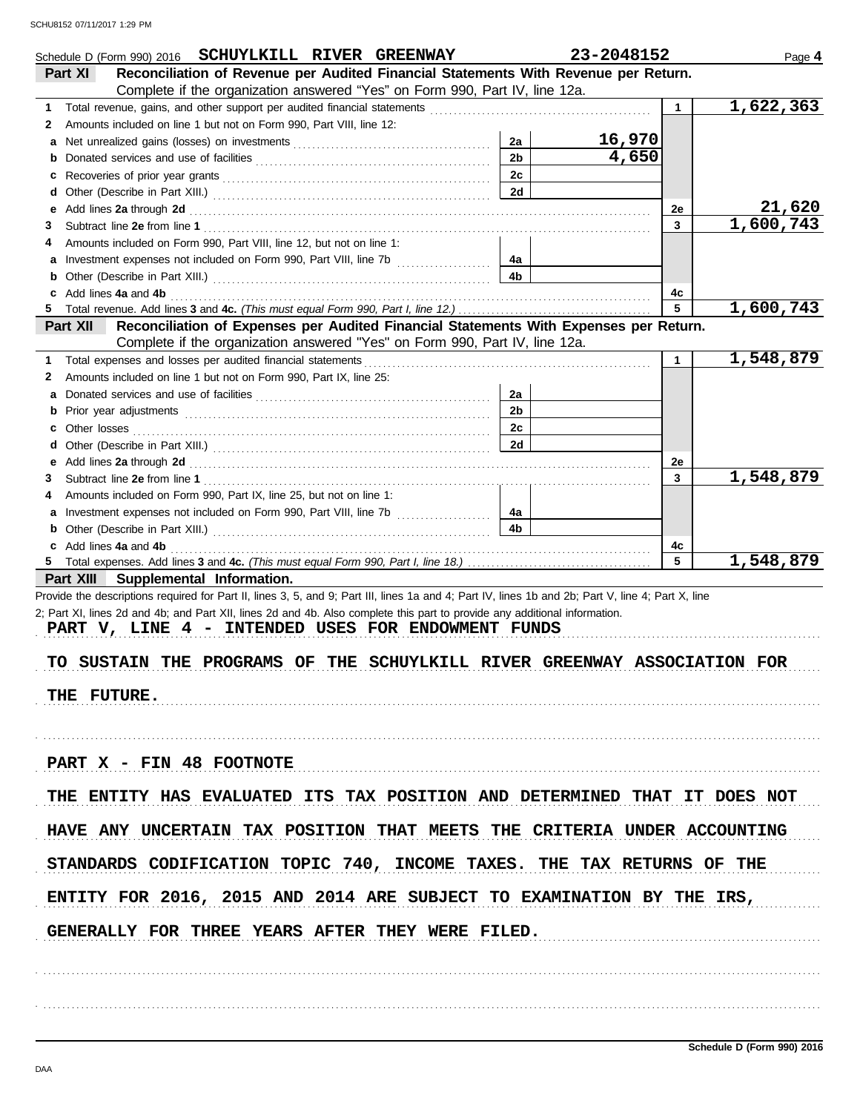| Schedule D (Form 990) 2016 SCHUYLKILL RIVER GREENWAY                                                                                                                                                                                |                | 23-2048152 |              | Page 4    |
|-------------------------------------------------------------------------------------------------------------------------------------------------------------------------------------------------------------------------------------|----------------|------------|--------------|-----------|
| Reconciliation of Revenue per Audited Financial Statements With Revenue per Return.<br>Part XI                                                                                                                                      |                |            |              |           |
| Complete if the organization answered "Yes" on Form 990, Part IV, line 12a.                                                                                                                                                         |                |            |              |           |
| 1                                                                                                                                                                                                                                   |                |            | $\mathbf 1$  | 1,622,363 |
| Amounts included on line 1 but not on Form 990, Part VIII, line 12:<br>2                                                                                                                                                            |                |            |              |           |
| а                                                                                                                                                                                                                                   | 2a             | 16,970     |              |           |
|                                                                                                                                                                                                                                     | 2 <sub>b</sub> | 4,650      |              |           |
| c                                                                                                                                                                                                                                   | 2c             |            |              |           |
| d                                                                                                                                                                                                                                   | 2d             |            |              |           |
| Add lines 2a through 2d [11] All and the contract of the contract of the contract of the contract of the contract of the contract of the contract of the contract of the contract of the contract of the contract of the contr<br>е |                |            | 2e           | 21,620    |
| 3                                                                                                                                                                                                                                   |                |            | $\mathbf{3}$ | 1,600,743 |
| Amounts included on Form 990, Part VIII, line 12, but not on line 1:<br>4                                                                                                                                                           |                |            |              |           |
| a Investment expenses not included on Form 990, Part VIII, line 7b                                                                                                                                                                  | 4a             |            |              |           |
|                                                                                                                                                                                                                                     | 4b             |            |              |           |
| c Add lines 4a and 4b                                                                                                                                                                                                               |                |            | 4с           |           |
| 5.                                                                                                                                                                                                                                  |                |            | 5            | 1,600,743 |
| Reconciliation of Expenses per Audited Financial Statements With Expenses per Return.<br>Part XII                                                                                                                                   |                |            |              |           |
| Complete if the organization answered "Yes" on Form 990, Part IV, line 12a.                                                                                                                                                         |                |            |              |           |
| 1.                                                                                                                                                                                                                                  |                |            | 1.           | 1,548,879 |
| Amounts included on line 1 but not on Form 990, Part IX, line 25:<br>2                                                                                                                                                              |                |            |              |           |
| а                                                                                                                                                                                                                                   | 2a             |            |              |           |
|                                                                                                                                                                                                                                     | 2 <sub>b</sub> |            |              |           |
|                                                                                                                                                                                                                                     | 2c             |            |              |           |
| d                                                                                                                                                                                                                                   | 2d             |            |              |           |
|                                                                                                                                                                                                                                     |                |            | 2e           |           |
| 3                                                                                                                                                                                                                                   |                |            | 3            | 1,548,879 |
| Amounts included on Form 990, Part IX, line 25, but not on line 1:<br>4                                                                                                                                                             |                |            |              |           |
| a Investment expenses not included on Form 990, Part VIII, line 7b                                                                                                                                                                  | 4a             |            |              |           |
|                                                                                                                                                                                                                                     | 4b             |            |              |           |
| c Add lines 4a and 4b                                                                                                                                                                                                               |                |            | 4c<br>5      |           |
| 5.                                                                                                                                                                                                                                  |                |            |              | 1,548,879 |
| Part XIII Supplemental Information.<br>Provide the descriptions required for Part II, lines 3, 5, and 9; Part III, lines 1a and 4; Part IV, lines 1b and 2b; Part V, line 4; Part X, line                                           |                |            |              |           |
| 2; Part XI, lines 2d and 4b; and Part XII, lines 2d and 4b. Also complete this part to provide any additional information.<br>PART V, LINE 4 - INTENDED USES FOR ENDOWMENT FUNDS                                                    |                |            |              |           |
|                                                                                                                                                                                                                                     |                |            |              |           |
| TO SUSTAIN THE PROGRAMS OF THE SCHUYLKILL RIVER GREENWAY ASSOCIATION FOR                                                                                                                                                            |                |            |              |           |
|                                                                                                                                                                                                                                     |                |            |              |           |
| THE FUTURE.                                                                                                                                                                                                                         |                |            |              |           |
|                                                                                                                                                                                                                                     |                |            |              |           |
|                                                                                                                                                                                                                                     |                |            |              |           |
|                                                                                                                                                                                                                                     |                |            |              |           |
| PART X - FIN 48 FOOTNOTE                                                                                                                                                                                                            |                |            |              |           |
| THE ENTITY HAS EVALUATED ITS TAX POSITION AND DETERMINED THAT IT DOES NOT                                                                                                                                                           |                |            |              |           |
|                                                                                                                                                                                                                                     |                |            |              |           |
| HAVE ANY UNCERTAIN TAX POSITION THAT MEETS THE CRITERIA UNDER ACCOUNTING                                                                                                                                                            |                |            |              |           |
| STANDARDS CODIFICATION TOPIC 740, INCOME TAXES. THE TAX RETURNS OF THE                                                                                                                                                              |                |            |              |           |
| ENTITY FOR 2016, 2015 AND 2014 ARE SUBJECT TO EXAMINATION BY THE IRS,                                                                                                                                                               |                |            |              |           |
|                                                                                                                                                                                                                                     |                |            |              |           |
| GENERALLY FOR THREE YEARS AFTER THEY WERE FILED.                                                                                                                                                                                    |                |            |              |           |
|                                                                                                                                                                                                                                     |                |            |              |           |
|                                                                                                                                                                                                                                     |                |            |              |           |
|                                                                                                                                                                                                                                     |                |            |              |           |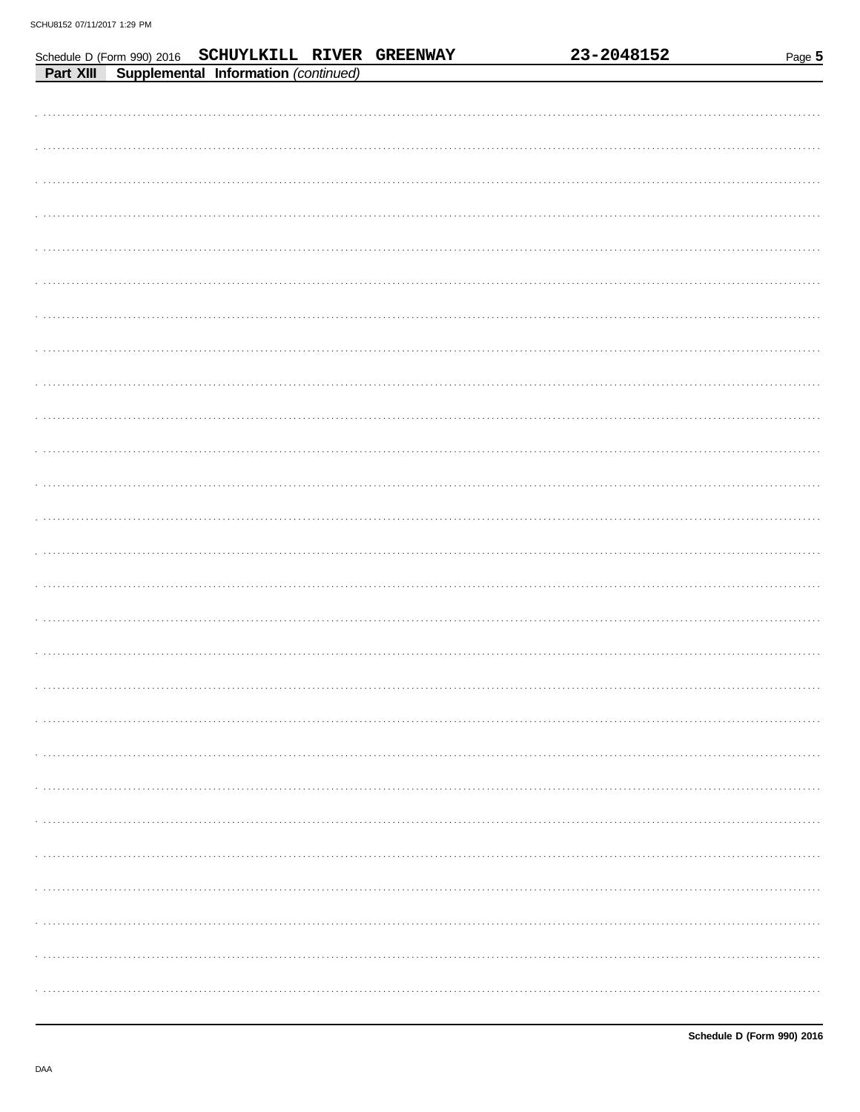Schedule D (Form 990) 2016

| <b>Part XIII Supplemental Information (continued)</b> |
|-------------------------------------------------------|
|                                                       |
|                                                       |
|                                                       |
|                                                       |
|                                                       |
|                                                       |
|                                                       |
|                                                       |
|                                                       |
|                                                       |
|                                                       |
|                                                       |
|                                                       |
|                                                       |
|                                                       |
|                                                       |
|                                                       |
|                                                       |
|                                                       |
|                                                       |
|                                                       |
|                                                       |
|                                                       |
|                                                       |
|                                                       |
|                                                       |
|                                                       |
|                                                       |
|                                                       |
|                                                       |
|                                                       |
|                                                       |
|                                                       |
|                                                       |
|                                                       |
|                                                       |
|                                                       |

23-2048152

Page 5

SCHUYLKILL RIVER GREENWAY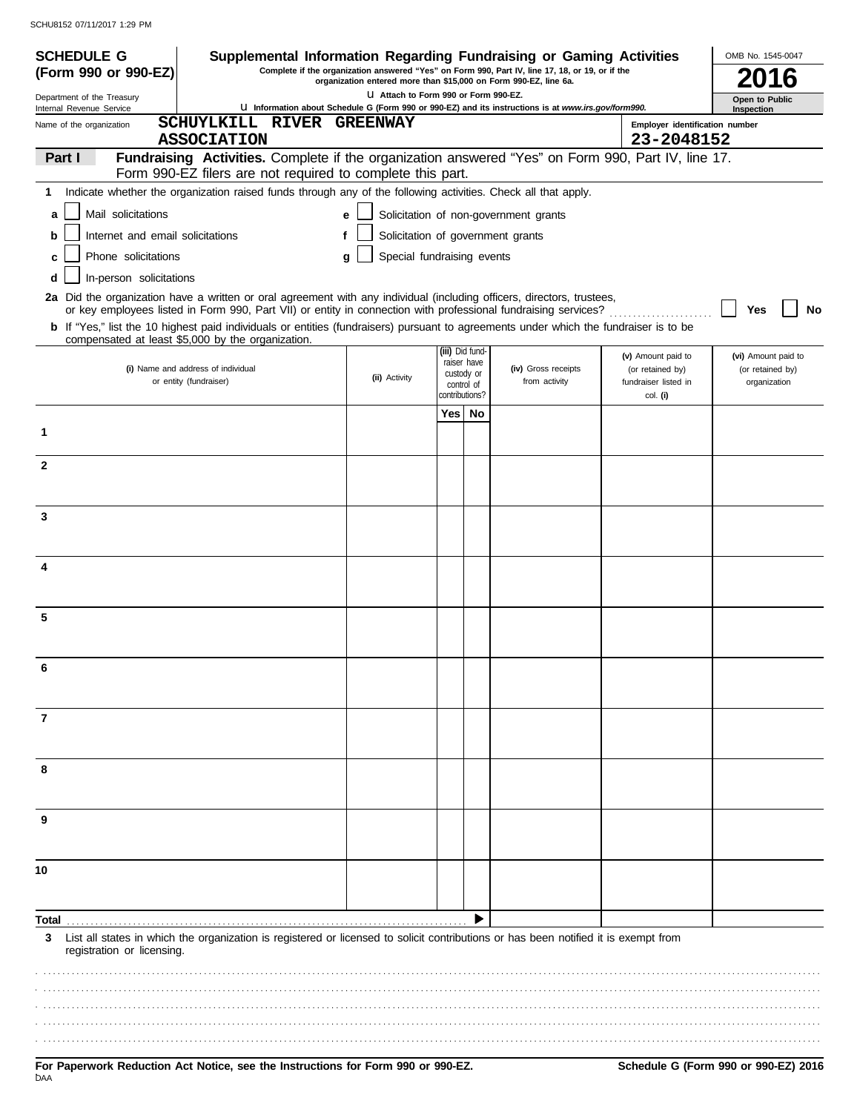| <b>SCHEDULE G</b><br>Supplemental Information Regarding Fundraising or Gaming Activities<br>Complete if the organization answered "Yes" on Form 990, Part IV, line 17, 18, or 19, or if the<br>(Form 990 or 990-EZ) |                                                                                                                                                                                                                                                                                                                                                                                                                                        |                            |                                            |  |                                      | OMB No. 1545-0047<br>6                               |                                  |  |
|---------------------------------------------------------------------------------------------------------------------------------------------------------------------------------------------------------------------|----------------------------------------------------------------------------------------------------------------------------------------------------------------------------------------------------------------------------------------------------------------------------------------------------------------------------------------------------------------------------------------------------------------------------------------|----------------------------|--------------------------------------------|--|--------------------------------------|------------------------------------------------------|----------------------------------|--|
| organization entered more than \$15,000 on Form 990-EZ, line 6a.<br>U Attach to Form 990 or Form 990-EZ.<br>Department of the Treasury<br>Open to Public                                                            |                                                                                                                                                                                                                                                                                                                                                                                                                                        |                            |                                            |  |                                      |                                                      |                                  |  |
| U Information about Schedule G (Form 990 or 990-EZ) and its instructions is at www.irs.gov/form990.<br>Internal Revenue Service<br>Inspection<br>SCHUYLKILL RIVER GREENWAY                                          |                                                                                                                                                                                                                                                                                                                                                                                                                                        |                            |                                            |  |                                      |                                                      |                                  |  |
| Employer identification number<br>Name of the organization<br>23-2048152<br><b>ASSOCIATION</b>                                                                                                                      |                                                                                                                                                                                                                                                                                                                                                                                                                                        |                            |                                            |  |                                      |                                                      |                                  |  |
| Part I                                                                                                                                                                                                              | Fundraising Activities. Complete if the organization answered "Yes" on Form 990, Part IV, line 17.<br>Form 990-EZ filers are not required to complete this part.                                                                                                                                                                                                                                                                       |                            |                                            |  |                                      |                                                      |                                  |  |
| 1                                                                                                                                                                                                                   | Indicate whether the organization raised funds through any of the following activities. Check all that apply.                                                                                                                                                                                                                                                                                                                          |                            |                                            |  |                                      |                                                      |                                  |  |
| Mail solicitations<br>a                                                                                                                                                                                             | Solicitation of non-government grants<br>e                                                                                                                                                                                                                                                                                                                                                                                             |                            |                                            |  |                                      |                                                      |                                  |  |
| b                                                                                                                                                                                                                   | Solicitation of government grants<br>Internet and email solicitations                                                                                                                                                                                                                                                                                                                                                                  |                            |                                            |  |                                      |                                                      |                                  |  |
| Phone solicitations<br>c                                                                                                                                                                                            |                                                                                                                                                                                                                                                                                                                                                                                                                                        | Special fundraising events |                                            |  |                                      |                                                      |                                  |  |
| In-person solicitations<br>d                                                                                                                                                                                        |                                                                                                                                                                                                                                                                                                                                                                                                                                        |                            |                                            |  |                                      |                                                      |                                  |  |
|                                                                                                                                                                                                                     | 2a Did the organization have a written or oral agreement with any individual (including officers, directors, trustees,<br>or key employees listed in Form 990, Part VII) or entity in connection with professional fundraising services?<br>b If "Yes," list the 10 highest paid individuals or entities (fundraisers) pursuant to agreements under which the fundraiser is to be<br>compensated at least \$5,000 by the organization. |                            |                                            |  |                                      |                                                      | No<br>Yes                        |  |
|                                                                                                                                                                                                                     |                                                                                                                                                                                                                                                                                                                                                                                                                                        |                            | (iii) Did fund-<br>raiser have             |  |                                      | (v) Amount paid to                                   | (vi) Amount paid to              |  |
|                                                                                                                                                                                                                     | (i) Name and address of individual<br>or entity (fundraiser)                                                                                                                                                                                                                                                                                                                                                                           | (ii) Activity              | custody or<br>control of<br>contributions? |  | (iv) Gross receipts<br>from activity | (or retained by)<br>fundraiser listed in<br>col. (i) | (or retained by)<br>organization |  |
|                                                                                                                                                                                                                     |                                                                                                                                                                                                                                                                                                                                                                                                                                        |                            | Yes   No                                   |  |                                      |                                                      |                                  |  |
| 1                                                                                                                                                                                                                   |                                                                                                                                                                                                                                                                                                                                                                                                                                        |                            |                                            |  |                                      |                                                      |                                  |  |
| $\mathbf{2}$                                                                                                                                                                                                        |                                                                                                                                                                                                                                                                                                                                                                                                                                        |                            |                                            |  |                                      |                                                      |                                  |  |
|                                                                                                                                                                                                                     |                                                                                                                                                                                                                                                                                                                                                                                                                                        |                            |                                            |  |                                      |                                                      |                                  |  |
| 3                                                                                                                                                                                                                   |                                                                                                                                                                                                                                                                                                                                                                                                                                        |                            |                                            |  |                                      |                                                      |                                  |  |
|                                                                                                                                                                                                                     |                                                                                                                                                                                                                                                                                                                                                                                                                                        |                            |                                            |  |                                      |                                                      |                                  |  |
| 4                                                                                                                                                                                                                   |                                                                                                                                                                                                                                                                                                                                                                                                                                        |                            |                                            |  |                                      |                                                      |                                  |  |
| 5                                                                                                                                                                                                                   |                                                                                                                                                                                                                                                                                                                                                                                                                                        |                            |                                            |  |                                      |                                                      |                                  |  |
|                                                                                                                                                                                                                     |                                                                                                                                                                                                                                                                                                                                                                                                                                        |                            |                                            |  |                                      |                                                      |                                  |  |
| 6                                                                                                                                                                                                                   |                                                                                                                                                                                                                                                                                                                                                                                                                                        |                            |                                            |  |                                      |                                                      |                                  |  |
|                                                                                                                                                                                                                     |                                                                                                                                                                                                                                                                                                                                                                                                                                        |                            |                                            |  |                                      |                                                      |                                  |  |
| 7                                                                                                                                                                                                                   |                                                                                                                                                                                                                                                                                                                                                                                                                                        |                            |                                            |  |                                      |                                                      |                                  |  |
| 8                                                                                                                                                                                                                   |                                                                                                                                                                                                                                                                                                                                                                                                                                        |                            |                                            |  |                                      |                                                      |                                  |  |
|                                                                                                                                                                                                                     |                                                                                                                                                                                                                                                                                                                                                                                                                                        |                            |                                            |  |                                      |                                                      |                                  |  |
| 9                                                                                                                                                                                                                   |                                                                                                                                                                                                                                                                                                                                                                                                                                        |                            |                                            |  |                                      |                                                      |                                  |  |
| 10                                                                                                                                                                                                                  |                                                                                                                                                                                                                                                                                                                                                                                                                                        |                            |                                            |  |                                      |                                                      |                                  |  |
|                                                                                                                                                                                                                     |                                                                                                                                                                                                                                                                                                                                                                                                                                        |                            |                                            |  |                                      |                                                      |                                  |  |
| Total                                                                                                                                                                                                               |                                                                                                                                                                                                                                                                                                                                                                                                                                        |                            |                                            |  |                                      |                                                      |                                  |  |
| 3<br>registration or licensing.                                                                                                                                                                                     | List all states in which the organization is registered or licensed to solicit contributions or has been notified it is exempt from                                                                                                                                                                                                                                                                                                    |                            |                                            |  |                                      |                                                      |                                  |  |
|                                                                                                                                                                                                                     |                                                                                                                                                                                                                                                                                                                                                                                                                                        |                            |                                            |  |                                      |                                                      |                                  |  |
|                                                                                                                                                                                                                     |                                                                                                                                                                                                                                                                                                                                                                                                                                        |                            |                                            |  |                                      |                                                      |                                  |  |
|                                                                                                                                                                                                                     |                                                                                                                                                                                                                                                                                                                                                                                                                                        |                            |                                            |  |                                      |                                                      |                                  |  |
|                                                                                                                                                                                                                     |                                                                                                                                                                                                                                                                                                                                                                                                                                        |                            |                                            |  |                                      |                                                      |                                  |  |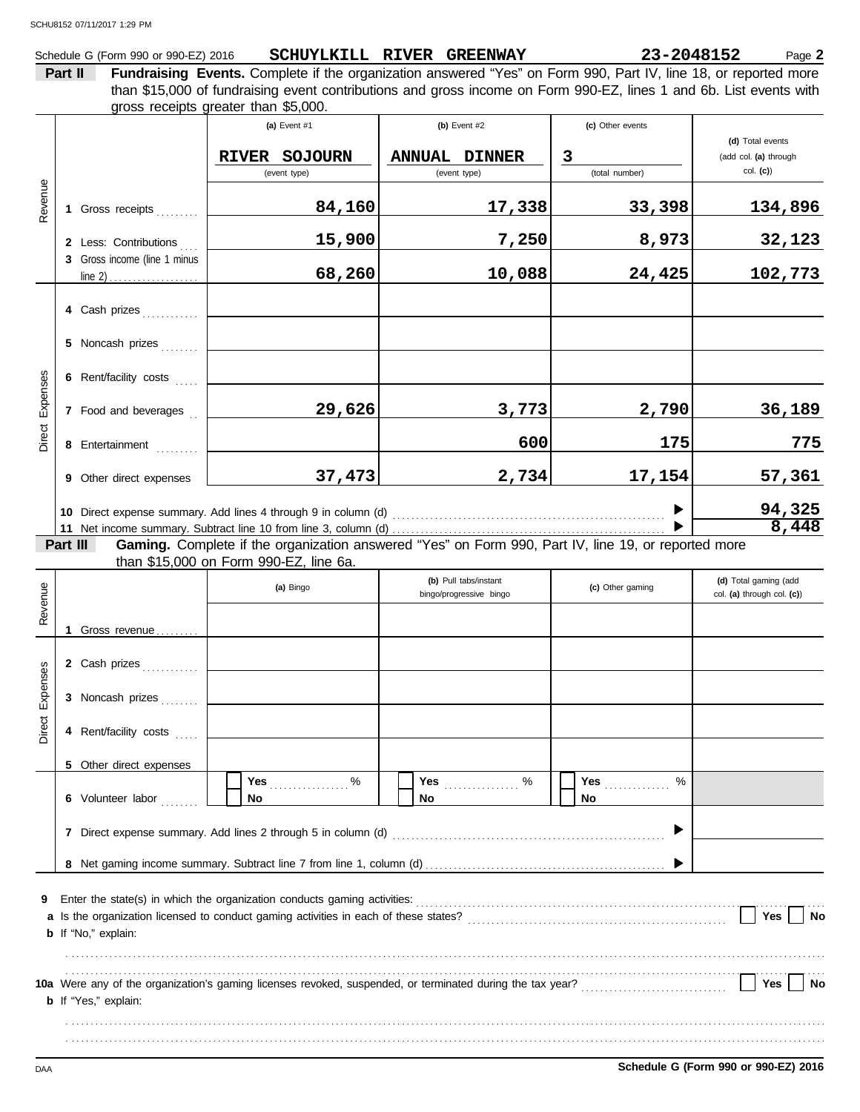## Schedule G (Form 990 or 990-EZ) 2016 **SCHUYLKILL RIVER GREENWAY 23-2048152** Page 2

**Part II Fundraising Events.** Complete if the organization answered "Yes" on Form 990, Part IV, line 18, or reported more gross receipts greater than \$5,000. than \$15,000 of fundraising event contributions and gross income on Form 990-EZ, lines 1 and 6b. List events with

| Revenue         |          | 1 Gross receipts<br>2 Less: Contributions<br>3 Gross income (line 1 minus<br>4 Cash prizes | (a) Event #1<br>RIVER SOJOURN<br>(event type)<br>84,160<br>15,900<br>68,260 | (b) Event $#2$<br>ANNUAL DINNER<br>(event type)<br>17,338<br>7,250<br>10,088                        | (c) Other events<br>$\mathbf{3}$<br>(total number)<br>33,398<br>8,973<br>24,425 | (d) Total events<br>(add col. (a) through<br>$col.$ (c))<br>134,896<br>32,123<br>102,773 |
|-----------------|----------|--------------------------------------------------------------------------------------------|-----------------------------------------------------------------------------|-----------------------------------------------------------------------------------------------------|---------------------------------------------------------------------------------|------------------------------------------------------------------------------------------|
| Direct Expenses |          | 5 Noncash prizes<br>6 Rent/facility costs<br>7 Food and beverages                          | 29,626                                                                      | 3,773                                                                                               | 2,790                                                                           | 36,189                                                                                   |
|                 |          | 8 Entertainment                                                                            | 37,473                                                                      | 600<br>2,734                                                                                        | 175<br>17,154                                                                   | 775<br>57,361                                                                            |
|                 | Part III | 9 Other direct expenses                                                                    |                                                                             | Gaming. Complete if the organization answered "Yes" on Form 990, Part IV, line 19, or reported more |                                                                                 | 94,325<br>8,448                                                                          |
| Revenue         |          | 1 Gross revenue                                                                            | than \$15,000 on Form 990-EZ, line 6a.<br>(a) Bingo                         | (b) Pull tabs/instant<br>bingo/progressive bingo                                                    | (c) Other gaming                                                                | (d) Total gaming (add<br>col. (a) through col. $(c)$ )                                   |
| Direct Expenses |          | 2 Cash prizes<br>3 Noncash prizes<br>4 Rent/facility costs                                 |                                                                             |                                                                                                     |                                                                                 |                                                                                          |
|                 |          | 5 Other direct expenses<br>6 Volunteer labor                                               | Yes $%$<br>No                                                               | <b>No</b>                                                                                           | %<br><b>Yes</b><br>No.                                                          |                                                                                          |
| 9               |          | <b>b</b> If "No," explain:                                                                 |                                                                             |                                                                                                     |                                                                                 | Yes<br>No                                                                                |
|                 |          | <b>b</b> If "Yes," explain:                                                                |                                                                             |                                                                                                     |                                                                                 | Yes<br>No                                                                                |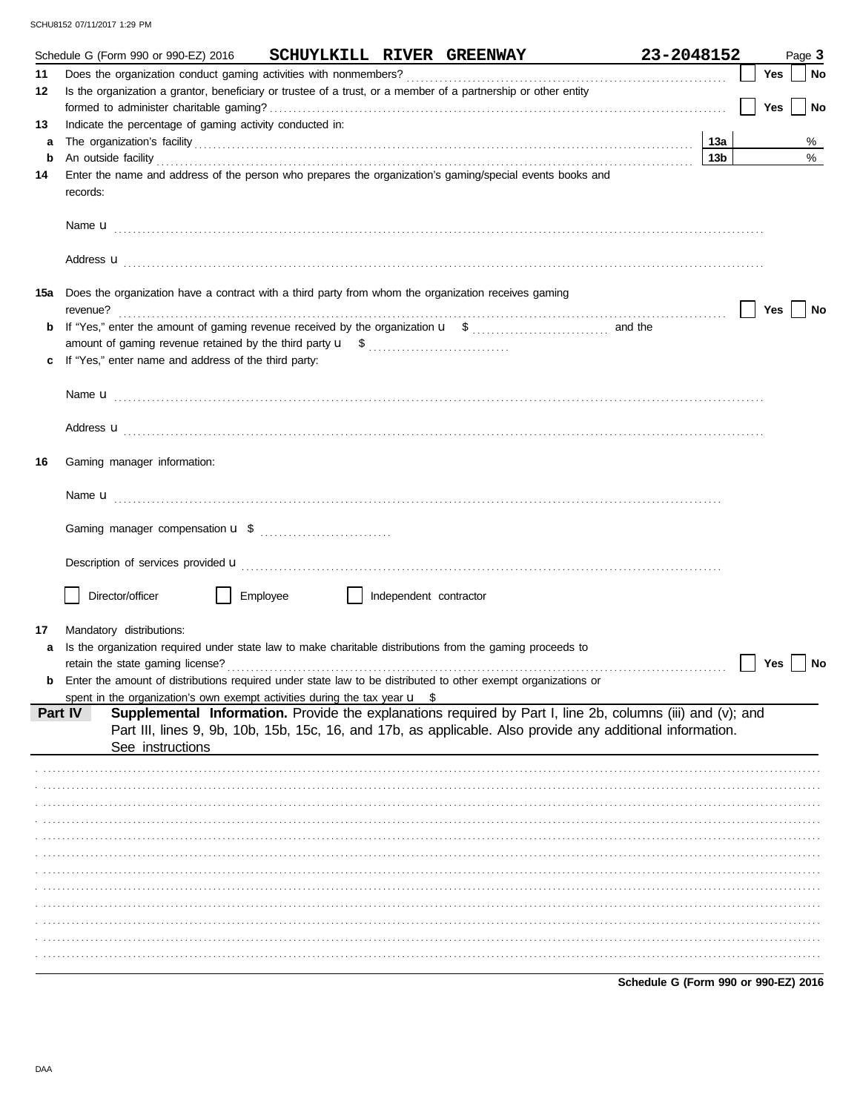|                   | Schedule G (Form 990 or 990-EZ) 2016                                                                                                                                                                                                   | SCHUYLKILL RIVER GREENWAY |                        | 23-2048152 |                 |            | Page 3 |
|-------------------|----------------------------------------------------------------------------------------------------------------------------------------------------------------------------------------------------------------------------------------|---------------------------|------------------------|------------|-----------------|------------|--------|
| 11                |                                                                                                                                                                                                                                        |                           |                        |            |                 | Yes        | No     |
| 12                | Is the organization a grantor, beneficiary or trustee of a trust, or a member of a partnership or other entity                                                                                                                         |                           |                        |            |                 |            |        |
|                   |                                                                                                                                                                                                                                        |                           |                        |            |                 | <b>Yes</b> | No     |
| 13                | Indicate the percentage of gaming activity conducted in:                                                                                                                                                                               |                           |                        |            |                 |            |        |
| a                 |                                                                                                                                                                                                                                        |                           |                        |            | 13а             |            | %      |
| $\mathbf b$<br>14 | An outside facility <i>contained a contained a contained a contained a contained a contained a contained a contained a</i><br>Enter the name and address of the person who prepares the organization's gaming/special events books and |                           |                        |            | 13 <sub>b</sub> |            | %      |
|                   | records:                                                                                                                                                                                                                               |                           |                        |            |                 |            |        |
|                   |                                                                                                                                                                                                                                        |                           |                        |            |                 |            |        |
|                   | Address <b>u</b>                                                                                                                                                                                                                       |                           |                        |            |                 |            |        |
| 15a               | Does the organization have a contract with a third party from whom the organization receives gaming<br>revenue?                                                                                                                        |                           |                        |            |                 | Yes        | No     |
| b                 |                                                                                                                                                                                                                                        |                           |                        |            |                 |            |        |
|                   | If "Yes," enter name and address of the third party:                                                                                                                                                                                   |                           |                        |            |                 |            |        |
|                   |                                                                                                                                                                                                                                        |                           |                        |            |                 |            |        |
|                   | Address <b>u</b>                                                                                                                                                                                                                       |                           |                        |            |                 |            |        |
| 16                | Gaming manager information:                                                                                                                                                                                                            |                           |                        |            |                 |            |        |
|                   |                                                                                                                                                                                                                                        |                           |                        |            |                 |            |        |
|                   |                                                                                                                                                                                                                                        |                           |                        |            |                 |            |        |
|                   |                                                                                                                                                                                                                                        |                           |                        |            |                 |            |        |
|                   | Director/officer                                                                                                                                                                                                                       | Employee                  | Independent contractor |            |                 |            |        |
| 17                | Mandatory distributions:                                                                                                                                                                                                               |                           |                        |            |                 |            |        |
|                   | Is the organization required under state law to make charitable distributions from the gaming proceeds to                                                                                                                              |                           |                        |            |                 |            |        |
|                   | retain the state gaming license?                                                                                                                                                                                                       |                           |                        |            |                 | Yes        | No     |
|                   | Enter the amount of distributions required under state law to be distributed to other exempt organizations or                                                                                                                          |                           |                        |            |                 |            |        |
|                   | spent in the organization's own exempt activities during the tax year $\mathbf{u}$ \$                                                                                                                                                  |                           |                        |            |                 |            |        |
|                   | Supplemental Information. Provide the explanations required by Part I, line 2b, columns (iii) and (v); and<br>Part IV                                                                                                                  |                           |                        |            |                 |            |        |
|                   | Part III, lines 9, 9b, 10b, 15b, 15c, 16, and 17b, as applicable. Also provide any additional information.<br>See instructions                                                                                                         |                           |                        |            |                 |            |        |
|                   |                                                                                                                                                                                                                                        |                           |                        |            |                 |            |        |
|                   |                                                                                                                                                                                                                                        |                           |                        |            |                 |            |        |
|                   |                                                                                                                                                                                                                                        |                           |                        |            |                 |            |        |
|                   |                                                                                                                                                                                                                                        |                           |                        |            |                 |            |        |
|                   |                                                                                                                                                                                                                                        |                           |                        |            |                 |            |        |
|                   |                                                                                                                                                                                                                                        |                           |                        |            |                 |            |        |
|                   |                                                                                                                                                                                                                                        |                           |                        |            |                 |            |        |
|                   |                                                                                                                                                                                                                                        |                           |                        |            |                 |            |        |
|                   |                                                                                                                                                                                                                                        |                           |                        |            |                 |            |        |
|                   |                                                                                                                                                                                                                                        |                           |                        |            |                 |            |        |
|                   |                                                                                                                                                                                                                                        |                           |                        |            |                 |            |        |
|                   |                                                                                                                                                                                                                                        |                           |                        |            |                 |            |        |
|                   |                                                                                                                                                                                                                                        |                           |                        |            |                 |            |        |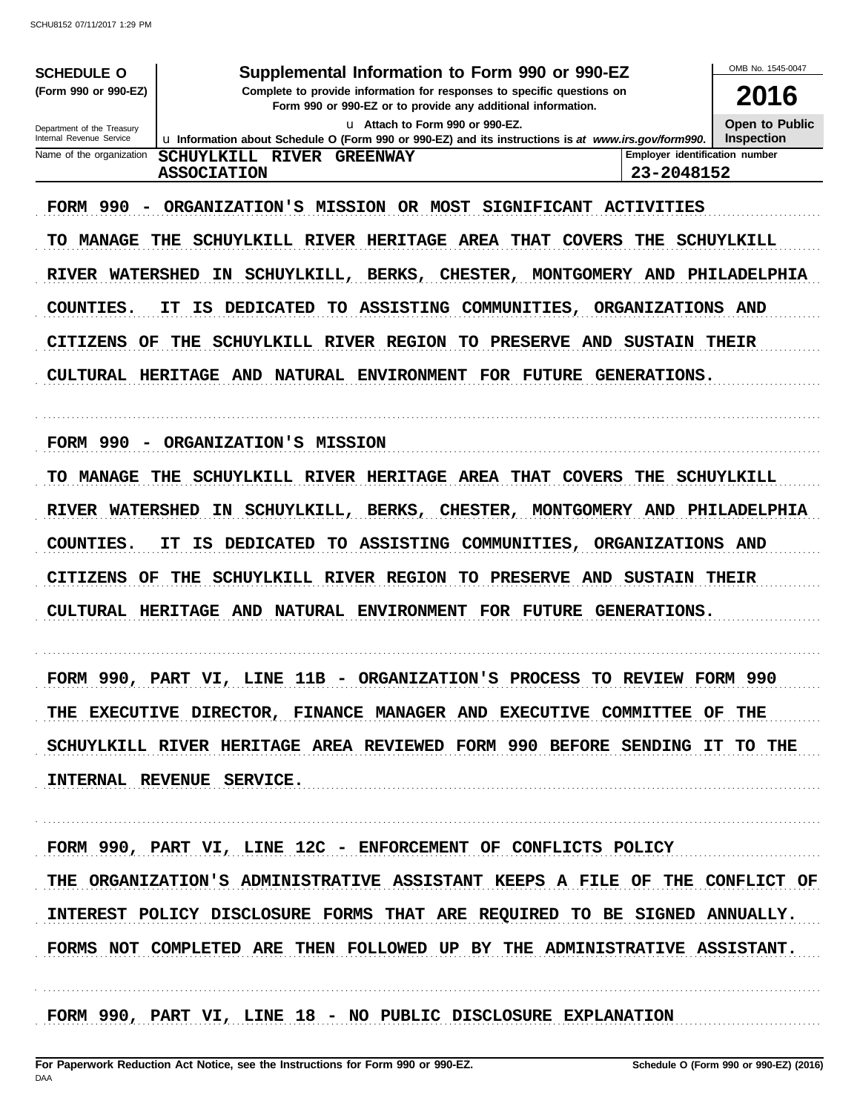| <b>SCHEDULE O</b>                                                                                                           | Supplemental Information to Form 990 or 990-EZ                                                                                                |                      |                   |  |  |  |  |
|-----------------------------------------------------------------------------------------------------------------------------|-----------------------------------------------------------------------------------------------------------------------------------------------|----------------------|-------------------|--|--|--|--|
| (Form 990 or 990-EZ)                                                                                                        | Complete to provide information for responses to specific questions on<br>Form 990 or 990-EZ or to provide any additional information.        |                      |                   |  |  |  |  |
| Department of the Treasury<br>Internal Revenue Service                                                                      | u Attach to Form 990 or 990-EZ.<br><b>u Information about Schedule O (Form 990 or 990-EZ) and its instructions is at www.irs.gov/form990.</b> |                      |                   |  |  |  |  |
| Employer identification number<br>Name of the organization<br>SCHUYLKILL RIVER GREENWAY<br>23-2048152<br><b>ASSOCIATION</b> |                                                                                                                                               |                      |                   |  |  |  |  |
| FORM 990                                                                                                                    | ORGANIZATION'S<br><b>MISSION OR MOST</b><br><b>SIGNIFICANT</b>                                                                                | <b>ACTIVITIES</b>    |                   |  |  |  |  |
| <b>MANAGE</b><br>TO                                                                                                         | SCHUYLKILL RIVER HERITAGE AREA THAT<br>COVERS<br>THE                                                                                          | THE                  | <b>SCHUYLKILL</b> |  |  |  |  |
| RIVER WATERSHED                                                                                                             | IN SCHUYLKILL,<br>BERKS,<br>CHESTER,<br>MONTGOMERY AND                                                                                        |                      | PHILADELPHIA      |  |  |  |  |
| COUNTIES.                                                                                                                   | TO ASSISTING COMMUNITIES,<br><b>DEDICATED</b><br>IТ<br>IS.                                                                                    | ORGANIZATIONS AND    |                   |  |  |  |  |
| <b>CITIZENS OF</b>                                                                                                          | SCHUYLKILL RIVER REGION TO PRESERVE AND<br>THE                                                                                                | <b>SUSTAIN THEIR</b> |                   |  |  |  |  |
|                                                                                                                             | CULTURAL HERITAGE AND NATURAL ENVIRONMENT FOR FUTURE GENERATIONS.                                                                             |                      |                   |  |  |  |  |
|                                                                                                                             |                                                                                                                                               |                      |                   |  |  |  |  |
| FORM 990<br>MANAGE<br>TO                                                                                                    | ORGANIZATION'S MISSION<br>SCHUYLKILL RIVER HERITAGE AREA THAT<br><b>COVERS</b><br><b>THE</b>                                                  | THE                  | <b>SCHUYLKILL</b> |  |  |  |  |
| <b>RIVER WATERSHED</b>                                                                                                      | IN SCHUYLKILL,<br>BERKS,<br>CHESTER,<br>MONTGOMERY                                                                                            | AND                  | PHILADELPHIA      |  |  |  |  |
| <b>COUNTIES.</b>                                                                                                            | TO ASSISTING COMMUNITIES,<br><b>DEDICATED</b><br>IТ<br>IS.                                                                                    | ORGANIZATIONS AND    |                   |  |  |  |  |
| <b>CITIZENS OF</b>                                                                                                          | SCHUYLKILL RIVER REGION TO PRESERVE AND<br>THE                                                                                                | <b>SUSTAIN THEIR</b> |                   |  |  |  |  |
|                                                                                                                             | CULTURAL HERITAGE AND NATURAL ENVIRONMENT<br>FOR FUTURE GENERATIONS.                                                                          |                      |                   |  |  |  |  |
|                                                                                                                             |                                                                                                                                               |                      |                   |  |  |  |  |
| FORM 990, PART VI,                                                                                                          | LINE 11B - ORGANIZATION'S PROCESS                                                                                                             | TO REVIEW FORM 990   |                   |  |  |  |  |
|                                                                                                                             | THE EXECUTIVE DIRECTOR, FINANCE MANAGER AND EXECUTIVE COMMITTEE OF THE                                                                        |                      |                   |  |  |  |  |
|                                                                                                                             | SCHUYLKILL RIVER HERITAGE AREA REVIEWED FORM 990 BEFORE SENDING IT TO THE                                                                     |                      |                   |  |  |  |  |
|                                                                                                                             | INTERNAL REVENUE SERVICE.                                                                                                                     |                      |                   |  |  |  |  |
|                                                                                                                             |                                                                                                                                               |                      |                   |  |  |  |  |
|                                                                                                                             | FORM 990, PART VI, LINE 12C - ENFORCEMENT OF CONFLICTS POLICY                                                                                 |                      |                   |  |  |  |  |
|                                                                                                                             | THE ORGANIZATION'S ADMINISTRATIVE ASSISTANT KEEPS A FILE OF THE CONFLICT OF                                                                   |                      |                   |  |  |  |  |
|                                                                                                                             | INTEREST POLICY DISCLOSURE FORMS THAT ARE REQUIRED TO BE SIGNED ANNUALLY.                                                                     |                      |                   |  |  |  |  |
|                                                                                                                             | FORMS NOT COMPLETED ARE THEN FOLLOWED UP BY THE ADMINISTRATIVE ASSISTANT.                                                                     |                      |                   |  |  |  |  |
|                                                                                                                             | FORM 990, PART VI, LINE 18 - NO PUBLIC DISCLOSURE EXPLANATION                                                                                 |                      |                   |  |  |  |  |